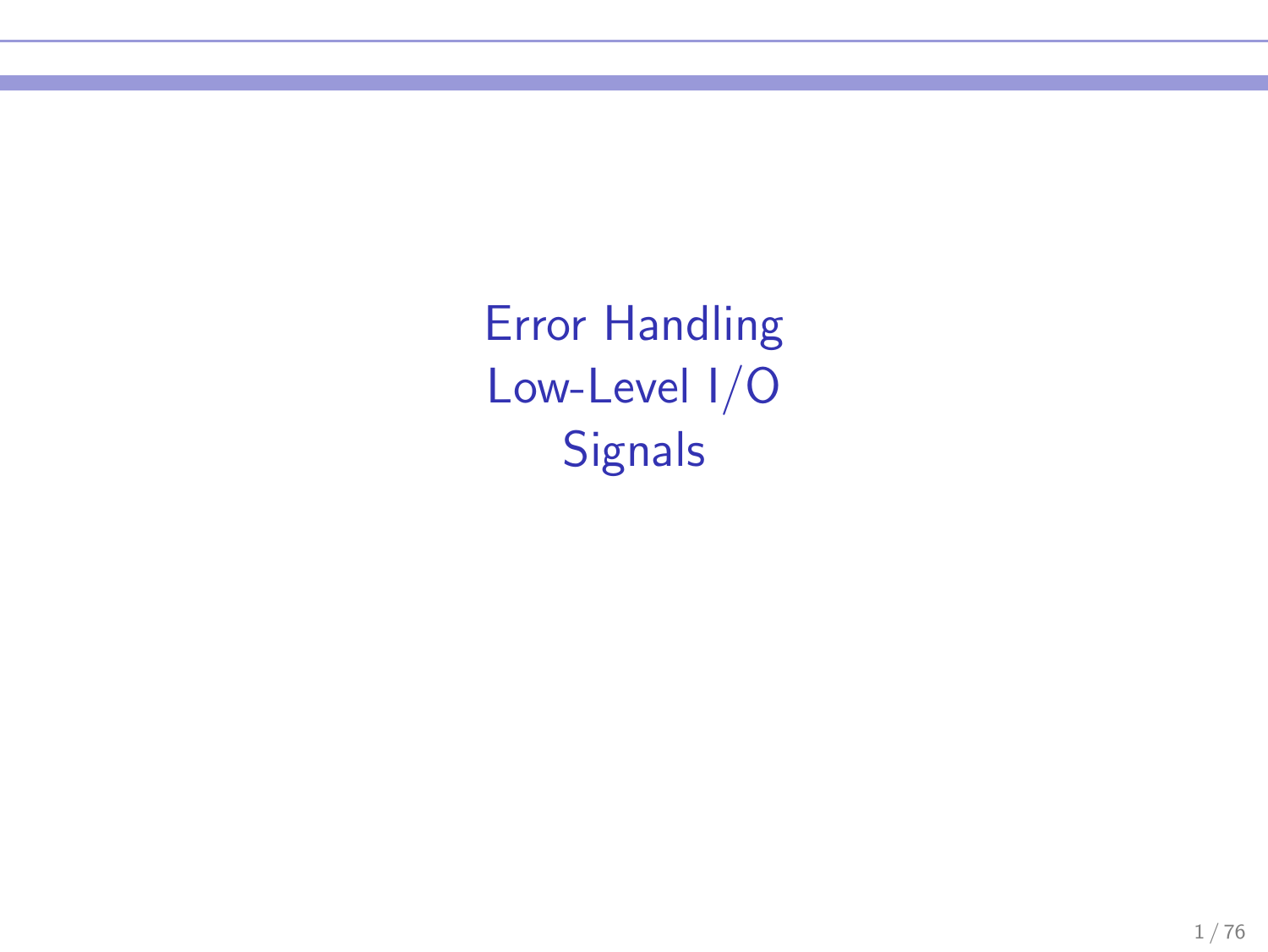Error Handling Low-Level I/O **Signals**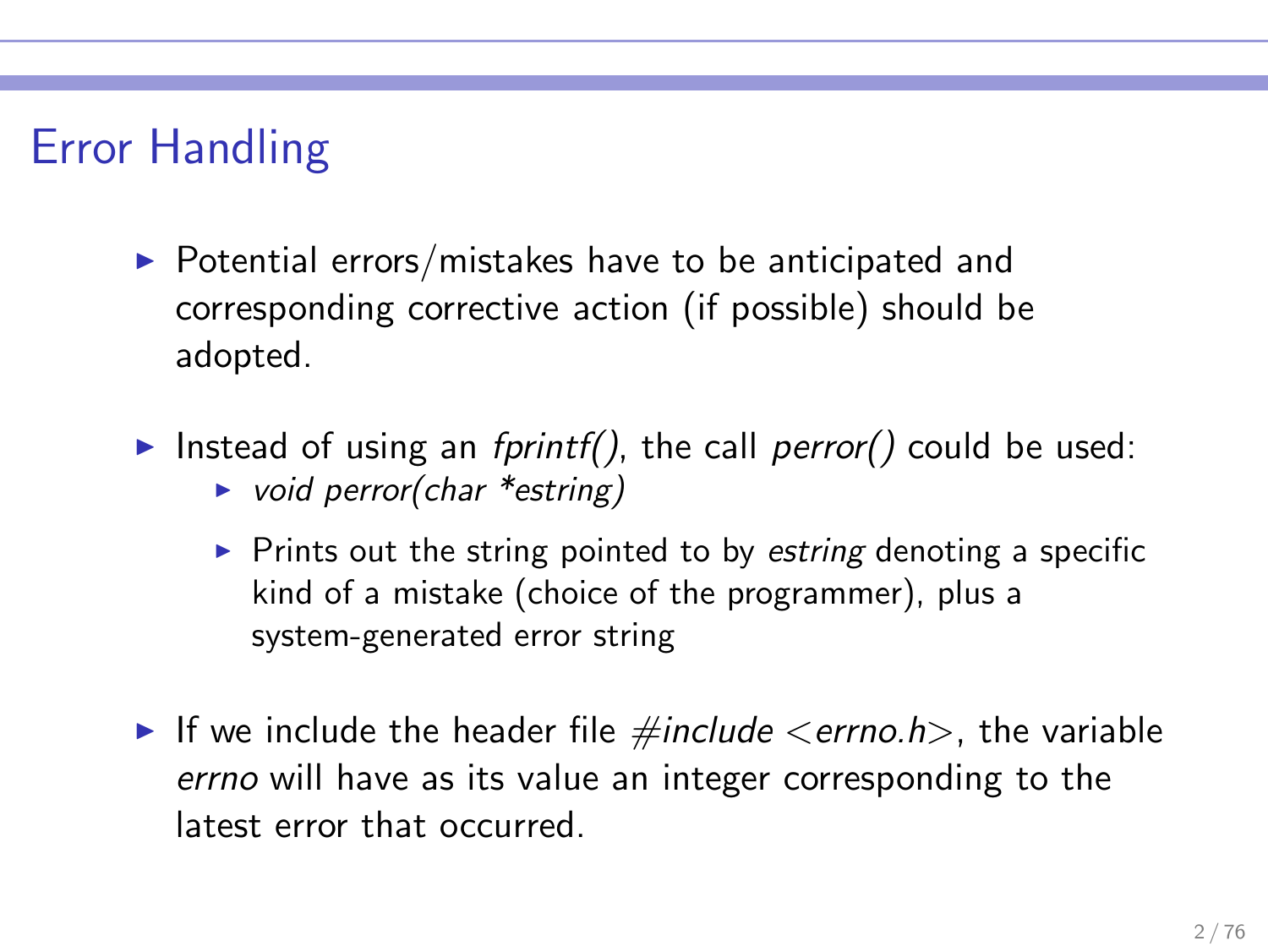# Error Handling

- $\triangleright$  Potential errors/mistakes have to be anticipated and corresponding corrective action (if possible) should be adopted.
- Instead of using an fprintf(), the call perror() could be used:
	- $\triangleright$  void perror(char \*estring)
	- $\triangleright$  Prints out the string pointed to by estring denoting a specific kind of a mistake (choice of the programmer), plus a system-generated error string
- If we include the header file  $\#$ include  $\leq$ errno.h $>$ , the variable errno will have as its value an integer corresponding to the latest error that occurred.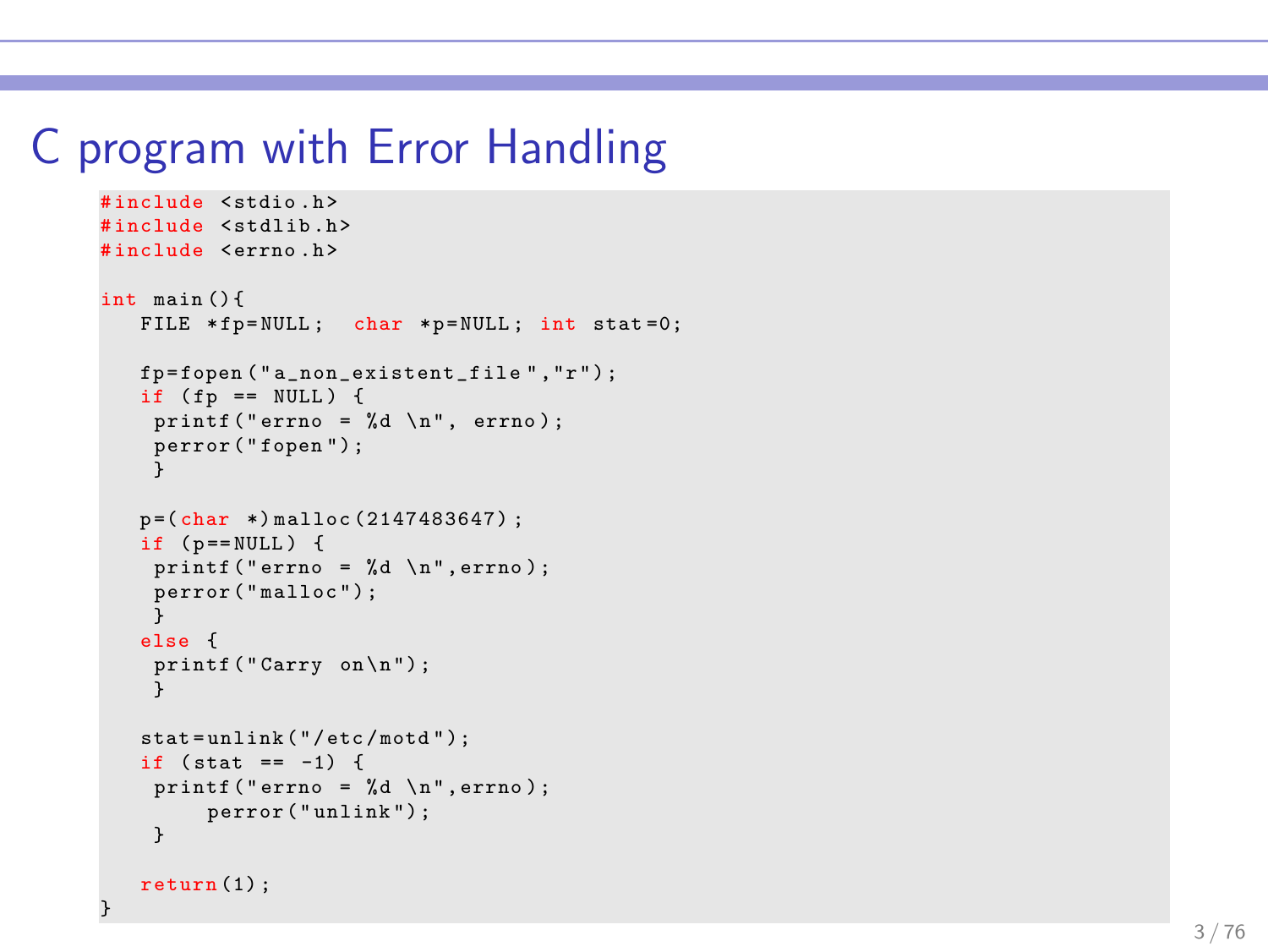### C program with Error Handling

```
#include <stdio.h>
#include <stdlib.h>
#include <errno.h>
int main () {
   FILE *fp=NULL; char *p=NULL; int stat=0;
   fp = fopen ( " a_non_existent _f il e " ,"r " ) ;
   if (f_p == NULL) {
    print(''ermo = %d \n\infty : ...perror ( " fopen ") ; }
   p = (char * ) malloc (2147483647) :
   if (p == NULL) {
     printf (" errno = \sqrt{d} \ln", errno);
    perror ( " malloc " ) ; }
    else
{
     printf ("Carry on\n");
     }
   stat = unlink ( " / etc / motd " );
   if (\text{stat} == -1) {
     printf (" errno = \lambda d \ \ln", errno);
         perror ("unlink");
     }
   return (1):
}
```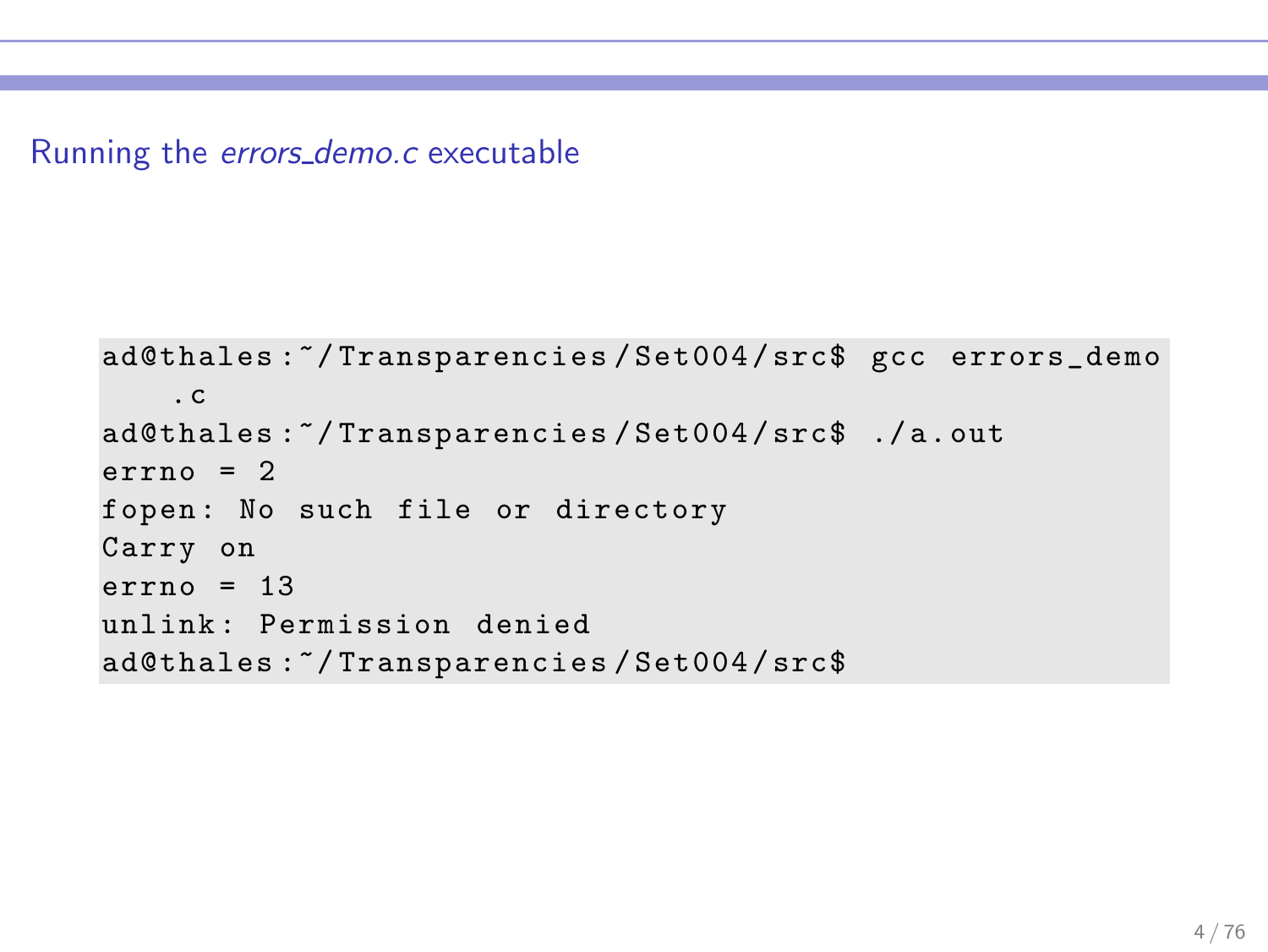Running the errors\_demo.c executable

```
ad@thales :~/ Transparencies / Set004 / src$ gcc errors_demo
    .c
ad@thales :~/ Transparencies / Set004 / src$ ./ a. out
error<sub>0</sub> = 2fopen: No such file or directory
Carry on
error = 13unlink: Permission denied
ad@thales :~/ Transparencies / Set004 / src$
```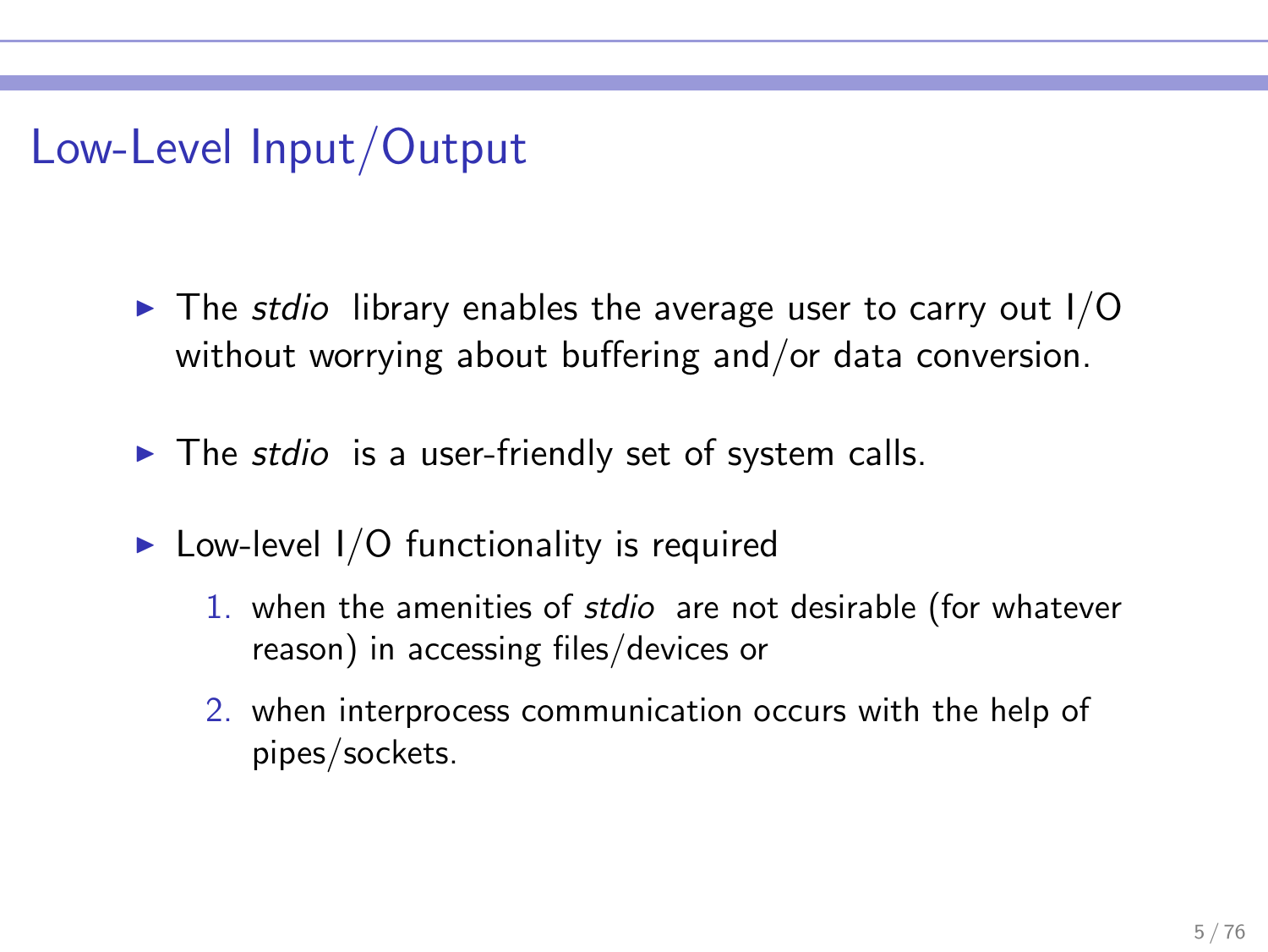# Low-Level Input/Output

- $\triangleright$  The stdio library enables the average user to carry out I/O without worrying about buffering and/or data conversion.
- $\triangleright$  The stdio is a user-friendly set of system calls.
- $\triangleright$  Low-level I/O functionality is required
	- 1. when the amenities of stdio are not desirable (for whatever reason) in accessing files/devices or
	- 2. when interprocess communication occurs with the help of pipes/sockets.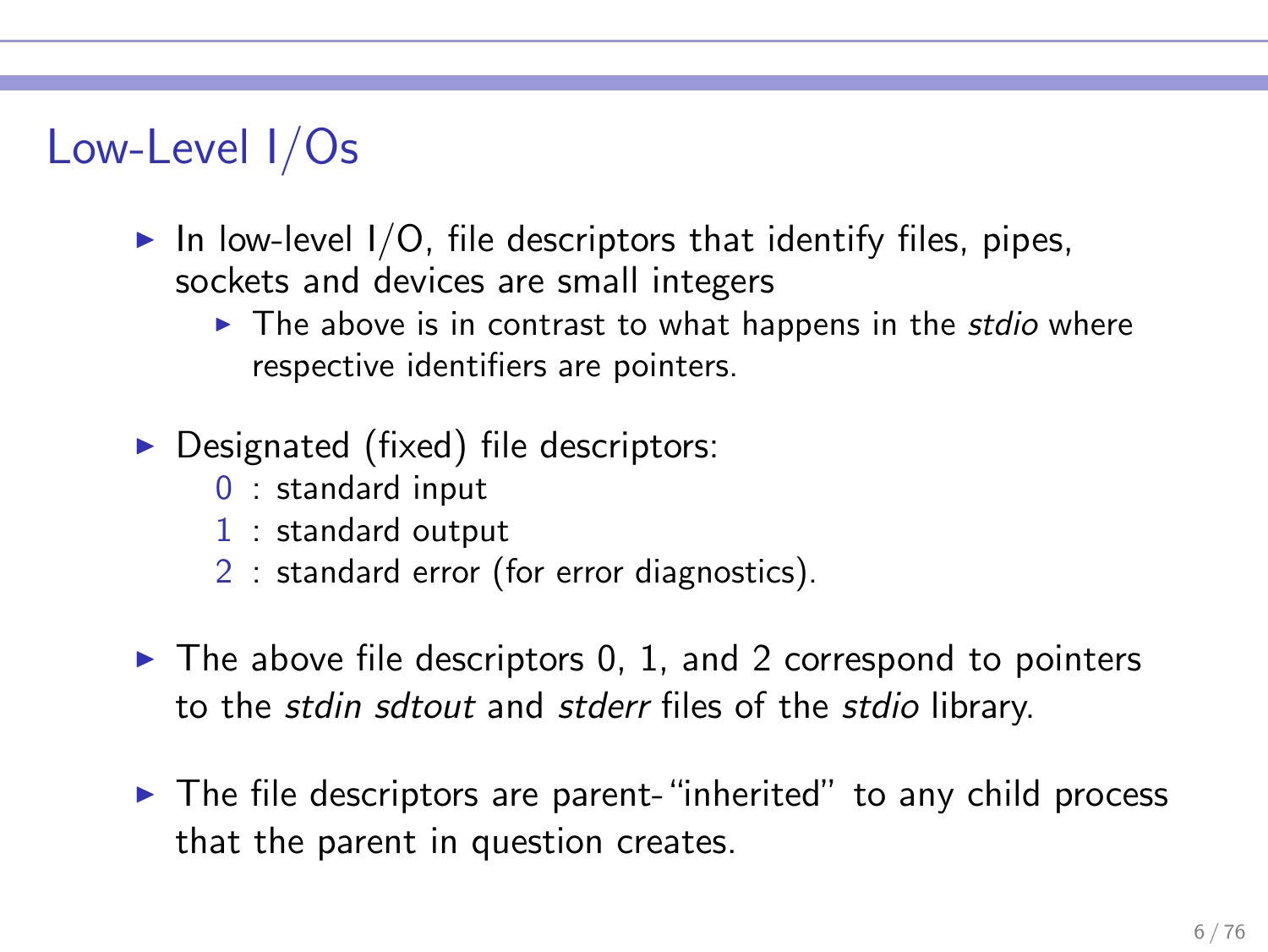# Low-Level I/Os

- $\triangleright$  In low-level I/O, file descriptors that identify files, pipes, sockets and devices are small integers
	- $\triangleright$  The above is in contrast to what happens in the *stdio* where respective identifiers are pointers.
- $\triangleright$  Designated (fixed) file descriptors:
	- 0 : standard input
	- 1 : standard output
	- 2 : standard error (for error diagnostics).
- $\triangleright$  The above file descriptors 0, 1, and 2 correspond to pointers to the stdin sdtout and stderr files of the stdio library.
- ▶ The file descriptors are parent-"inherited" to any child process that the parent in question creates.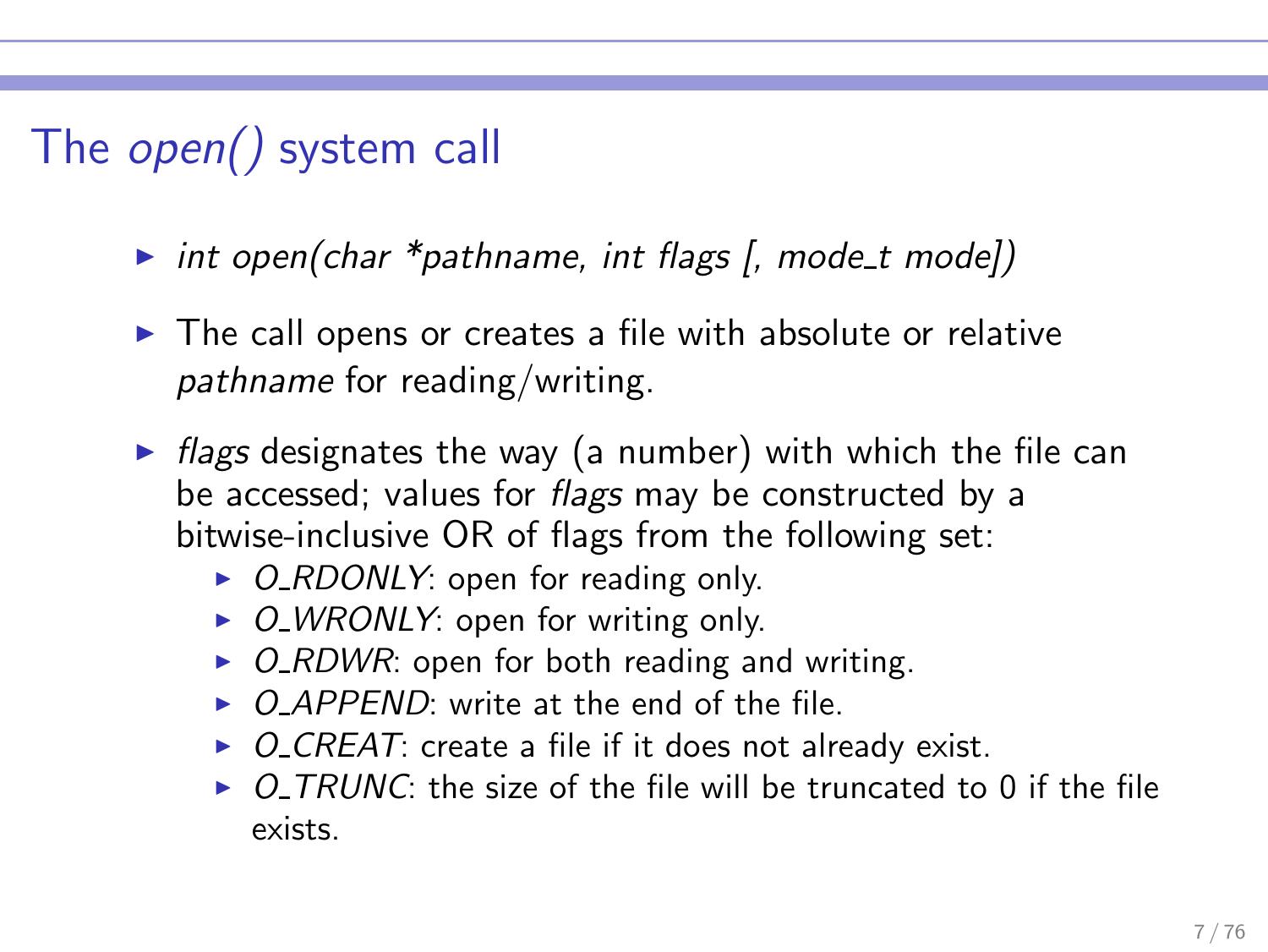# The open() system call

- int open(char \*pathname, int flags  $[$ , mode\_t mode])
- ▶ The call opens or creates a file with absolute or relative pathname for reading/writing.
- $\triangleright$  flags designates the way (a number) with which the file can be accessed; values for *flags* may be constructed by a bitwise-inclusive OR of flags from the following set:
	- $\triangleright$  O\_RDONLY: open for reading only.
	- $\triangleright$  O\_WRONLY: open for writing only.
	- $\triangleright$  O\_RDWR: open for both reading and writing.
	- $\triangleright$  O APPFND: write at the end of the file.
	- $\triangleright$  O\_CREAT: create a file if it does not already exist.
	- $\triangleright$  O TRUNC: the size of the file will be truncated to 0 if the file exists.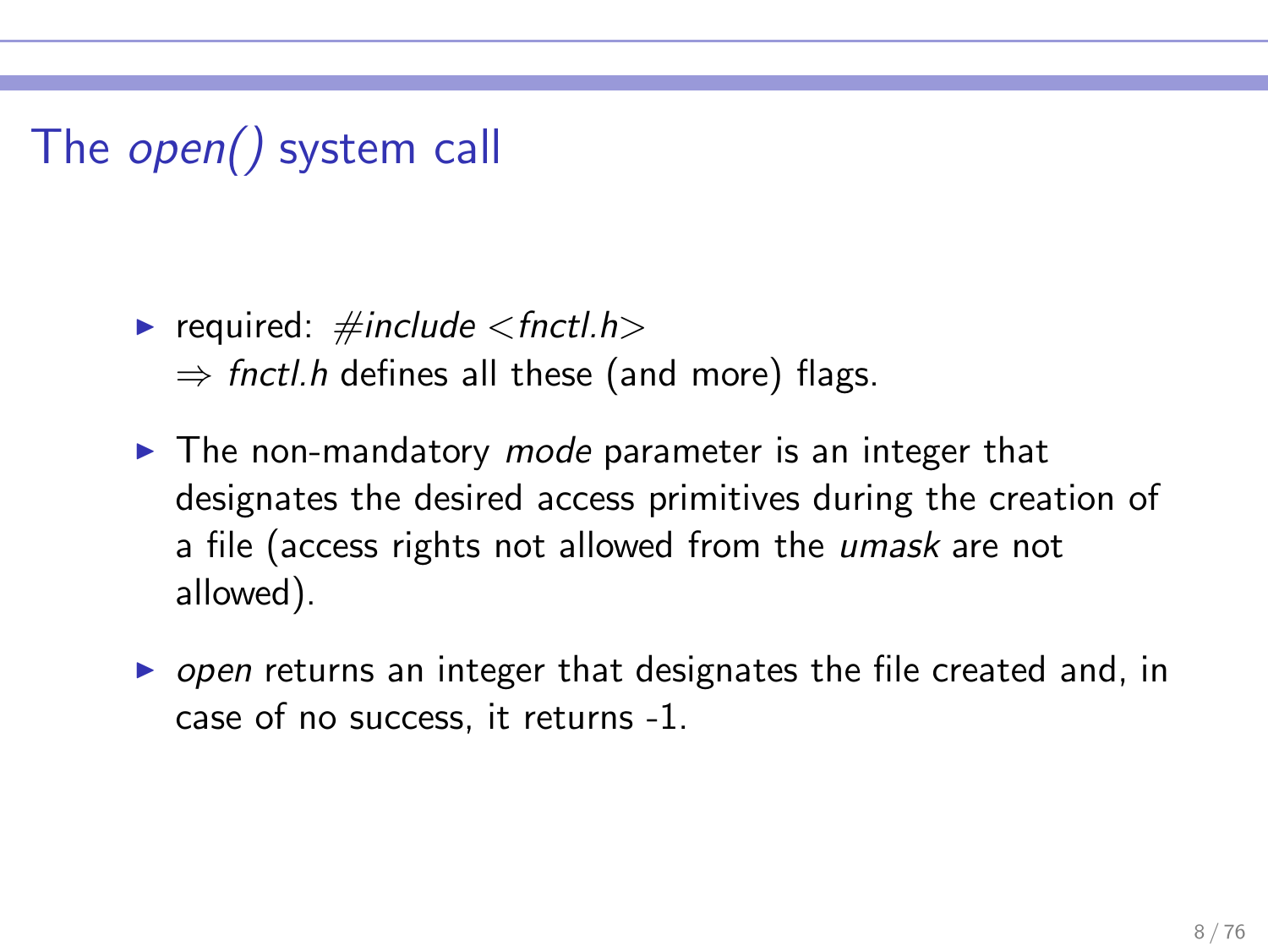# The open() system call

- required:  $\#include <$ fnctl.h>  $\Rightarrow$  fnctl.h defines all these (and more) flags.
- $\blacktriangleright$  The non-mandatory *mode* parameter is an integer that designates the desired access primitives during the creation of a file (access rights not allowed from the *umask* are not allowed).
- ▶ open returns an integer that designates the file created and, in case of no success, it returns -1.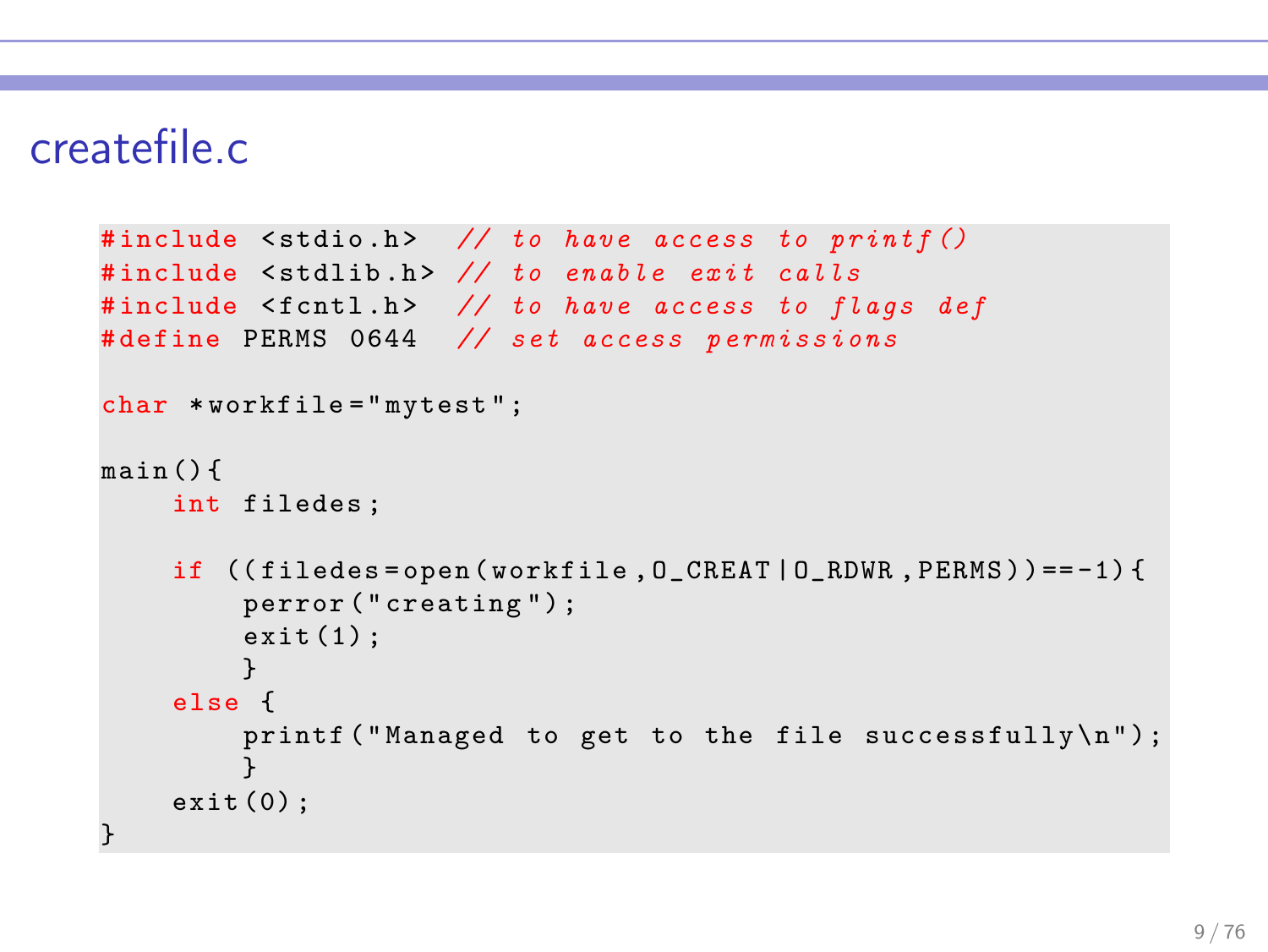### createfile.c

```
#include <stdio.h> // to have access to printf ()
#include <stdlib.h> // to enable exit calls
#include <fcntl.h> // to have access to flags def
#define PERMS 0644 // set access permissions
char *workfile = "mytest";
main () {
    int filedes ;
    if ((filedes=open(workfile, 0_CREAT | 0_RDWR, PERMS)) == -1)perror (" creating ") ;
        exit(1);}
    else {
         printf ("Managed to get to the file successfully\n\langle n" \rangle;
         }
    exit (0) ;
}
```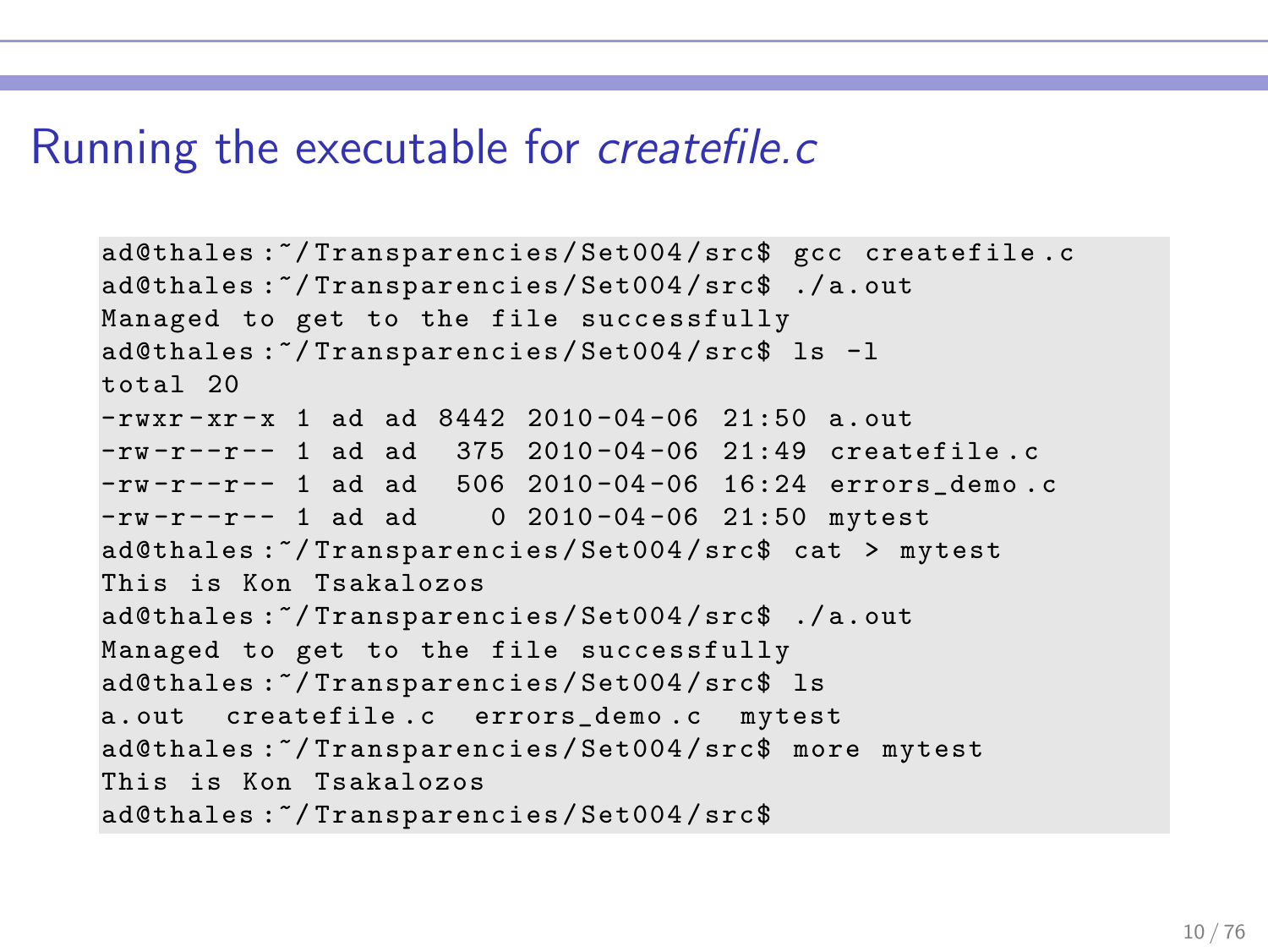#### Running the executable for createfile.c

```
ad@thales :~/ Transparencies / Set004 / src$ gcc createfile .c
ad@thales :~/ Transparencies / Set004 / src$ ./ a. out
Managed to get to the file successfully
ad@thales :~/ Transparencies / Set004 / src$ ls -l
total 20
-rwxr-xr-x 1 ad ad 8442 2010-04-06 21:50 a.out
-\frac{rw - r - r - r - 1}{1} ad ad 375 2010-04-06 21:49 createfile.c
-rw -r --r -- 1 ad ad 506 2010 -04 -06 16:24 errors_demo .c
-rw-r--r-- 1 ad ad 0 2010-04-06 21:50 mytest
ad@thales :~/ Transparencies / Set004 / src$ cat > mytest
This is Kon Tsakalozos
ad@thales :~/ Transparencies / Set004 / src$ ./ a. out
Managed to get to the file successfully
ad@thales :~/ Transparencies / Set004 / src$ ls
a. out createfile .c errors_demo .c mytest
ad@thales :~/ Transparencies / Set004 / src$ more mytest
This is Kon Tsakalozos
ad@thales :~/ Transparencies / Set004 / src$
```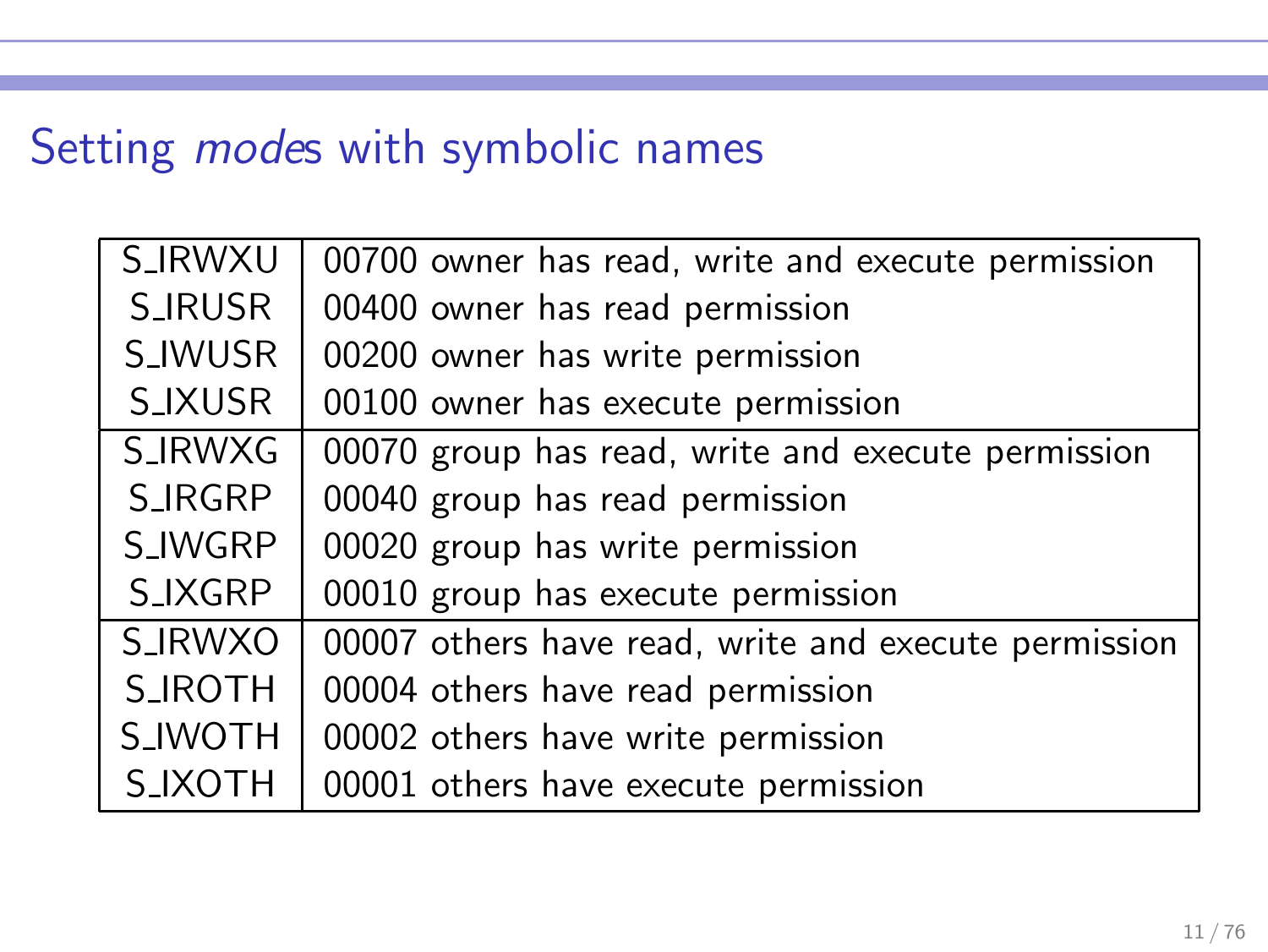# Setting modes with symbolic names

| <b>S_IRWXU</b> | 00700 owner has read, write and execute permission   |
|----------------|------------------------------------------------------|
| S_IRUSR        | 00400 owner has read permission                      |
| <b>S_IWUSR</b> | 00200 owner has write permission                     |
| S_IXUSR        | 00100 owner has execute permission                   |
| S_IRWXG        | 00070 group has read, write and execute permission   |
| S_IRGRP        | 00040 group has read permission                      |
| S_IWGRP        | 00020 group has write permission                     |
| S_IXGRP        | 00010 group has execute permission                   |
| <b>S_IRWXO</b> | 00007 others have read, write and execute permission |
| <b>S_IROTH</b> | 00004 others have read permission                    |
| <b>S_IWOTH</b> | 00002 others have write permission                   |
| <b>S_IXOTH</b> | 00001 others have execute permission                 |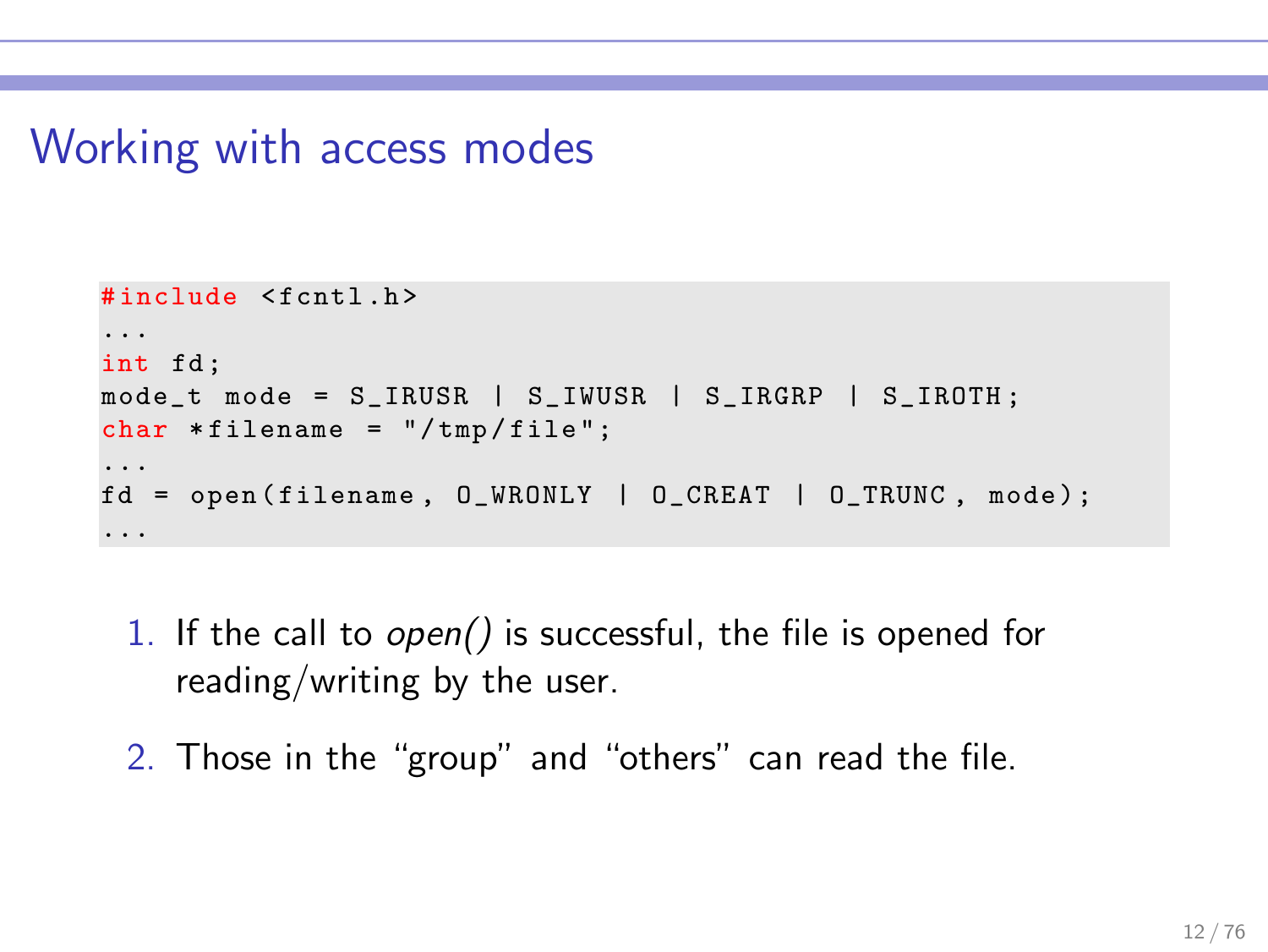### Working with access modes

```
#include <fcntl h>
...
int fd;
mode_t mode = S_IRUSR | S_IIWUSR | S_IIRGRP | S_IIROTH;
char * filename = "/tmp / file";...
fd = open(filename, O_WRONLY | O_CREAT | O_TRWC, mode);...
```
- 1. If the call to open() is successful, the file is opened for reading/writing by the user.
- 2. Those in the "group" and "others" can read the file.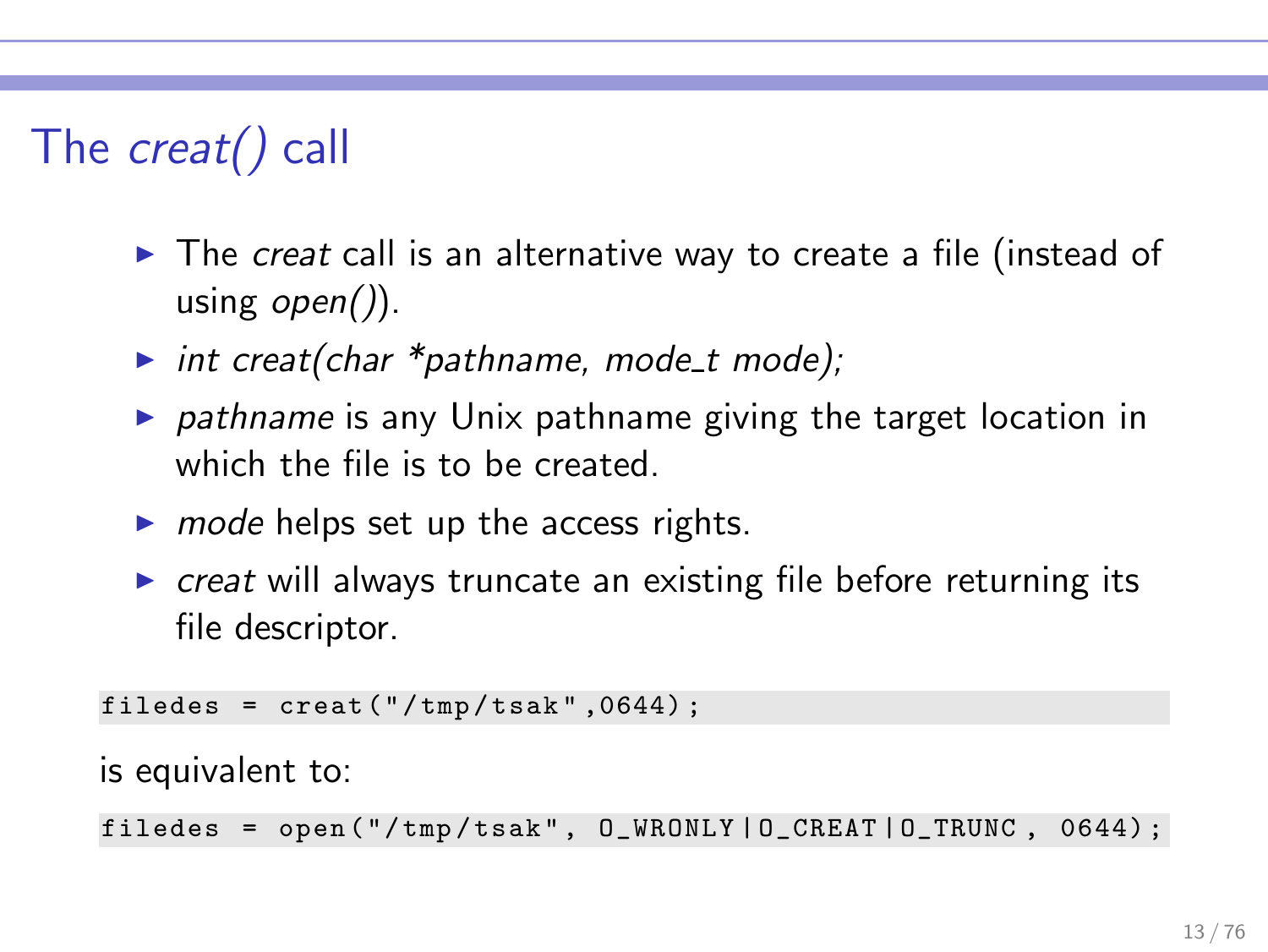# The creat() call

- $\triangleright$  The creat call is an alternative way to create a file (instead of using  $open()$ .
- int creat(char  $*$ pathname, mode t mode);
- $\triangleright$  pathname is any Unix pathname giving the target location in which the file is to be created.
- $\triangleright$  mode helps set up the access rights.
- $\triangleright$  creat will always truncate an existing file before returning its file descriptor.

filedes =  $\text{creat}("/tmp/tsak", 0644)$ ;

is equivalent to:

filedes =  $open('/tmp/task", 0_WRONLY | 0_CREAT | 0_TRWC , 0644);$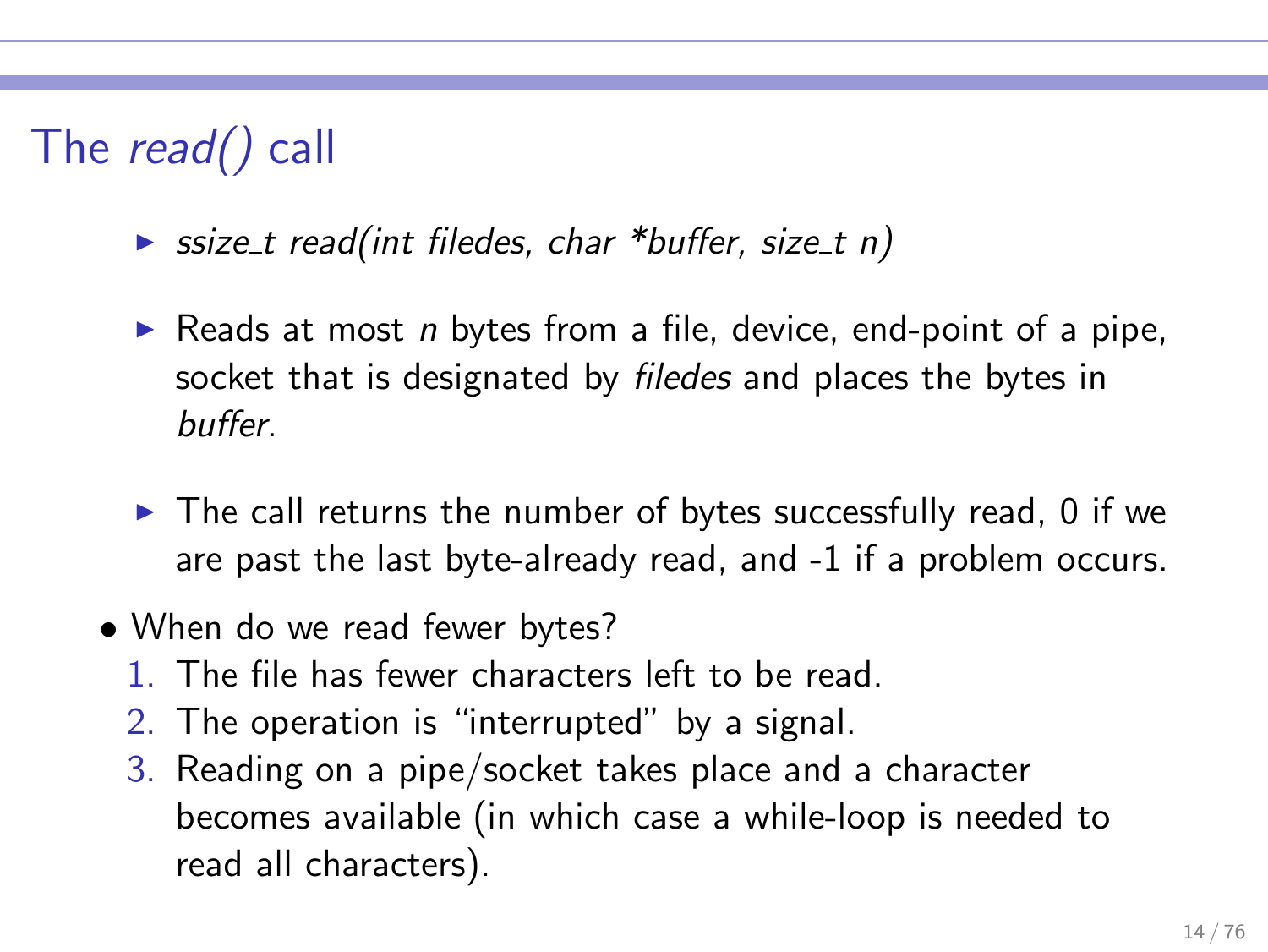# The read() call

- $\triangleright$  ssize\_t read(int filedes, char \*buffer, size\_t n)
- Reads at most n bytes from a file, device, end-point of a pipe, socket that is designated by *filedes* and places the bytes in buffer.
- $\blacktriangleright$  The call returns the number of bytes successfully read, 0 if we are past the last byte-already read, and -1 if a problem occurs.
- When do we read fewer bytes?
	- 1. The file has fewer characters left to be read.
	- 2. The operation is "interrupted" by a signal.
	- 3. Reading on a pipe/socket takes place and a character becomes available (in which case a while-loop is needed to read all characters).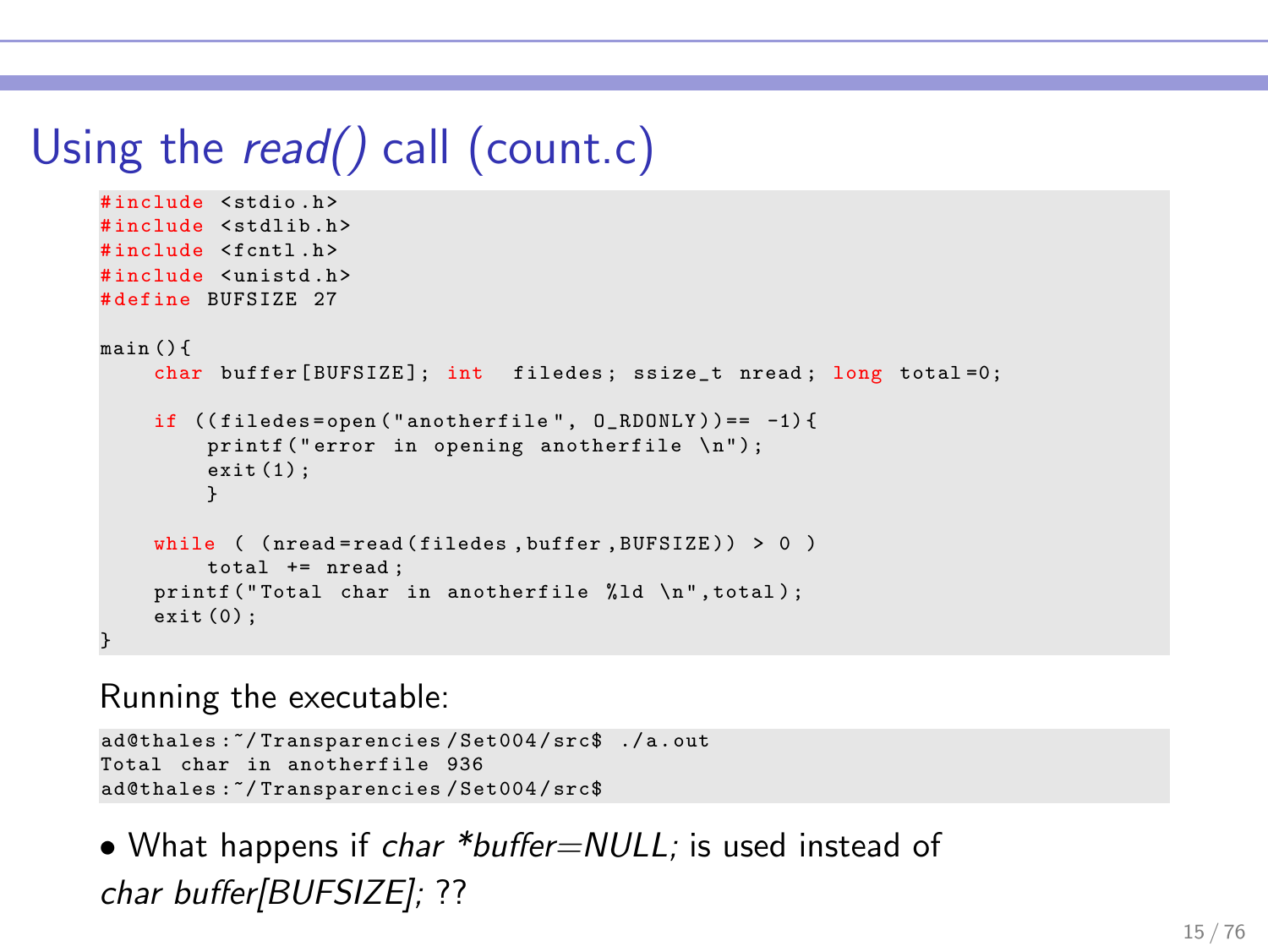# Using the *read()* call (count.c)

```
# include < stdio .h >
#include <stdlib.h>
#include <fcntl.h>
# include < unistd .h >
# define BUFSIZE 27
main () {
    char buffer [BUFSIZE]; int filedes; ssize_t nread; long total=0;
    if ((filees=open("anotherfile", 0_RDDNLY)) == -1)printf ("error in opening anotherfile \n"):
        exit(1);
         }
    while ( (nread=read (filedes, buffer, BUFSIZE)) > 0 )
        total += nread ;
    printf ("Total char in anotherfile %ld \n", total);
    exit (0) ;
}
```
Running the executable:

```
ad@thales :~/ Transparencies / Set004 / src$ ./ a . out
Total char in anotherfile 936
ad@thales :~/ Transparencies / Set004 / src$
```
• What happens if char \*buffer=NULL; is used instead of char buffer[BUFSIZE]; ??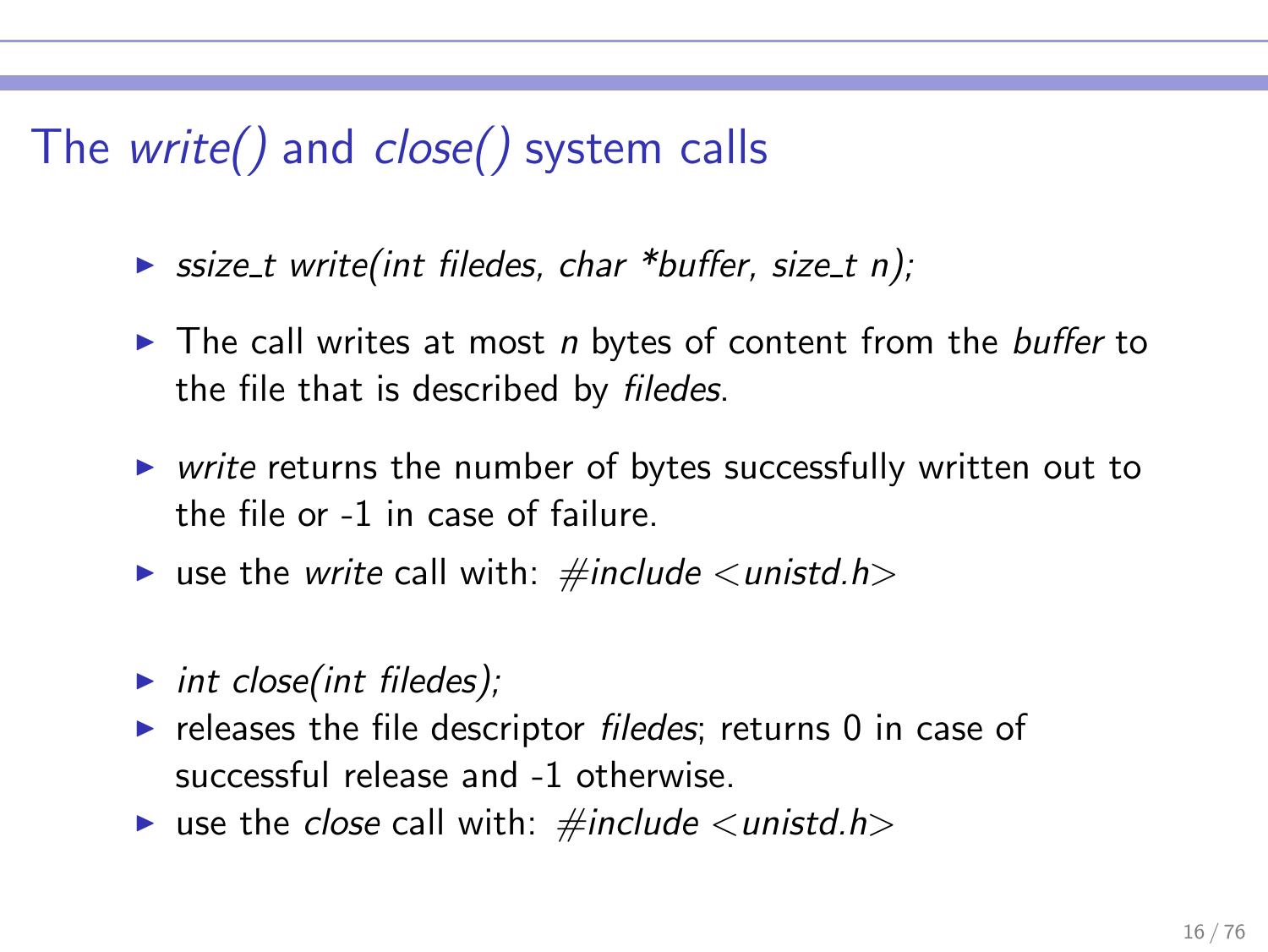# The write() and close() system calls

- $\triangleright$  ssize t write(int filedes, char \*buffer, size t n);
- $\triangleright$  The call writes at most *n* bytes of content from the *buffer* to the file that is described by filedes.
- ▶ write returns the number of bytes successfully written out to the file or -1 in case of failure.
- use the write call with:  $\#include \langle units \rangle$
- $\triangleright$  int close(int filedes);
- $\triangleright$  releases the file descriptor *filedes*; returns 0 in case of successful release and -1 otherwise.
- use the close call with:  $\#include \langle units \rangle$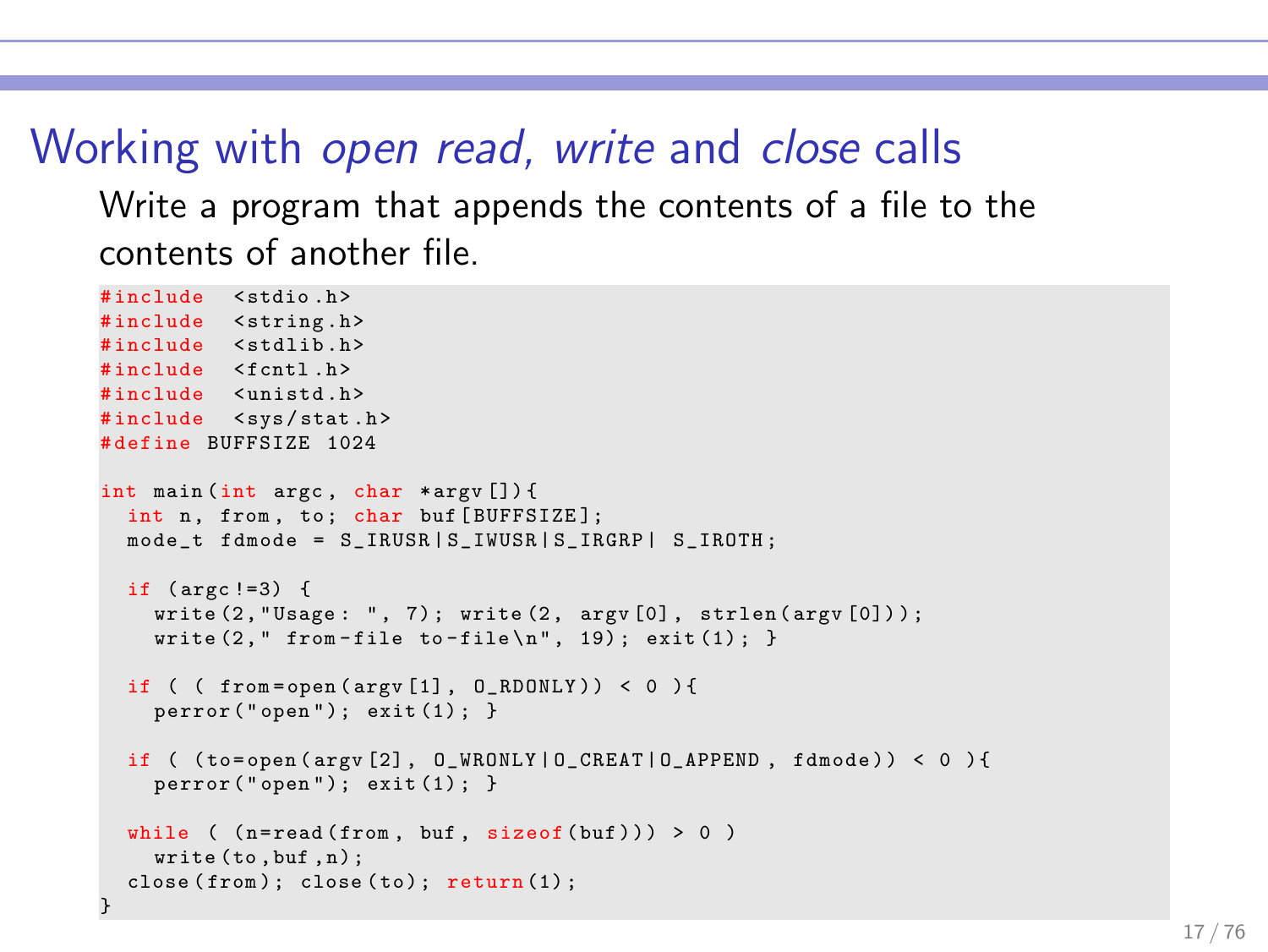### Working with open read, write and close calls

Write a program that appends the contents of a file to the contents of another file.

```
#include <stdio.h>
#include <string.h>
#include <stdlib.h>
# include < fcntl .h >
#include <unistd.h>
#include <svs/stat.h>
# define BUFFSIZE 1024
int main (int argc , char * argv []) {
  int n. from, to: char buf [BUFFSIZE];
  mode_t fdmode = S_IRUSR | S_IWUSR | S_IRGRP | S_IROTH;
  if (\text{arc} != 3) {
    write(2, "Usage: ", 7); write(2, argv[0], strlen(argv[0]));
    write (2, " from-file to-file\n'n", 19); exit(1); }
  if ( ( from = open (argy [1], ( RDONLY ) ) \leq ( ) \{perror("open"); exit (1);if ( (to=open (ary [2], 0_WRONLY | 0_CREAT | 0_APPEND, fdmode)) < 0 ) {
    perror("open"); exit (1);while ( ( n = read ( from, but, size of ( <i>but</i> ) ) > 0 )write (to , buf , n) ;
  close(from): close(to): return(1):}
```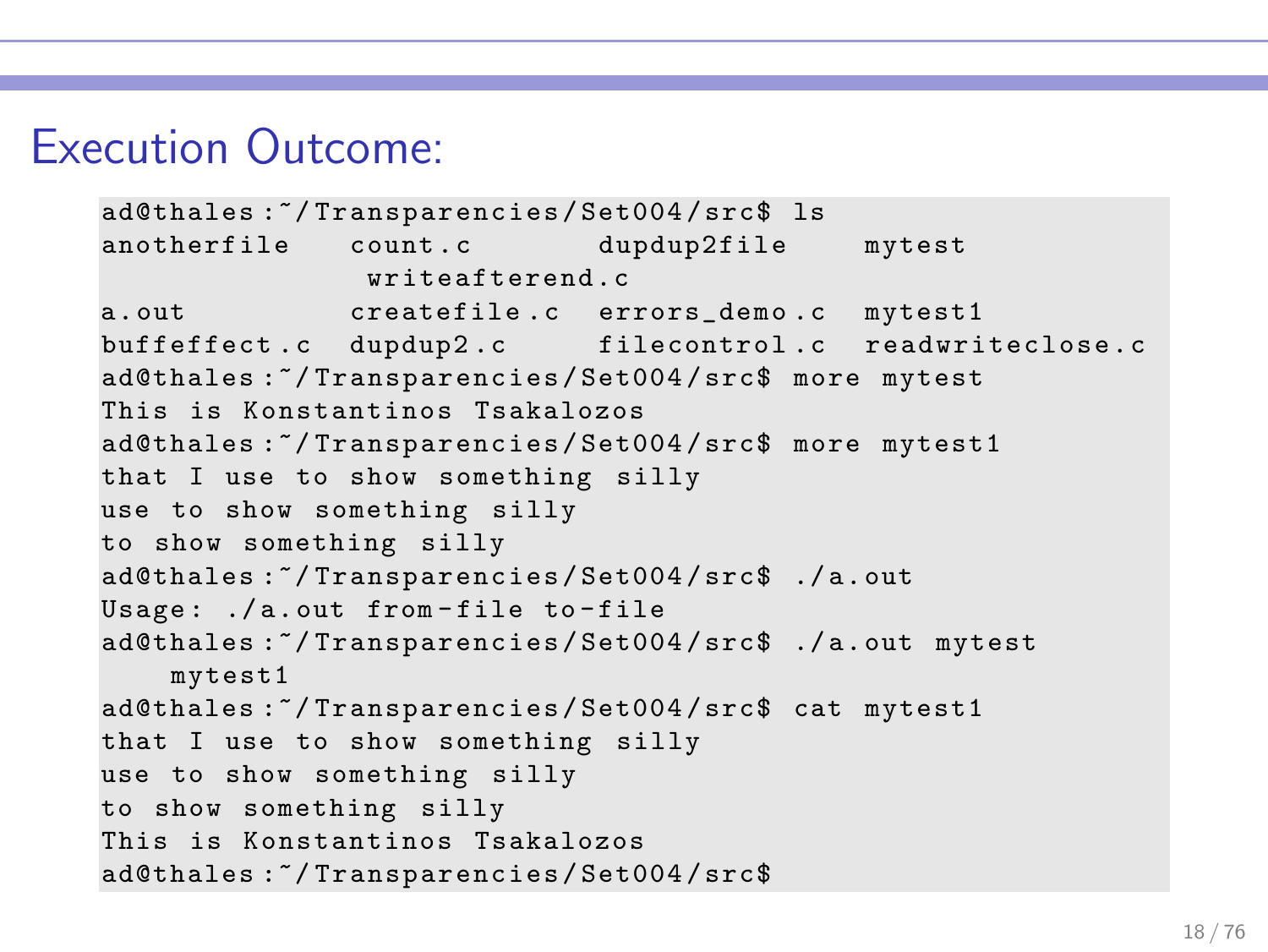### Execution Outcome:

```
ad@thales :~/ Transparencies / Set004 / src$ ls
anotherfile count.c dupdup2file mytest
              writeafterend c
a. out createfile .c errors_demo .c mytest1
buffeffect.c dupdup2.c filecontrol.c readwriteclose.c
ad@thales :~/ Transparencies / Set004 / src$ more mytest
This is Konstantinos Tsakalozos
ad@thales :~/ Transparencies / Set004 / src$ more mytest1
that I use to show something silly
use to show something silly
to show something silly
ad@thales :~/ Transparencies / Set004 / src$ ./ a. out
Usage: ./a.out from-file to-file
ad@thales :~/ Transparencies / Set004 / src$ ./ a. out mytest
    mytest1
ad@thales :~/ Transparencies / Set004 / src$ cat mytest1
that I use to show something silly
use to show something silly
to show something silly
This is Konstantinos Tsakalozos
ad@thales :~/ Transparencies / Set004 / src$
```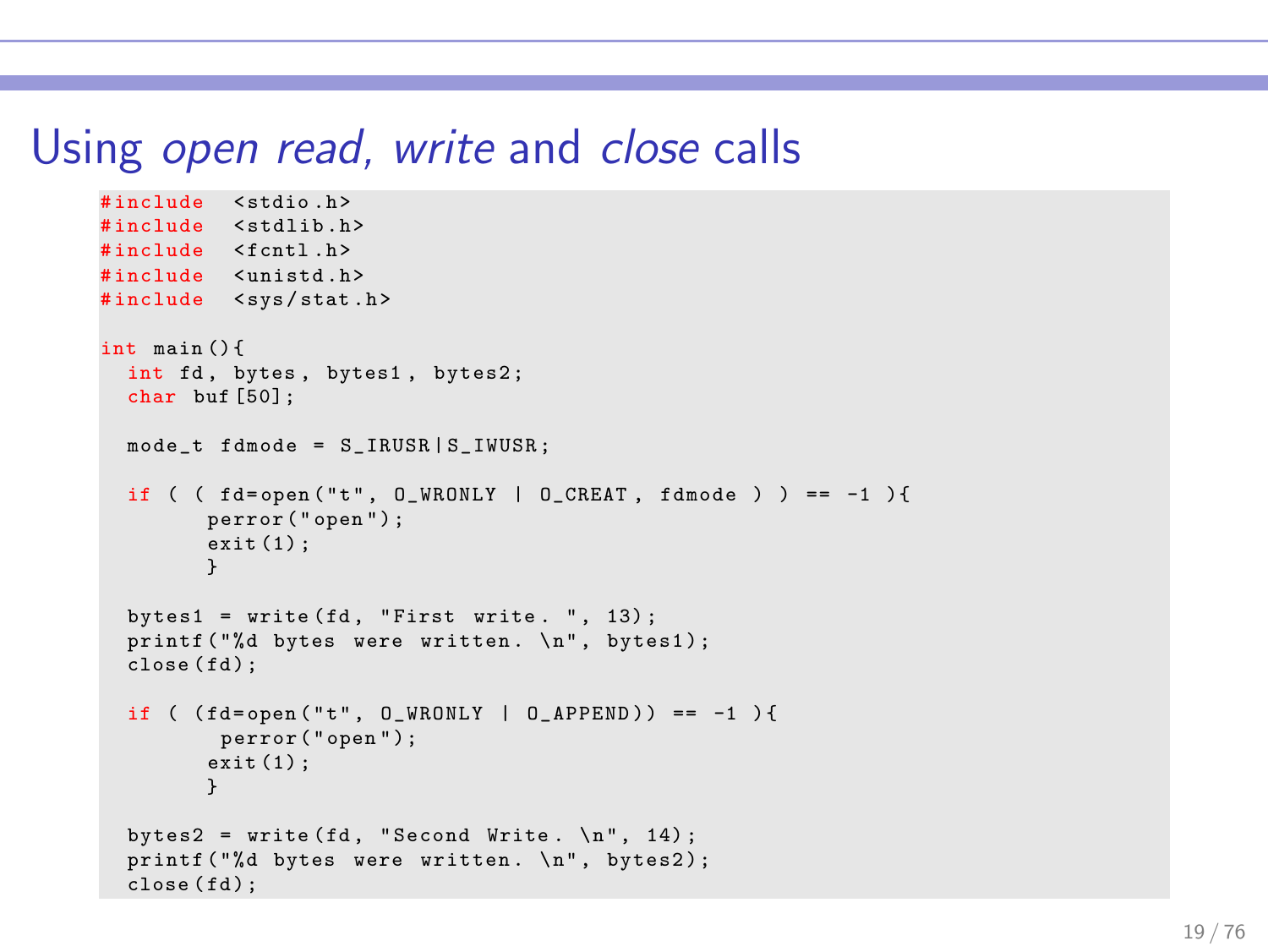#### Using open read, write and close calls

```
# include < stdio .h >
#include <stdlib.h>
#include <fcntl.h>
# include < unistd .h >
#include <sys/stat.h>
int main () {
  int fd, bytes, bytes1, bytes2;
  char buf [50];
  mode t fdmode = S_IRUSR | S_IWUSR ;
  if ( ( fd=open ("t", 0_WRONLY | 0_CCREAT, fdmode ) ) == -1 ){
         perror ( " open " ) ;
         ext(1);
         }
  bytes1 = write (fd, "First write. ", 13);printf ("%d bytes were written. \n \n \nu", bytes1);
  close(fd):
  if ( (fd = open("t", 0 \text{ WRONLY} | 0 \text{ APPEND})) == -1 ) {
         perror ("open");
         ext(1):
         }
  bvtes2 = write fd. "Second Write, \{n\}. 14):
  printf ("%d bytes were written. \n \n \nu", bytes2);
  close(fd):
```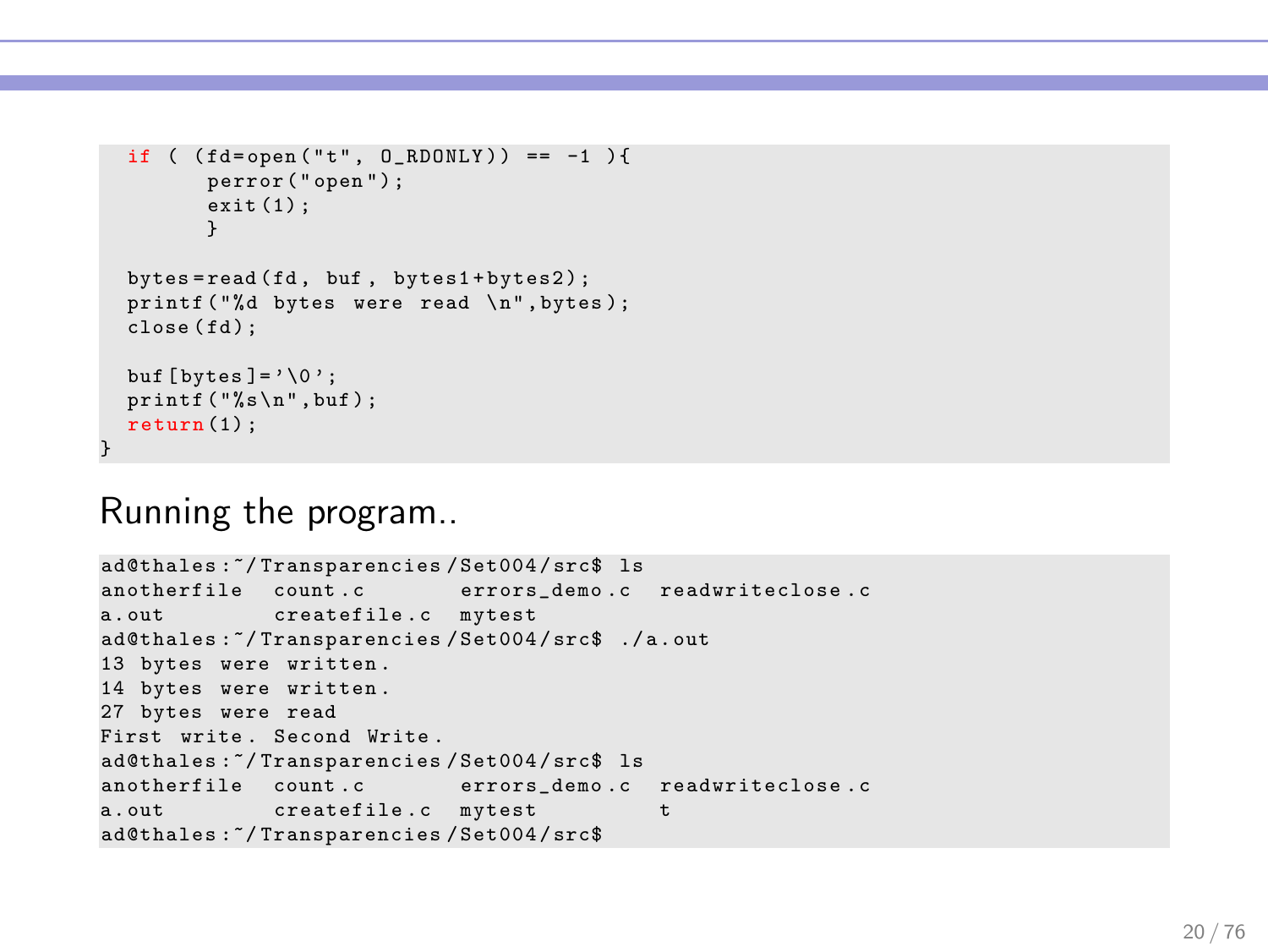```
if ( (fd = open("t", 0 RDOMLY)) == -1 ){
         perror ("open");
         exit (1) ;
         }
  bytes = read ( fd , buf , bytes1 + bytes2 ) ;
 printf ("%d bytes were read \n", bytes);
  close(fd):
 buf [\text{bytes}] = \{0\}:
 printf("%s\nu", but);return (1) ;
}
```
#### Running the program..

```
ad@thales :~/ Transparencies / Set004 / src$ ls
anotherfile count.c errors_demo.c readwriteclose.c
a.out createfile.c mytest
ad@thales :~/ Transparencies / Set004 / src$ ./ a . out
13 bytes were written .
14 bytes were written .
27 bytes were read
First write . Second Write .
ad@thales :~/ Transparencies / Set004 / src$ ls
anotherfile count.c errors_demo.c readwriteclose.c
a.out createfile.c mytest t
ad@thales :~/ Transparencies / Set004 / src$
```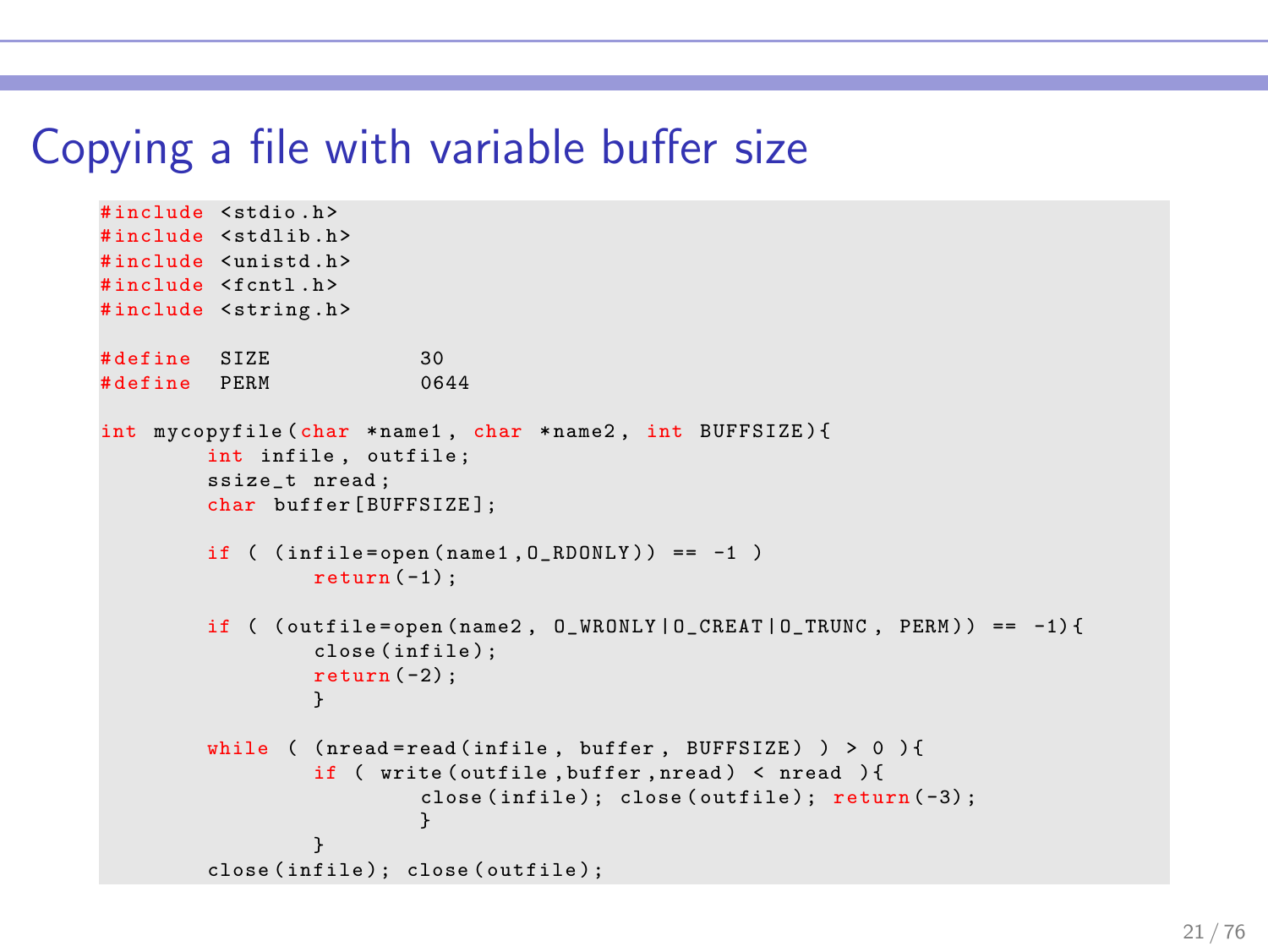#### Copying a file with variable buffer size

```
# include < stdio .h >
#include <stdlib.h>
# include < unistd .h >
# include < fcntl .h >
#include <string.h>
# define SIZE 30<br># define PERM 0644
# define PERM
int mycopyfile ( char * name1 , char * name2 , int BUFFSIZE ) {
         int infile, outfile:
         ssize_t nread ;
         char buffer [BUFFSIZE];
         if (infile=open(name1,0_RDONLY)) == -1)return (-1) ;
         if ( (\text{outfile=open} ( \text{name2} , 0, \text{WRONLY} | 0, \text{CREAT} | 0, \text{TRUNC} , \text{PERM} )) == -1) {
                   close ( infile ) ;
                   return (-2):
                   }
         while ( (nread = read (infile, buffer, BUFFSIZE) ) > 0 ) {
                   if ( write ( outfile , buffer , nread ) < nread ) {
                             close (infile); close (outfile); return (-3);
                              }
          }
close ( infile ) ; close ( outfile ) ;
```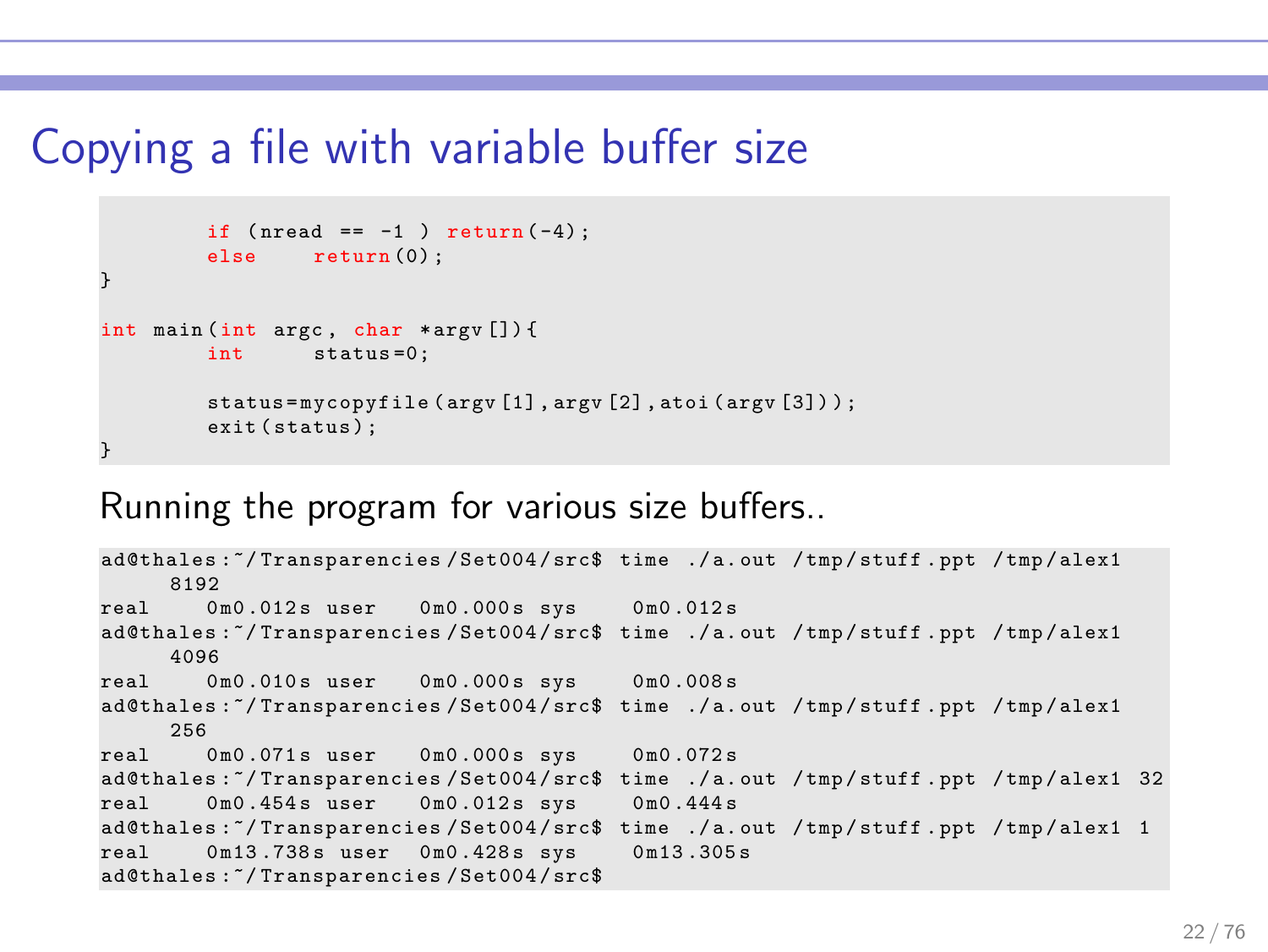#### Copying a file with variable buffer size

```
if (nread == -1 ) return <math>(-4);<br>else return (0):
                     return (0) ;
}
int main (int argc, char * argv [ ]) {<br>int status=0;
                       status = 0:
           status=mycopyfile (argy [1], argy [2], atoi (argy [3]));
           exit (status):
}
```
#### Running the program for various size buffers..

```
ad@thales :~/ Transparencies / Set004 / src$ time ./ a. out / tmp / stuff . ppt / tmp / alex1
     8192
real  0m0.012s user  0m0.000s sys  0m0.012s
ad@thales :~/ Transparencies / Set004 / src$ time ./ a. out / tmp / stuff . ppt / tmp / alex1
     4096
real  0m0.010s user  0m0.000s sys  0m0.008s
ad@thales :~/ Transparencies / Set004 / src$ time ./ a. out / tmp / stuff . ppt / tmp / alex1
     256<br>0 \text{ m}0 071s user
real 0m0.071s user 0m0.000s sys 0m0.072s
ad@thales :~/ Transparencies / Set004 / src$ time ./ a. out / tmp / stuff . ppt / tmp / alex1 32
real  0m0.454s user  0m0.012s sys  0m0.444s
ad@thales :~/ Transparencies / Set004 / src$ time ./ a. out / tmp / stuff . ppt / tmp / alex1 1
real  0m13.738s user  0m0.428s sys  0m13.305s
ad@thales :~/ Transparencies / Set004 / src$
```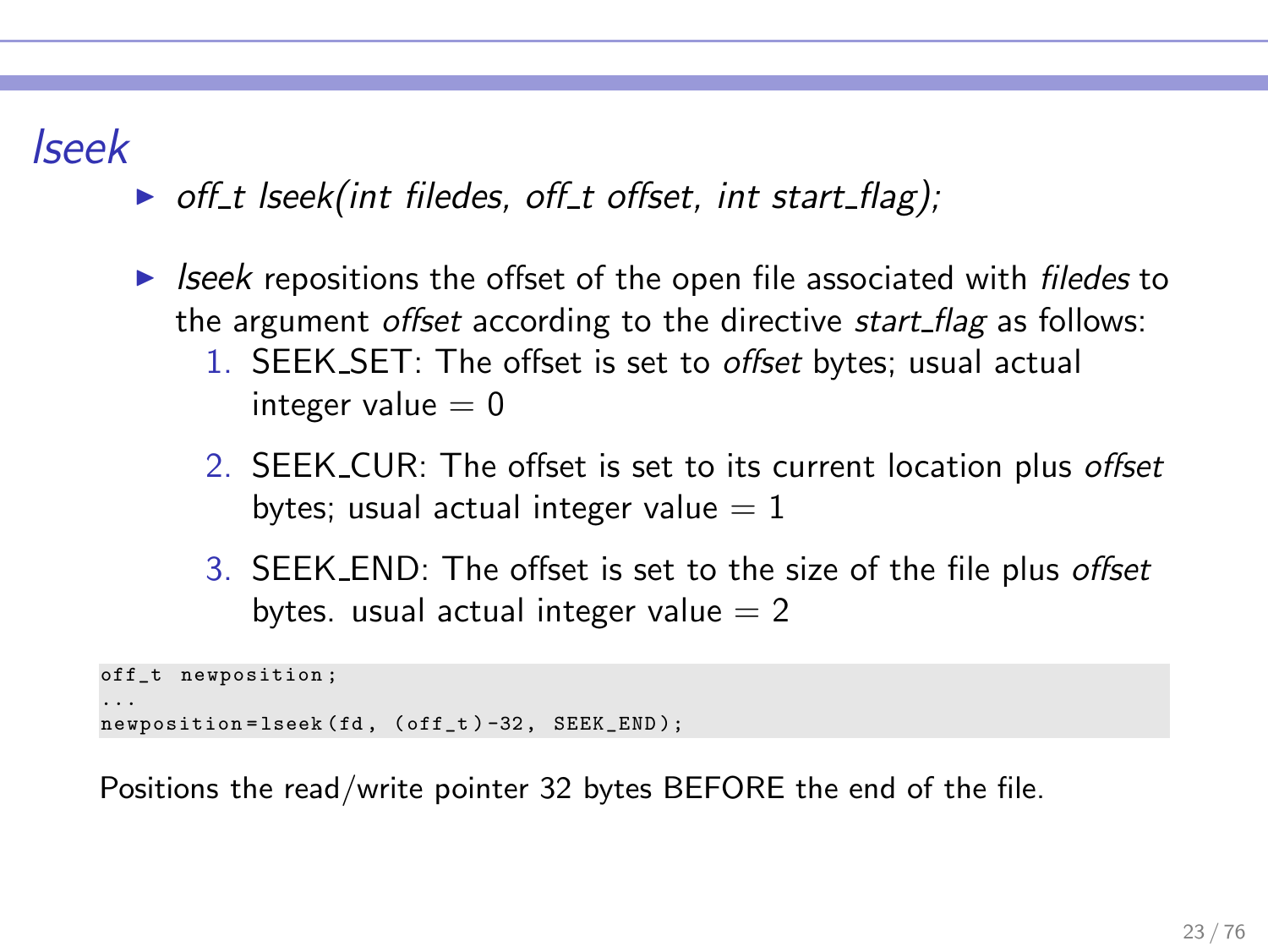# lseek

- $\triangleright$  off t lseek(int filedes, off t offset, int start flag);
- $\triangleright$  lseek repositions the offset of the open file associated with *filedes* to the argument offset according to the directive start flag as follows:
	- 1. SEEK SET: The offset is set to *offset* bytes; usual actual integer value  $= 0$
	- 2. SEEK CUR: The offset is set to its current location plus offset bytes; usual actual integer value  $= 1$
	- 3. SEEK END: The offset is set to the size of the file plus offset bytes. usual actual integer value  $= 2$

```
off_t newposition ;
...
newposition = lseek (fd , ( off_t ) -32 , SEEK_END );
```
Positions the read/write pointer 32 bytes BEFORE the end of the file.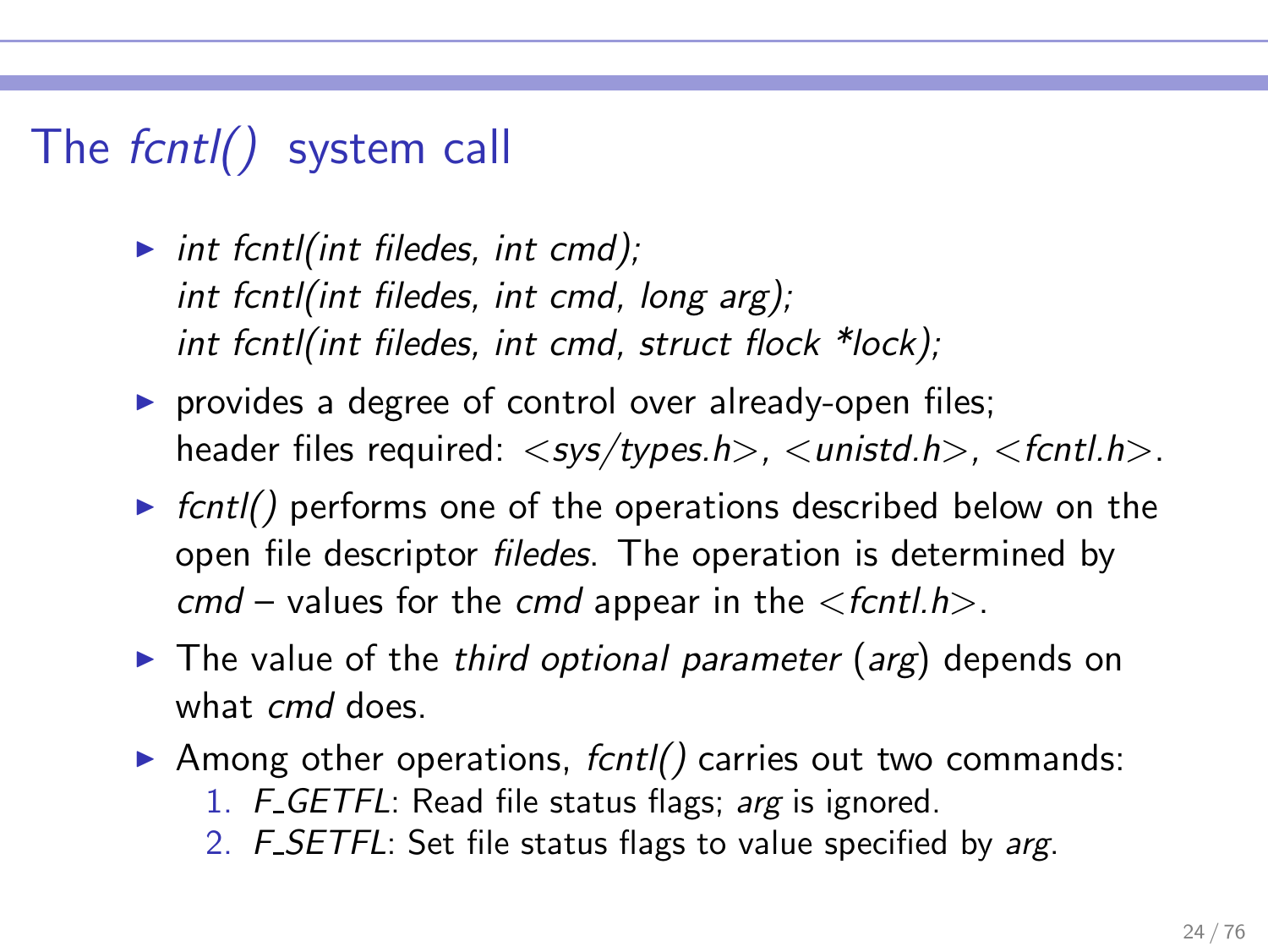# The fcntl() system call

- int fcntl(int filedes, int cmd); int fcntl(int filedes, int cmd, long arg); int fcntl(int filedes, int cmd, struct flock \*lock);
- ▶ provides a degree of control over already-open files; header files required:  $\langle$ sys/types.h>,  $\langle$ unistd.h>,  $\langle$ f $\langle$ rtl.h>.
- $\triangleright$  fcntl() performs one of the operations described below on the open file descriptor filedes. The operation is determined by  $cmd$  – values for the cmd appear in the  $\le$  f $cntl.h$ .
- $\triangleright$  The value of the third optional parameter (arg) depends on what *cmd* does.
- $\triangleright$  Among other operations, fcntl() carries out two commands:
	- 1. F GETFL: Read file status flags; arg is ignored.
	- 2. F SETFL: Set file status flags to value specified by arg.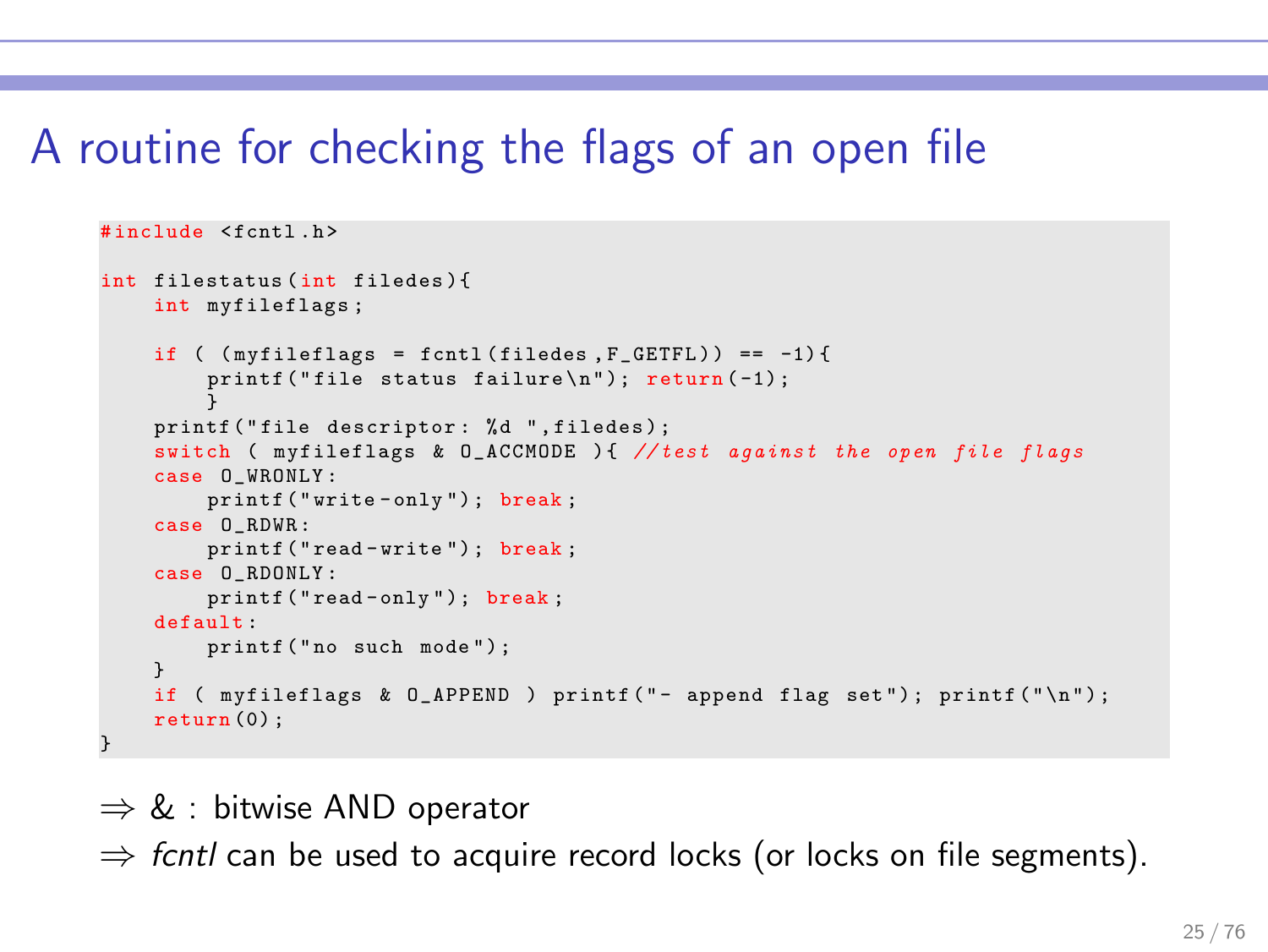# A routine for checking the flags of an open file

```
# include < fcntl .h >
int filestatus ( int filedes ){
    int myfileflags ;
    if ( (myfileflags = fcnt1(filedes, F_GETFL)) == -1) {
        printf ("file status failure\n"); return (-1);
         }
    printf ("file descriptor: %d ",filedes);
    switch ( myfileflags & O_ACCMODE ) { // test against the open file flags
    case O_WRONLY :
        printf ("write-only"); break;
    case O_RDWR :
        printf ("read-write"); break;
    case O_RDONLY :
        printf ("read-only"); break;
    default :
        printf ("no such mode"):
    }
    if ( myfileflags \& D_APPEND ) printf ("- append flag set"); printf ("\n\frac{n}{2});
    return (0) ;
}
```
 $\Rightarrow$  & : bitwise AND operator

 $\Rightarrow$  fcntl can be used to acquire record locks (or locks on file segments).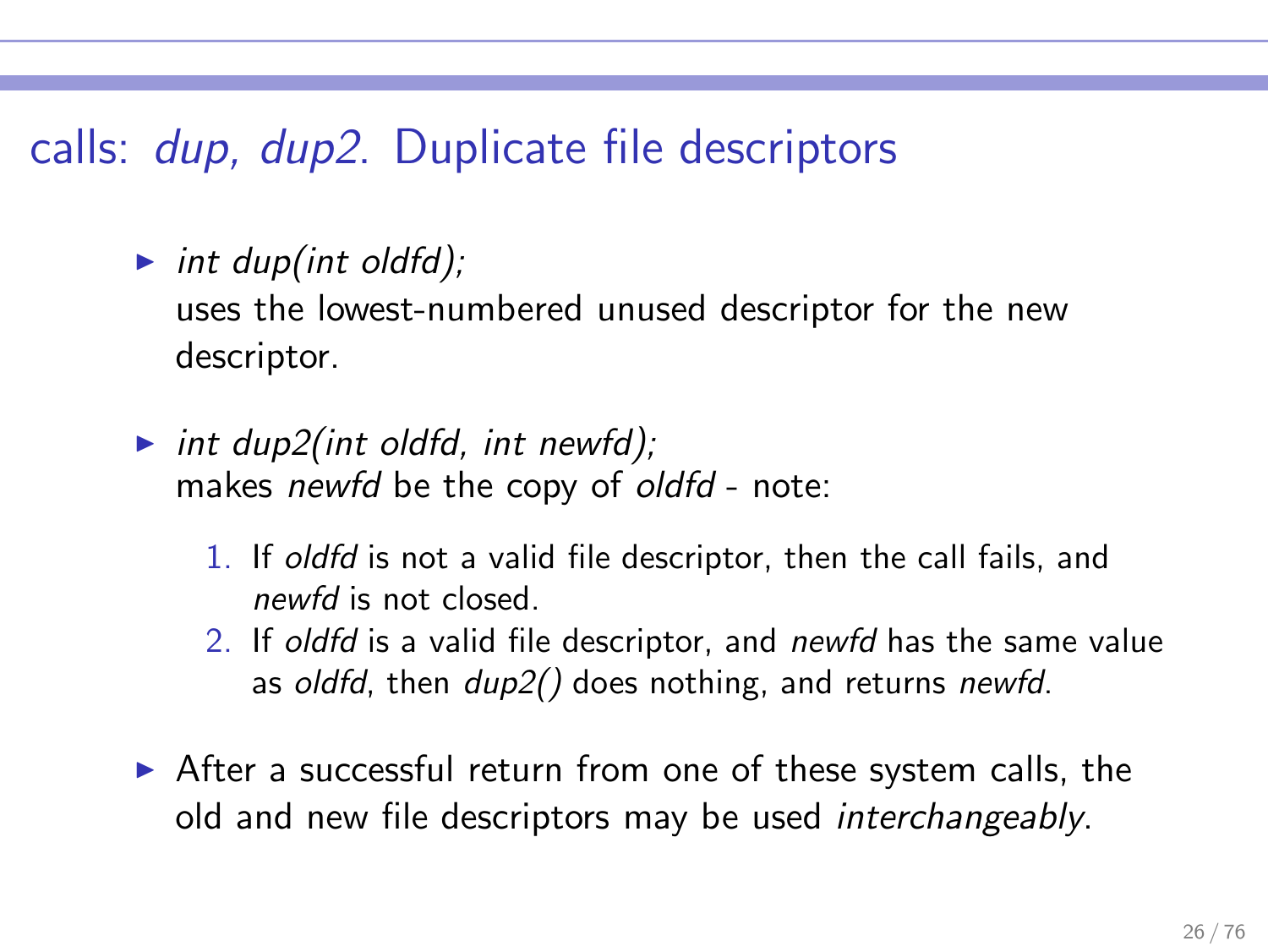# calls: dup, dup2. Duplicate file descriptors

int dup(int oldfd);

uses the lowest-numbered unused descriptor for the new descriptor.

- int dup2(int oldfd, int newfd); makes newfd be the copy of oldfd - note:
	- 1. If oldfd is not a valid file descriptor, then the call fails, and newfd is not closed.
	- 2. If oldfd is a valid file descriptor, and newfd has the same value as oldfd, then  $dup2()$  does nothing, and returns newfd.
- ▶ After a successful return from one of these system calls, the old and new file descriptors may be used interchangeably.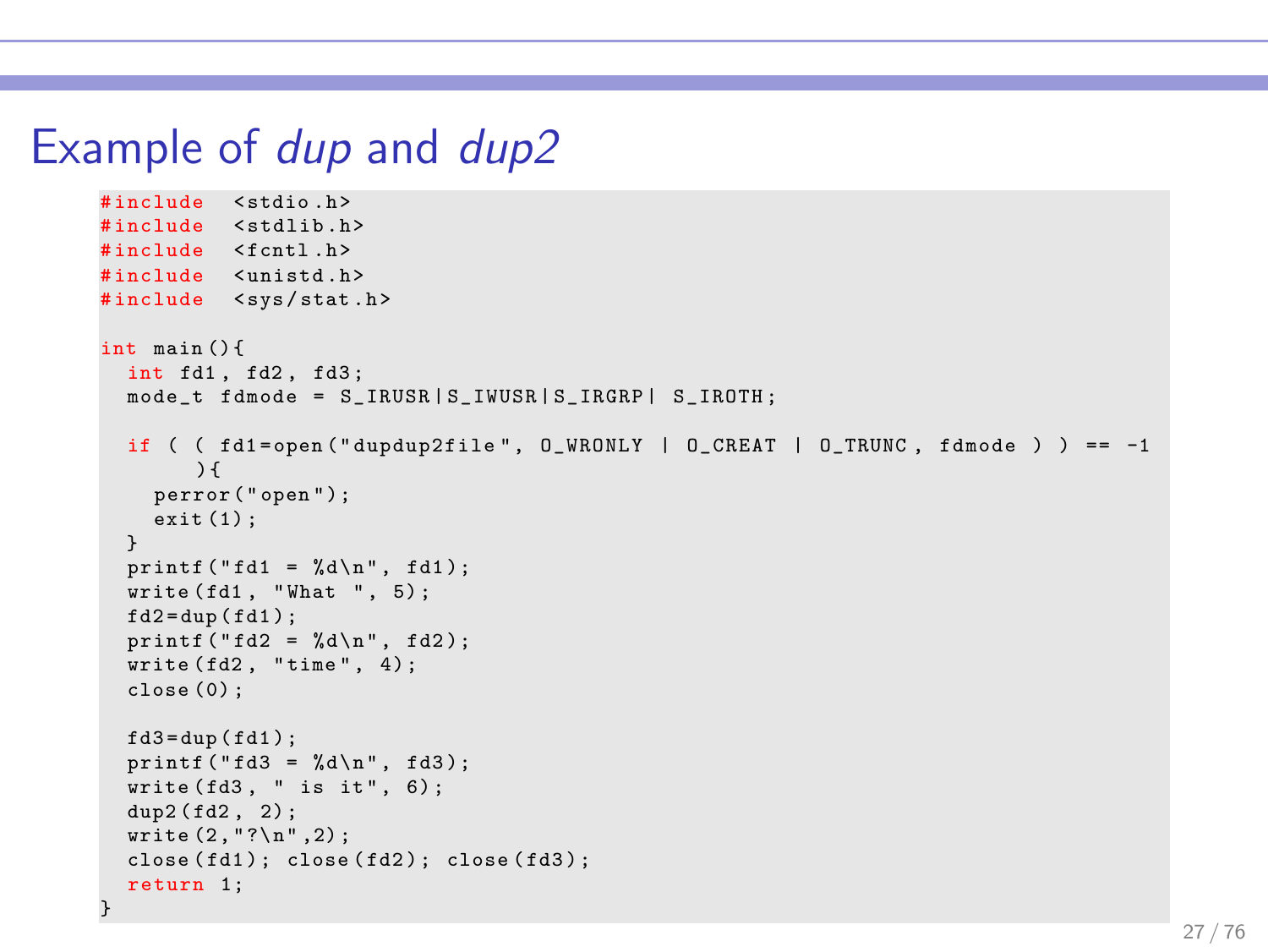#### Example of dup and dup2

```
#include <stdio h>
#include <stdlib.h>
#include <fcntl.h>
# include < unistd .h >
#include <sys/stat.h>
int main () {
  int fd1 , fd2 , fd3 ;
  mode t fdmode = S_IRUSR | S_IWUSR | S_IRGRP | S_IROTH ;
  if ( fd1 = open ("dupdup2file", 0_WRONLY | 0_CREAT | 0_TRUNC, fdmode ) ) == -1
       ) {
    perror ("open");
    exit (1) ;
  }
  printf ("fd1 = %d\n", fd1);
  write (fd1. "What " . 5):fd2 = dup(fd1);printf ("fd2 = %d\n", fd2);
  write ( f d2, "time", 4);close (0) ;
  fd3 = dup (fd1);
  printf ("fd3 = %d \n\pi", fd3);
  write ( fd3, " is it", 6);dup2 (fd2, 2);
  write (2, "? \n', 2);
  close(fd1); close(fd2); close(fd3);return 1;
}
```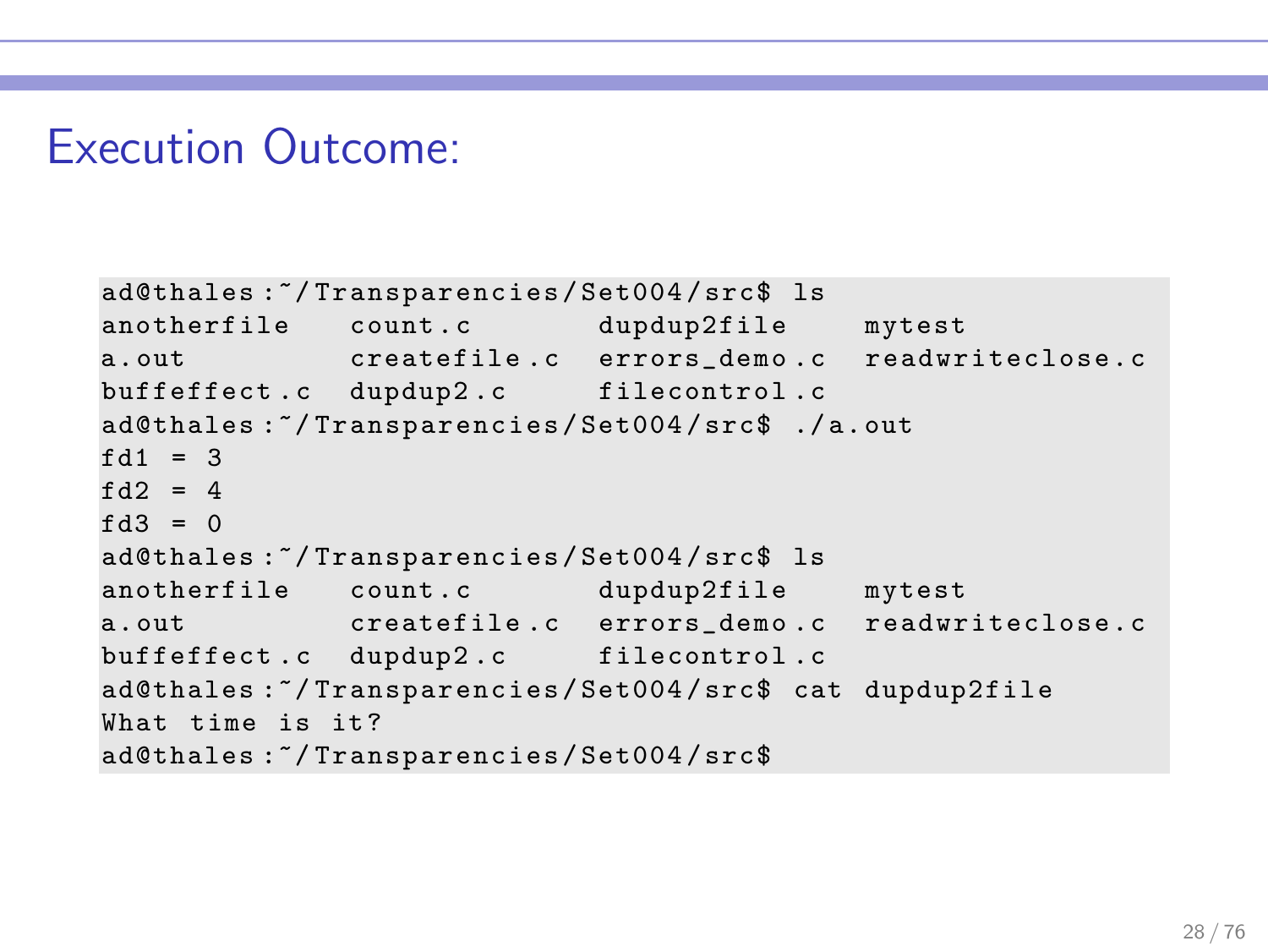#### Execution Outcome:

```
ad@thales :~/ Transparencies / Set004 / src$ ls
anotherfile count.c dupdup2file mytest
a. out createfile .c errors_demo .c readwriteclose . c
buffeffect.c dupdup2.c filecontrol.c
ad@thales :~/ Transparencies / Set004 / src$ ./ a. out
fd1 = 3fd2 = 4f d3 = 0ad@thales :~/ Transparencies / Set004 / src$ ls
anotherfile count.c dupdup2file mytest
a. out createfile .c errors_demo .c readwriteclose . c
buffeffect.c dupdup2.c filecontrol.c
ad@thales :~/ Transparencies / Set004 / src$ cat dupdup2file
What time is it?
ad@thales :~/ Transparencies / Set004 / src$
```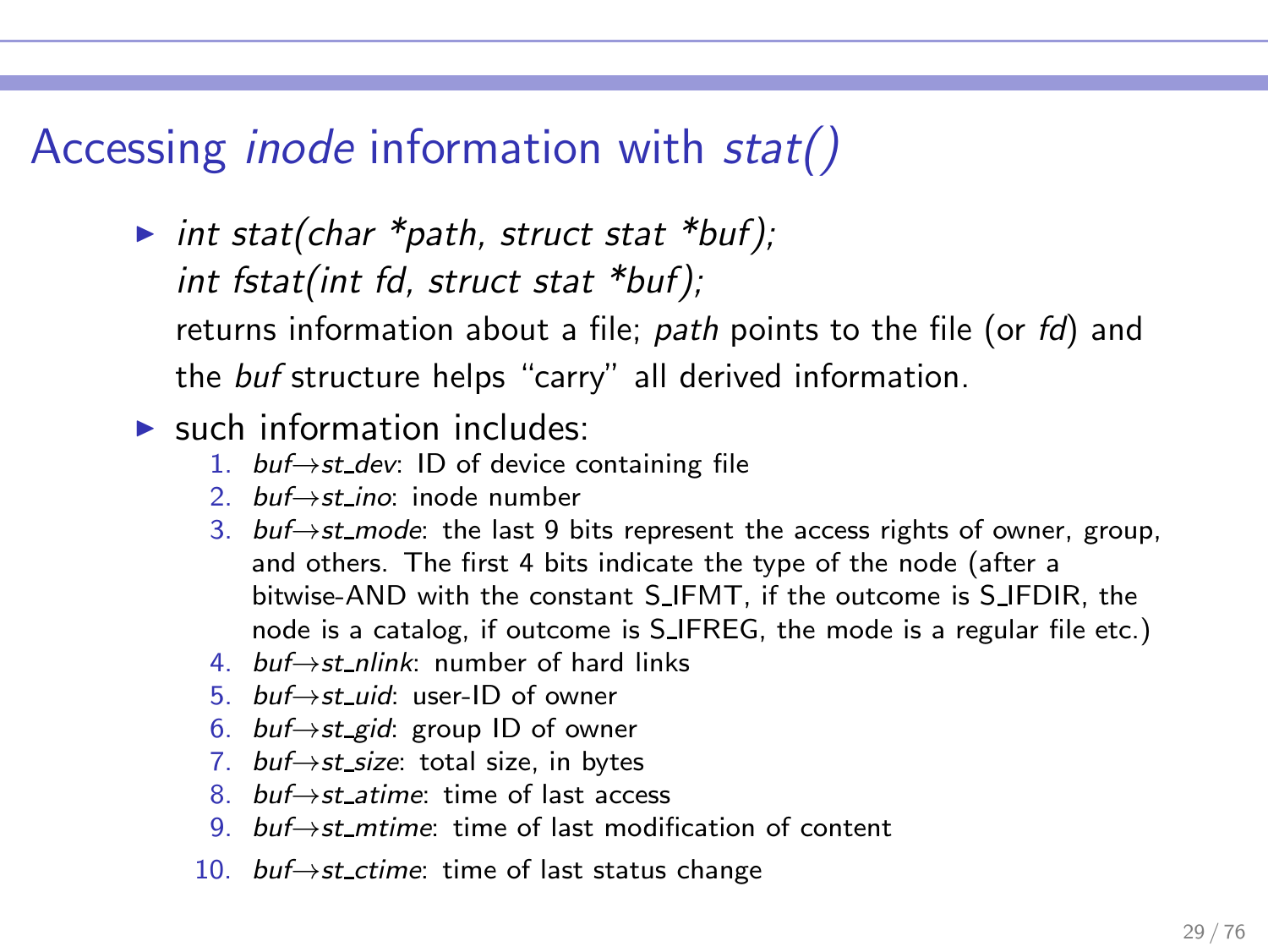# Accessing inode information with stat()

- ▶ int stat(char  $*path$ , struct stat  $*buf$ ); int fstat(int fd, struct stat \*buf); returns information about a file; path points to the file (or  $fd$ ) and the buf structure helps "carry" all derived information.
- $\blacktriangleright$  such information includes:
	- 1. buf→st\_dev: ID of device containing file
	- 2. buf $\rightarrow$ st ino: inode number
	- 3. buf→st\_mode: the last 9 bits represent the access rights of owner, group, and others. The first 4 bits indicate the type of the node (after a bitwise-AND with the constant S IFMT, if the outcome is S IFDIR, the node is a catalog, if outcome is S IFREG, the mode is a regular file etc.)
	- 4. buf $→$ st nlink: number of hard links
	- 5. buf→st uid: user-ID of owner
	- 6. *buf→st\_gid*: group ID of owner
	- 7. buf→st\_size: total size, in bytes
	- 8. buf→st atime: time of last access
	- 9. buf→st mtime: time of last modification of content
	- 10. buf→st ctime: time of last status change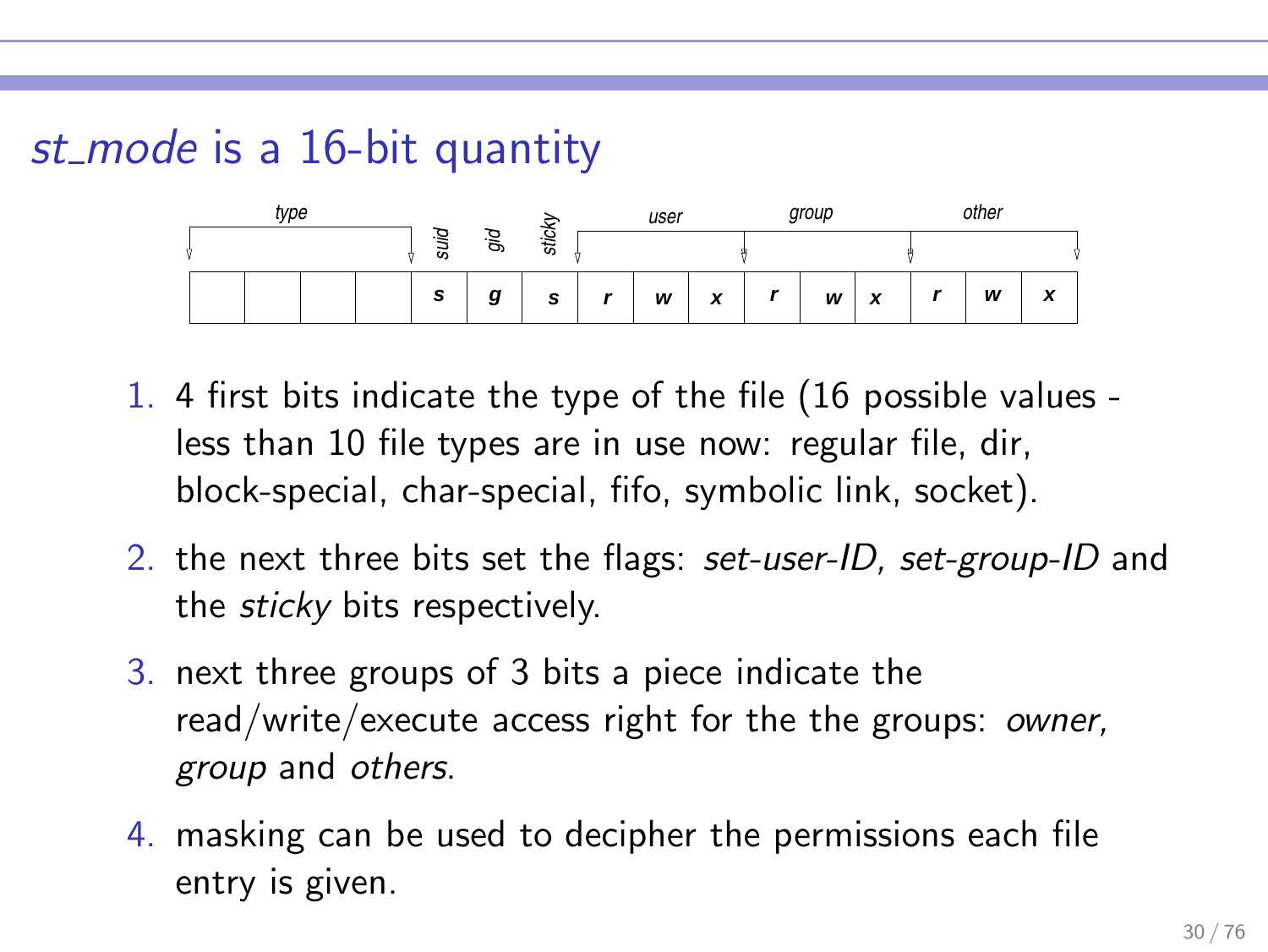# st\_mode is a 16-bit quantity

| type |  |  |        |    |                  | user |   |   | group |   |                   | other |   |                           |
|------|--|--|--------|----|------------------|------|---|---|-------|---|-------------------|-------|---|---------------------------|
|      |  |  | ₽<br>ಹ | g. | sticky           |      |   |   |       |   |                   |       |   |                           |
|      |  |  | s      | g  | $\epsilon$<br>÷. |      | W | x | -     | W | $\checkmark$<br>Ā | -     | W | $\ddot{\phantom{0}}$<br>- |

- 1. 4 first bits indicate the type of the file (16 possible values less than 10 file types are in use now: regular file, dir, block-special, char-special, fifo, symbolic link, socket).
- 2. the next three bits set the flags: set-user-ID, set-group-ID and the sticky bits respectively.
- 3. next three groups of 3 bits a piece indicate the read/write/execute access right for the the groups: owner, group and others.
- 4. masking can be used to decipher the permissions each file entry is given.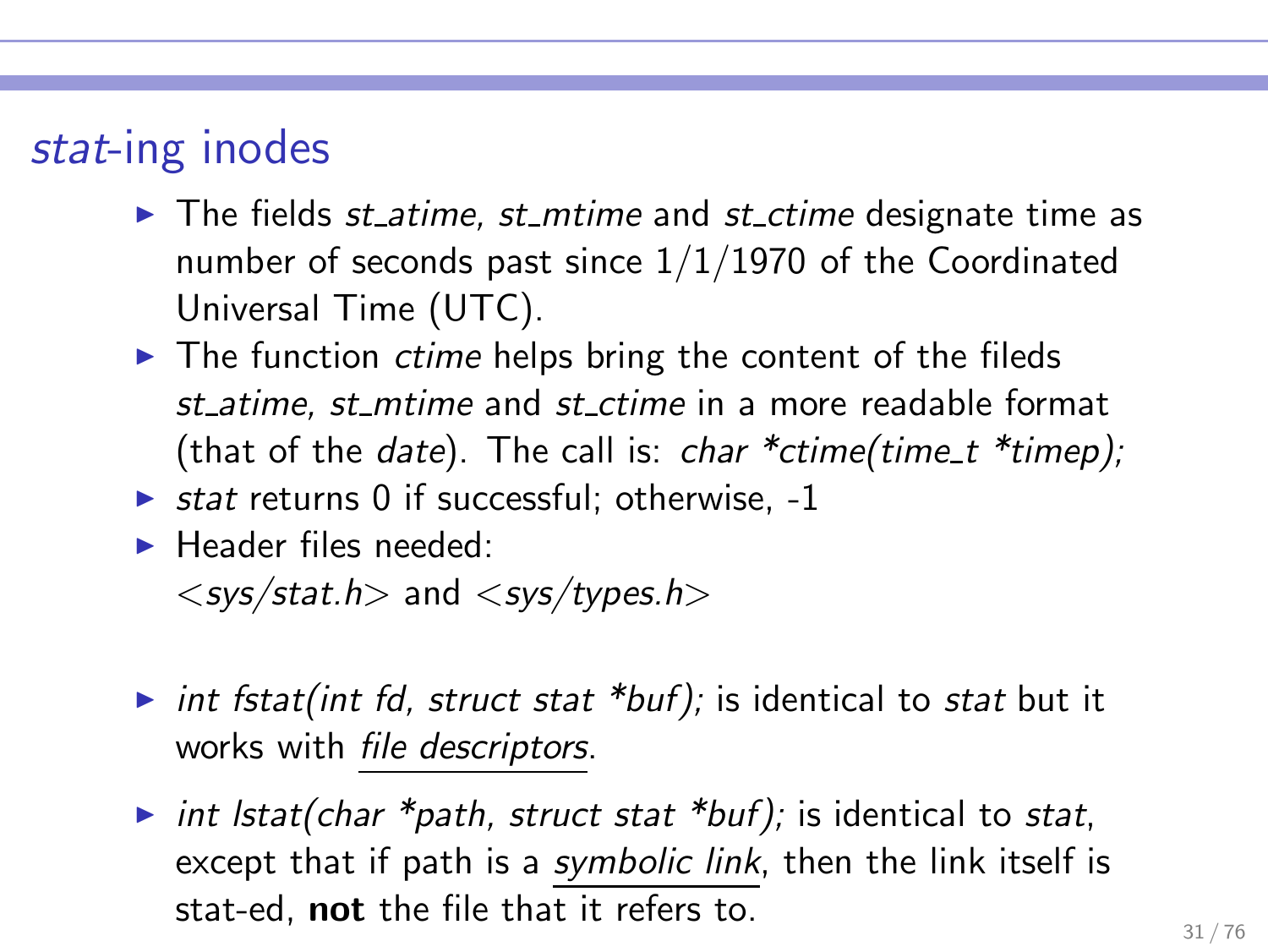# stat-ing inodes

- $\blacktriangleright$  The fields st atime, st mtime and st ctime designate time as number of seconds past since  $1/1/1970$  of the Coordinated Universal Time (UTC).
- $\blacktriangleright$  The function *ctime* helps bring the content of the fileds st atime, st mtime and st ctime in a more readable format (that of the *date*). The call is: *char*  $*$ *ctime*(*time\_t*  $*$ *timep*);
- $\triangleright$  stat returns 0 if successful; otherwise, -1
- $\blacktriangleright$  Header files needed:

 $\langle$  sys/stat.h  $>$  and  $\langle$  sys/types.h  $>$ 

- int fstat(int fd, struct stat \*buf); is identical to stat but it works with file descriptors.
- int lstat(char \*path, struct stat \*buf); is identical to stat, except that if path is a symbolic link, then the link itself is stat-ed, not the file that it refers to.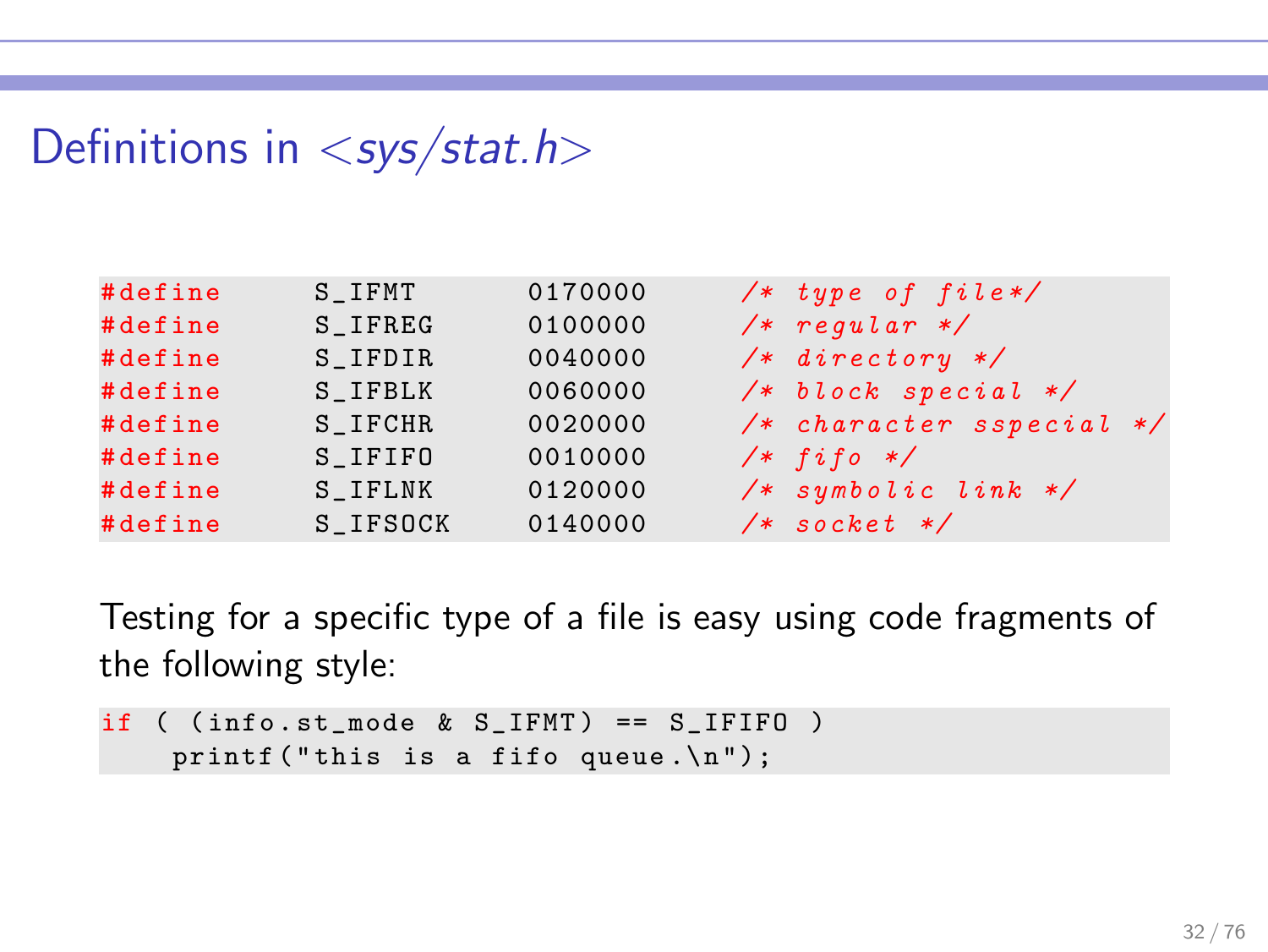# Definitions in  $\langle$  sys/stat.h>

| #define | S IFMT                   | 0170000 | $/* type of file*/$          |
|---------|--------------------------|---------|------------------------------|
| #define | $S$ <sub>-</sub> $IFREG$ | 0100000 | $/*$ regular $*/$            |
| #define | S IFDIR                  | 0040000 | $/*$ directory $*/$          |
| #define | S IFBLK                  | 0060000 | $/* block special */$        |
| #define | S IFCHR                  | 0020000 | $/*$ character sspecial $*/$ |
| #define | S IFIFO                  | 0010000 | $/*$ fifo $*/$               |
| #define | S IFLNK                  | 0120000 | $/*$ symbolic link $*/$      |
| #define | S_IFSOCK                 | 0140000 | $/*$ socket $*/$             |

Testing for a specific type of a file is easy using code fragments of the following style:

```
if ( (info.st_mode & S_IFMT) == S_IFIFO )printf ("this is a fifo queue.\n \n \begin{bmatrix}\n n' \\
 n''\n \end{bmatrix};
```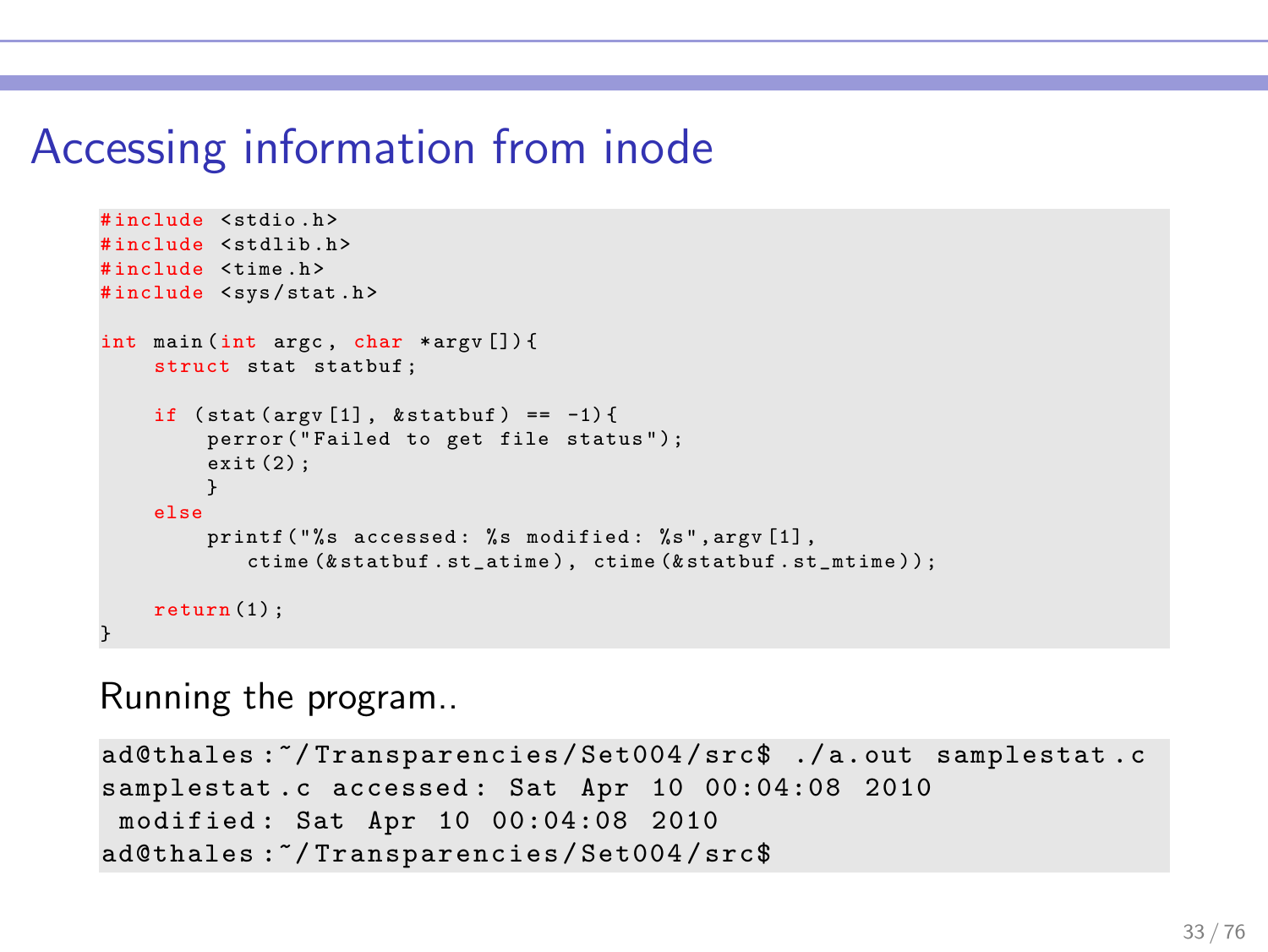# Accessing information from inode

```
# include < stdio .h >
#include <stdlib.h>
# include < time .h >
#include <svs/stat.h>
int main (int argc , char * argv []) {
    struct stat statbuf ;
    if (\text{stat}(\text{argv}[1], \text{kstat}(\text{out})) == -1)perror ("Failed to get file status");
         ext(2):
          }
     else
         printf ("%s accessed: %s modified: %s", argy [1].
             ctime (& statbuf . st_atime ) , ctime (& statbuf . st_mtime ) ) ;
     return (1):
}
```
Running the program..

```
ad@thales :~/ Transparencies / Set004 / src$ ./ a. out samplestat . c
samplestat.c accessed: Sat Apr 10 00:04:08 2010
modified : Sat Apr 10 00:04:08 2010
ad@thales :~/ Transparencies / Set004 / src$
```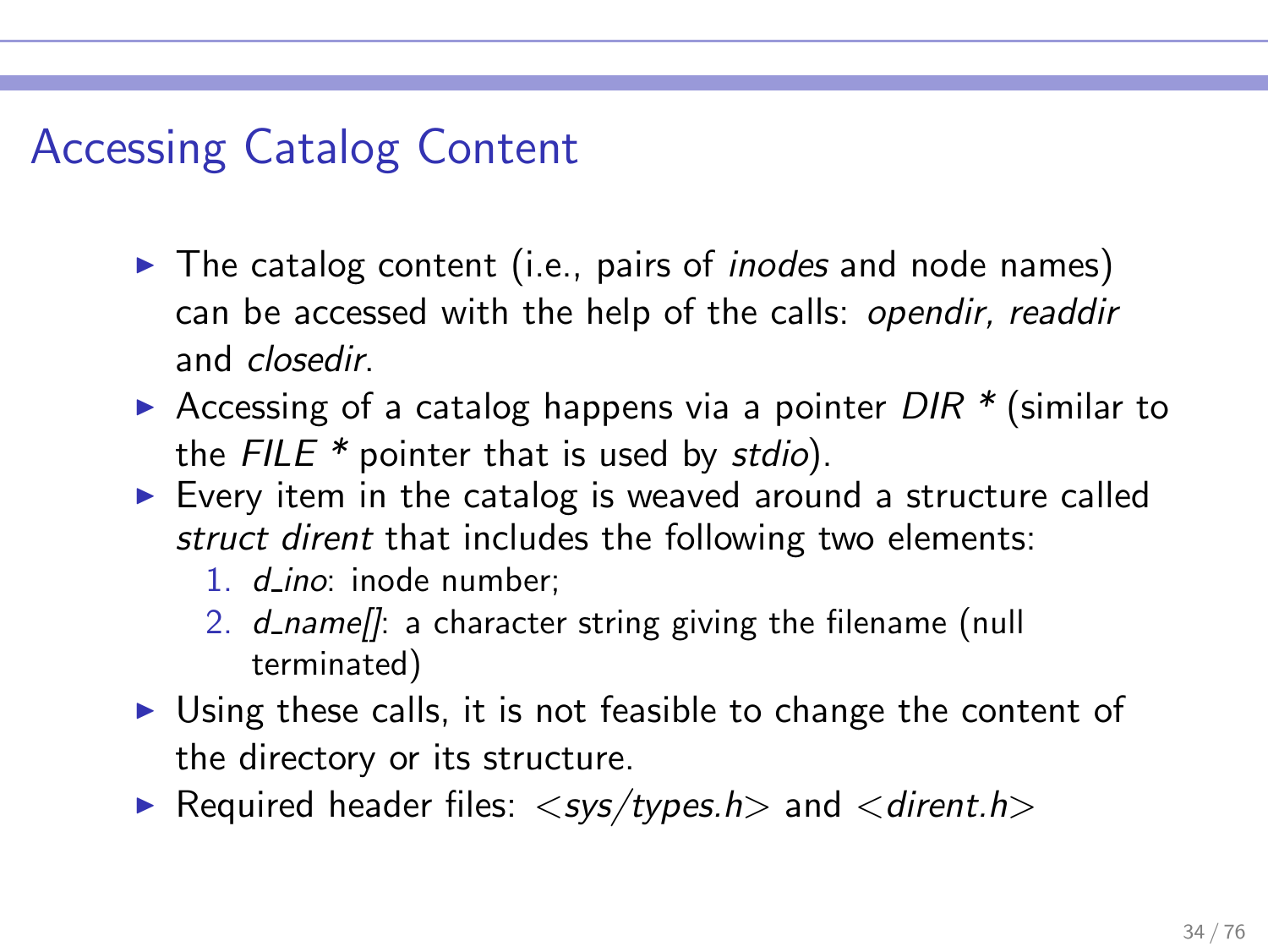# Accessing Catalog Content

- $\triangleright$  The catalog content (i.e., pairs of *inodes* and node names) can be accessed with the help of the calls: opendir, readdir and closedir.
- Accessing of a catalog happens via a pointer  $DIR * (similar to$ the  $FILE * pointer$  that is used by stdio).
- $\triangleright$  Every item in the catalog is weaved around a structure called struct dirent that includes the following two elements:
	- 1. *d\_ino*: inode number;
	- 2. d\_name<sub>[</sub>]: a character string giving the filename (null terminated)
- ► Using these calls, it is not feasible to change the content of the directory or its structure.
- Required header files:  $\langle$  sys/types.h and  $\langle$  dirent.h  $\rangle$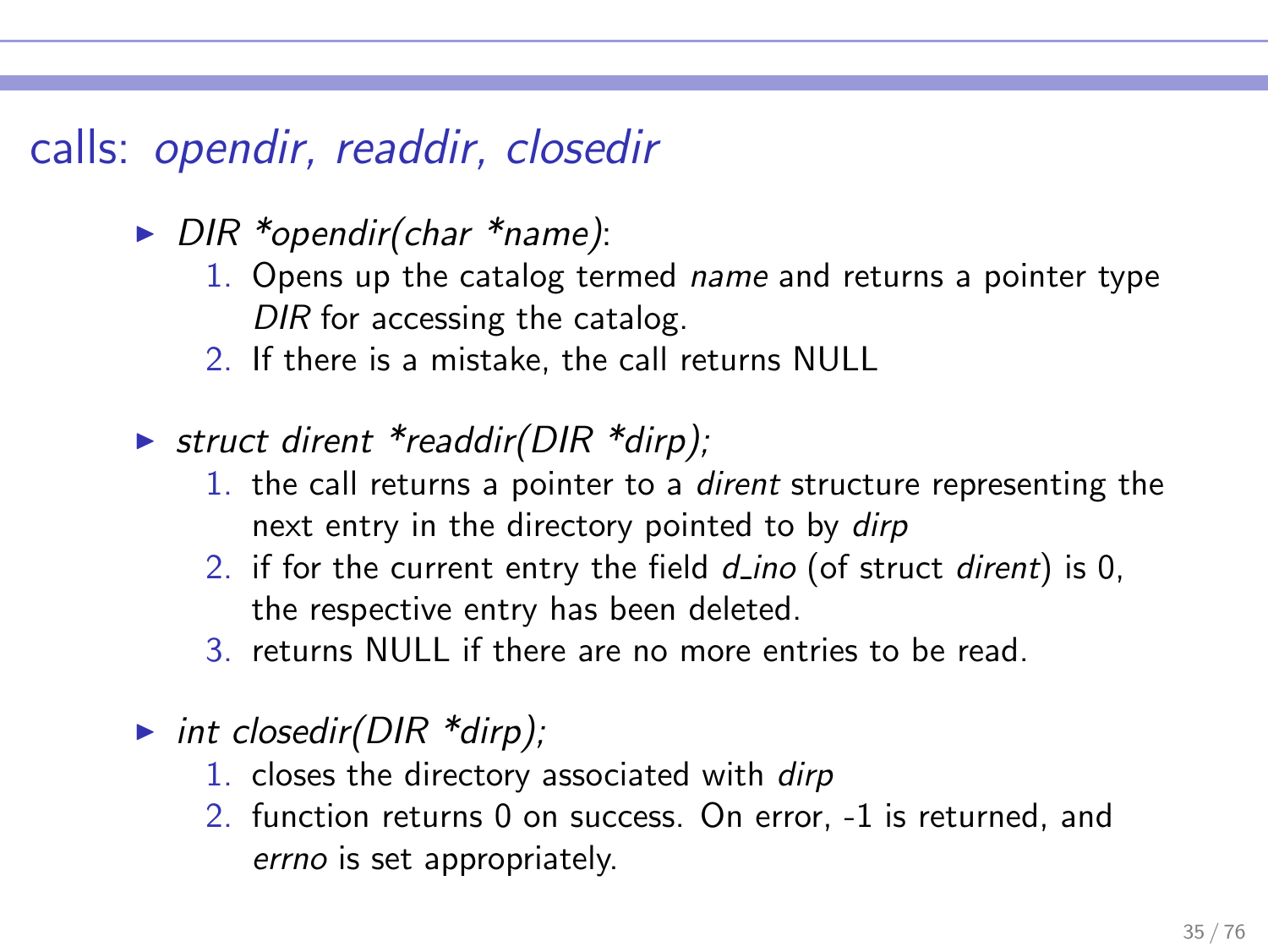# calls: opendir, readdir, closedir

- ► DIR \*opendir(char \*name):
	- 1. Opens up the catalog termed name and returns a pointer type DIR for accessing the catalog.
	- 2. If there is a mistake, the call returns NULL
- ► struct dirent \*readdir(DIR \*dirp);
	- 1. the call returns a pointer to a dirent structure representing the next entry in the directory pointed to by dirp
	- 2. if for the current entry the field  $d$  ino (of struct dirent) is 0, the respective entry has been deleted.
	- 3. returns NULL if there are no more entries to be read.
- int closedir( $DIR *dirp$ );
	- 1. closes the directory associated with dirp
	- 2. function returns 0 on success. On error, -1 is returned, and errno is set appropriately.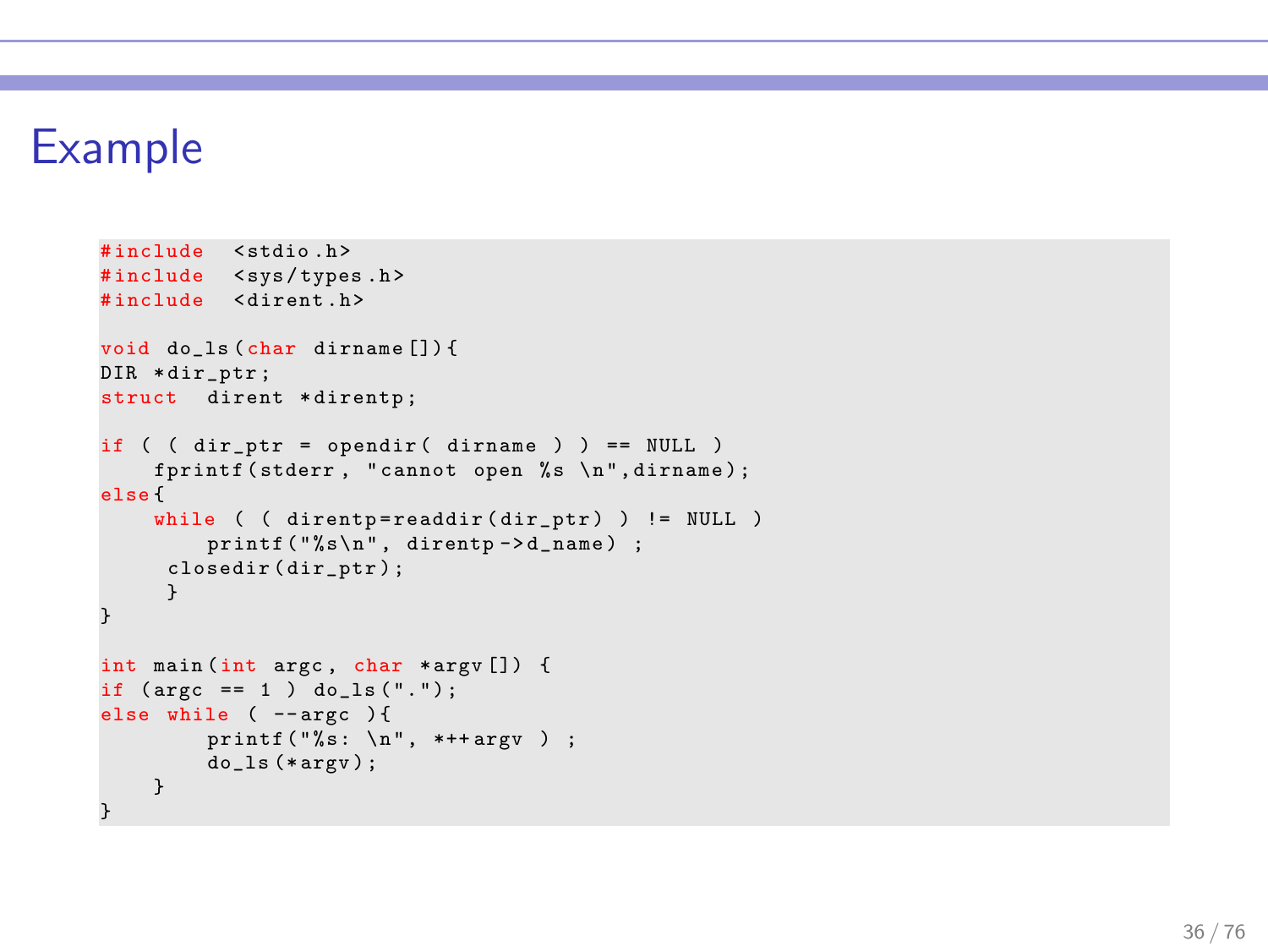# Example

```
#include <stdio.h>
#include <sys/types.h>
#include <dirent.h>
void do_ls ( char dirname []) {
DIR * dir_ptr ;
struct dirent *direntp;
if ( ( dir_ptr = opendir ( dirname ) ) == NULL )
    fprintf (stderr, "cannot open %s \n", dirname);
else {
    while ( ( direntp=readdir (dir_ptr) ) != NULL )
         print(f("%s\nu", direntp -> d_name);
      closedir ( dir_ptr ) ;
      }
}
int main (int argc , char * argv []) {
if (\text{argc} == 1) \text{do} \text{ls} (".");
else while ( --argc ){
         printf ("%s: \n\n\mathbb{R}^n, **+argy);
         do<sub>-</sub>ls (*argv);
    }
}
```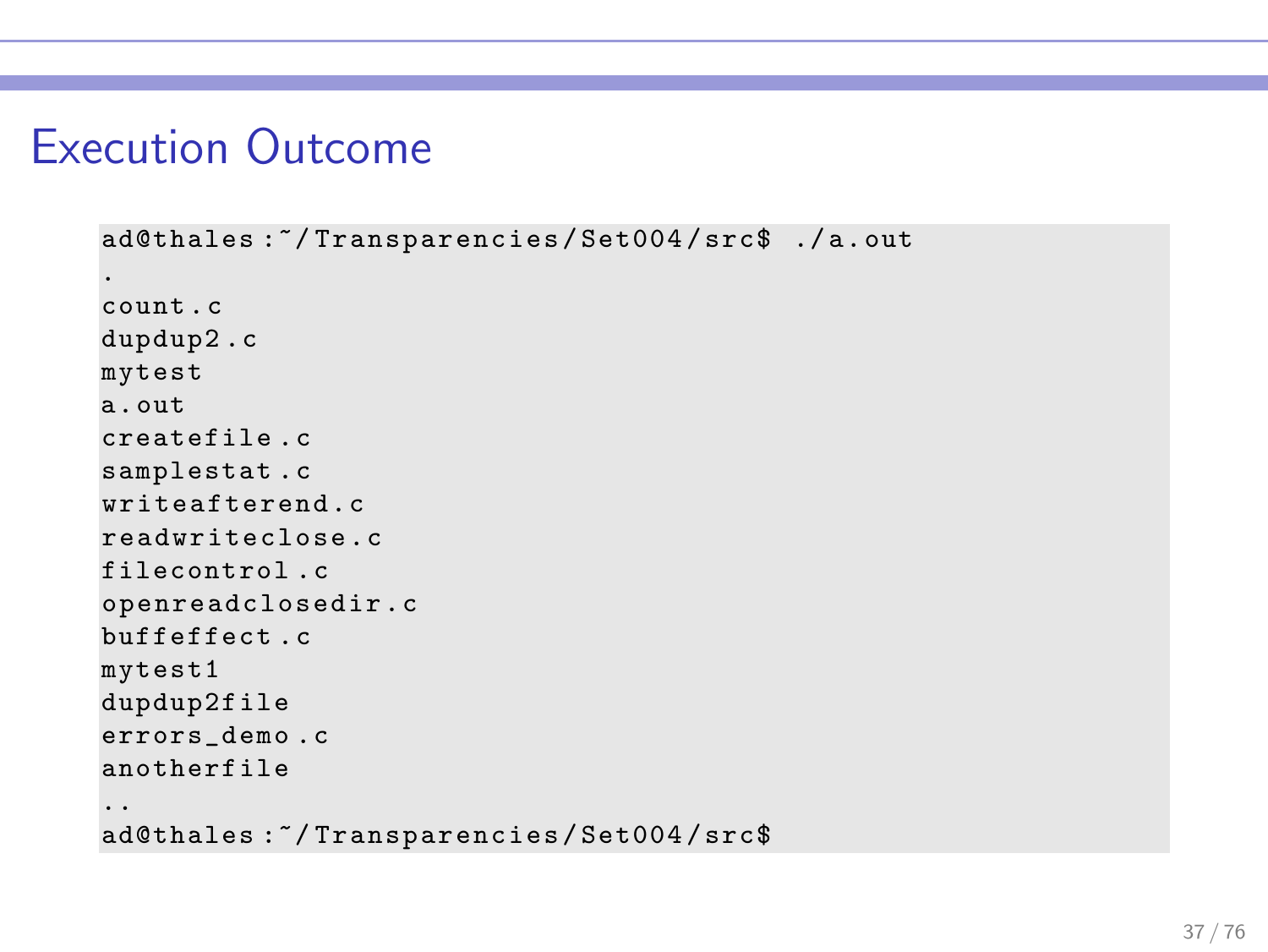#### Execution Outcome

```
ad@thales :~/ Transparencies / Set004 / src$ ./ a. out
.
count . c
dupdup2 .c
mytest
a. out
createfile . c
samplestat . c
writeafterend . c
readwriteclose .c
filecontrol .c
openreadclosedir . c
buffeffect . c
mytest1
dupdup2file
errors_demo .c
anotherfile
..
ad@thales :~/ Transparencies / Set004 / src$
```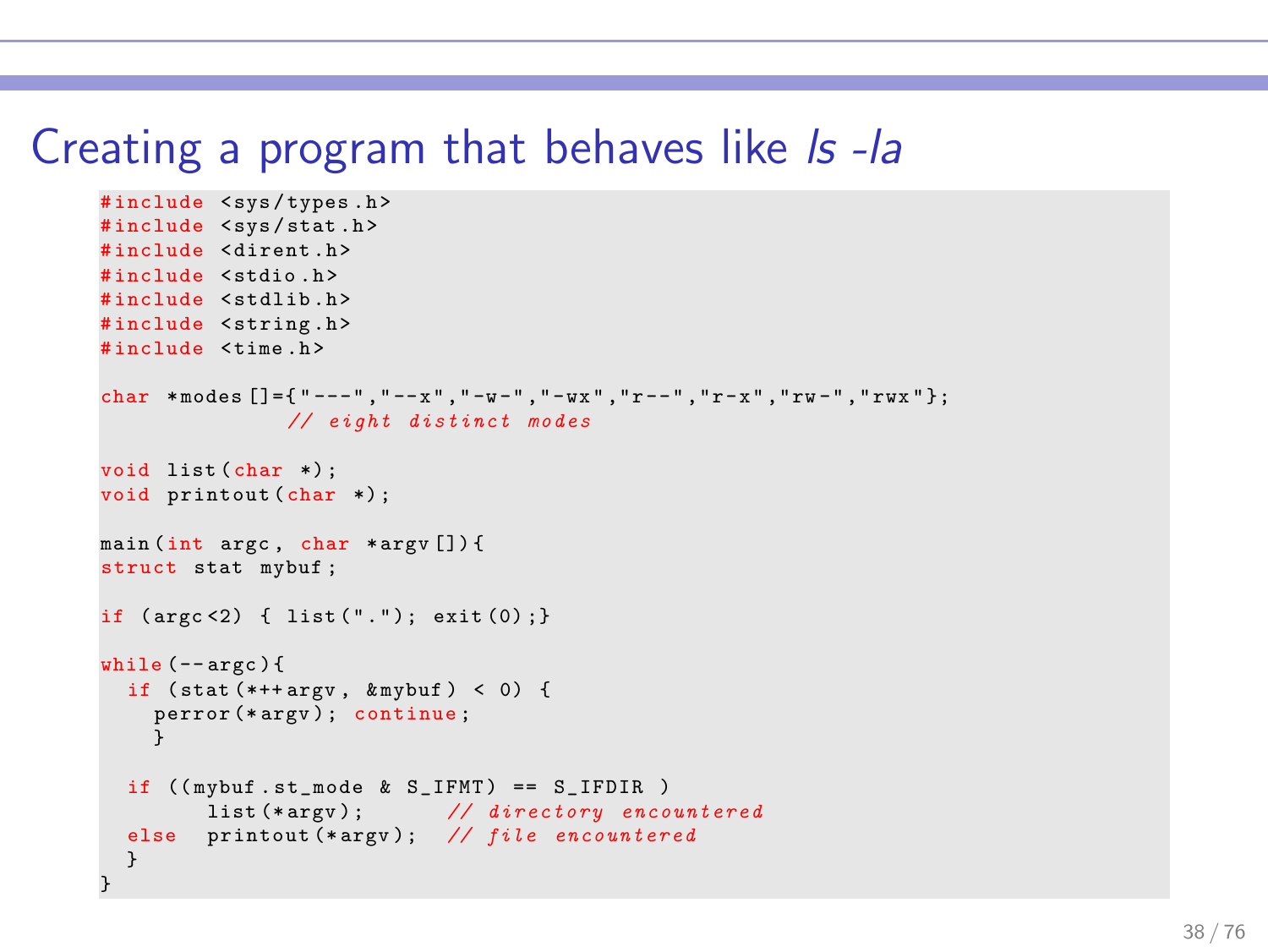#### Creating a program that behaves like Is-la

```
# include < sys / types .h >
#include <sys/stat.h>
#include <dirent.h>
# include < stdio .h >
#include <stdlib.h>
#include <string.h>
# include < time .h >
char *modes \lceil 1-f'' - - -''', " - -x'', " -w -'', " -wx", "r - -", "r -x", "rw -", "rwx" } \rceil;
                // eight distinct modes
void list (char *) ;
void printout (char *) ;
main (int argc , char * argv []) {
struct stat mybuf ;
if ( argc <2) { list ( " . " ); exit (0) ;}
while (- - \arccos 1)if (\text{stat}(*++\text{arg}v, \text{km}ybuf) < 0) {
     perror (* argv ) ; continue ;
     }
  if ((mybuf.st_model & S_IFMT) == S_IFDIR)list (*argv); // directory encountered
  else printout (*argv); // file encountered
  }
}
```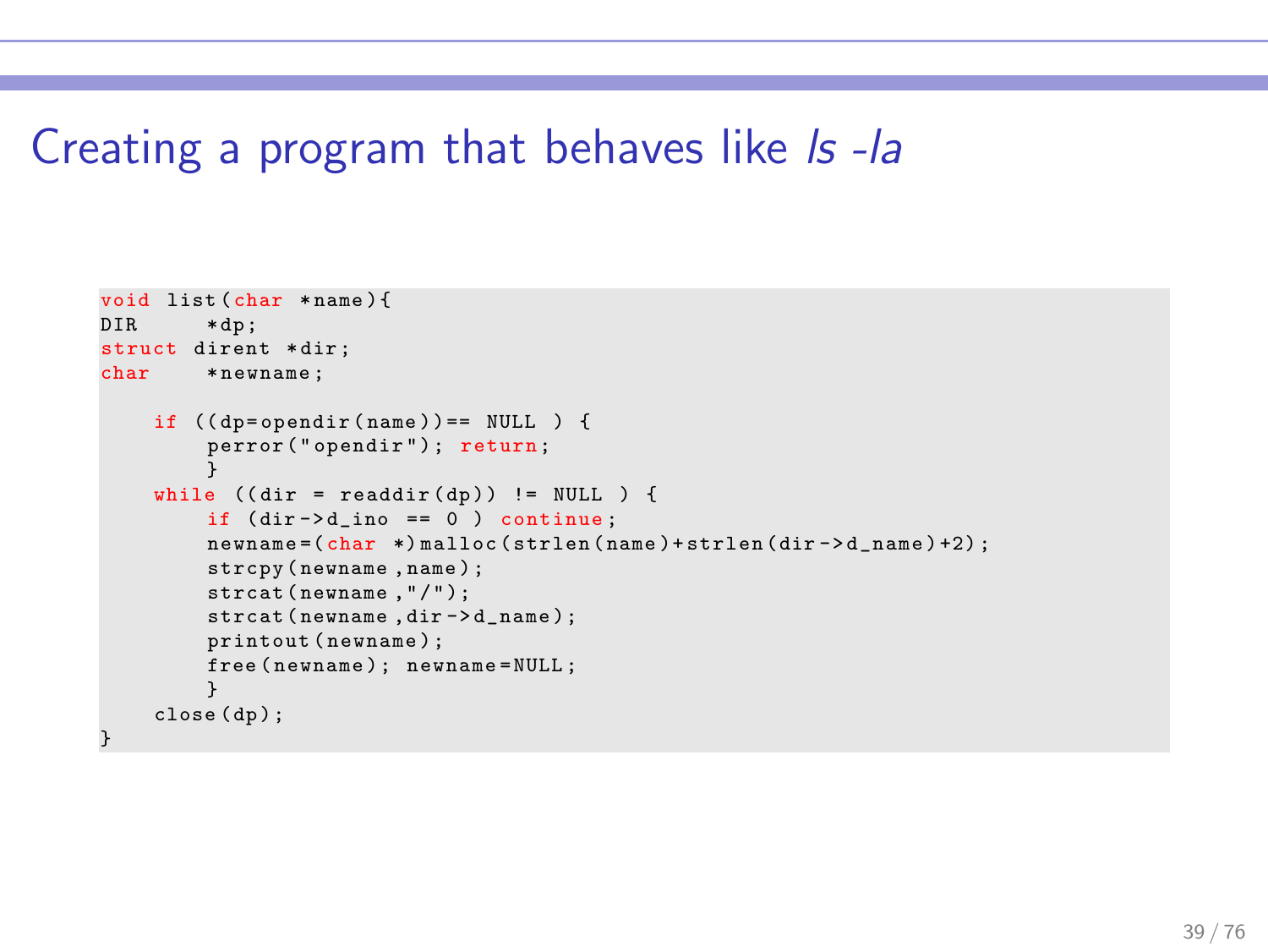#### Creating a program that behaves like Is-la

```
void list (char * name) {<br>DIR * dp:
          * dp :
struct dirent *dir;<br>char *newname:
         * newname;
     if ((dp = opendir(name)) == NULL) {
          perror ("opendir"); return;
          }
     while ((dir = readdir(dp)) := NULL ) {
          if dir ->d_ino == 0 ) continue;
          newname = ( char *) malloc ( strlen ( name ) + strlen ( dir ->d_name ) +2) ;
          strcpy ( newname , name ) ;
          strcat (newname, "/");
          strcat (newname, dir ->d_name);
          printout ( newname ) ;
          free (newname); newname=NULL :
     }
close ( dp ) ;
}
```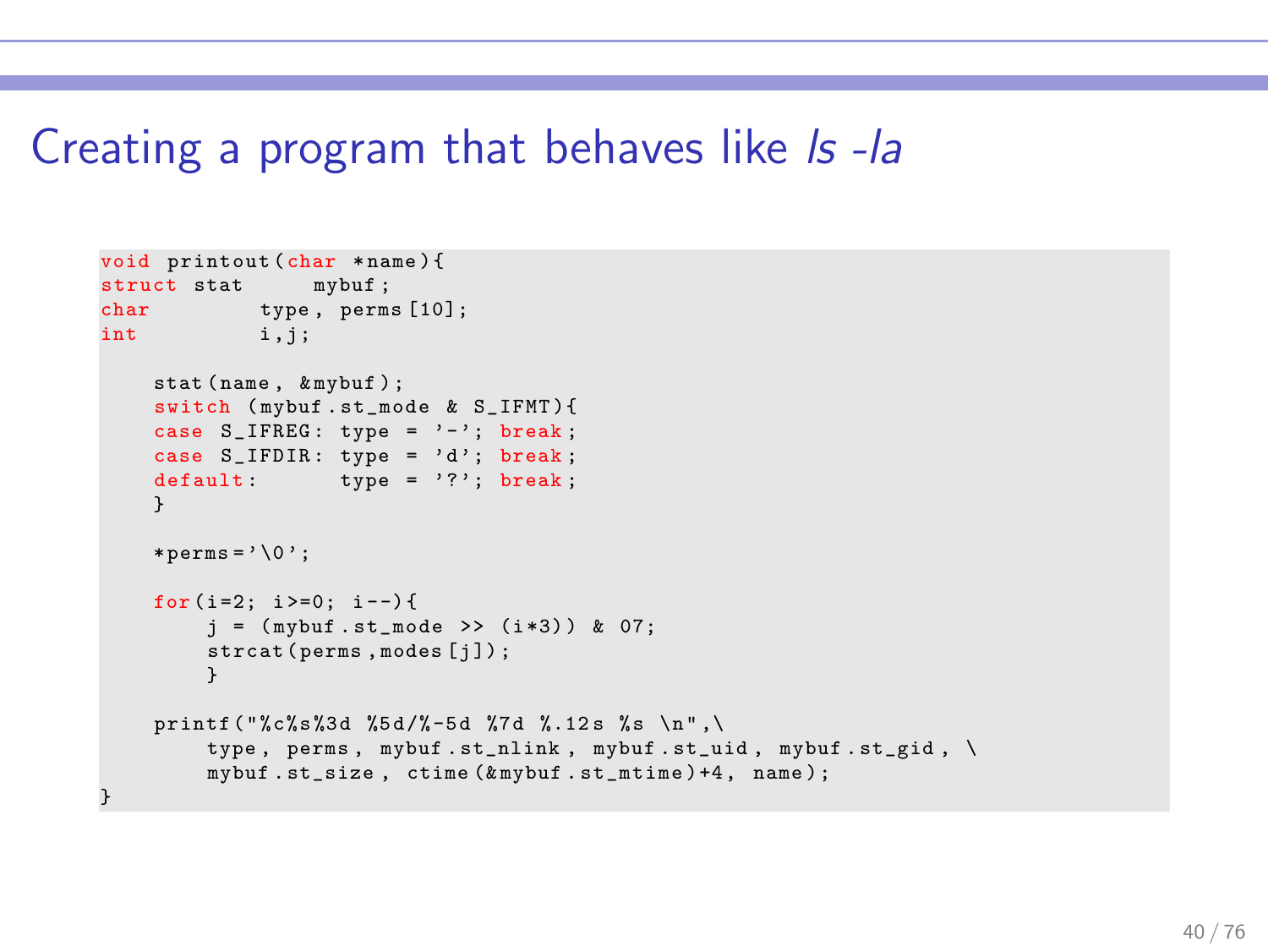#### Creating a program that behaves like Is-la

```
void printout (char * name) {<br>struct stat mybuf:
struct stat
char type, perms [10];<br>int i.i:
          i, j ;
    stat (name, & mybuf);
    switch ( mybuf . st_mode & S_IFMT ){
    case S_IFREG : type = '-'; break ;
    case S_IFDIR: type = 'd'; break;default type = '?'; break;
    }
    * \texttt{perms} = ' \ 0';for (i=2; i>=0; i--) {
         j = (mybuf.st_model \rightarrow (i*3)) & 07;strcat (perms, modes [j]);
          }
    printf ("%c%s%3d %5d/%-5d %7d %.12s %s \n",\
         type , perms , mybuf . st_nlink , mybuf . st_uid , mybuf . st_gid , \
         mybuf .st_size , ctime (& mybuf .st_mtime ) +4 , name ) ;
}
```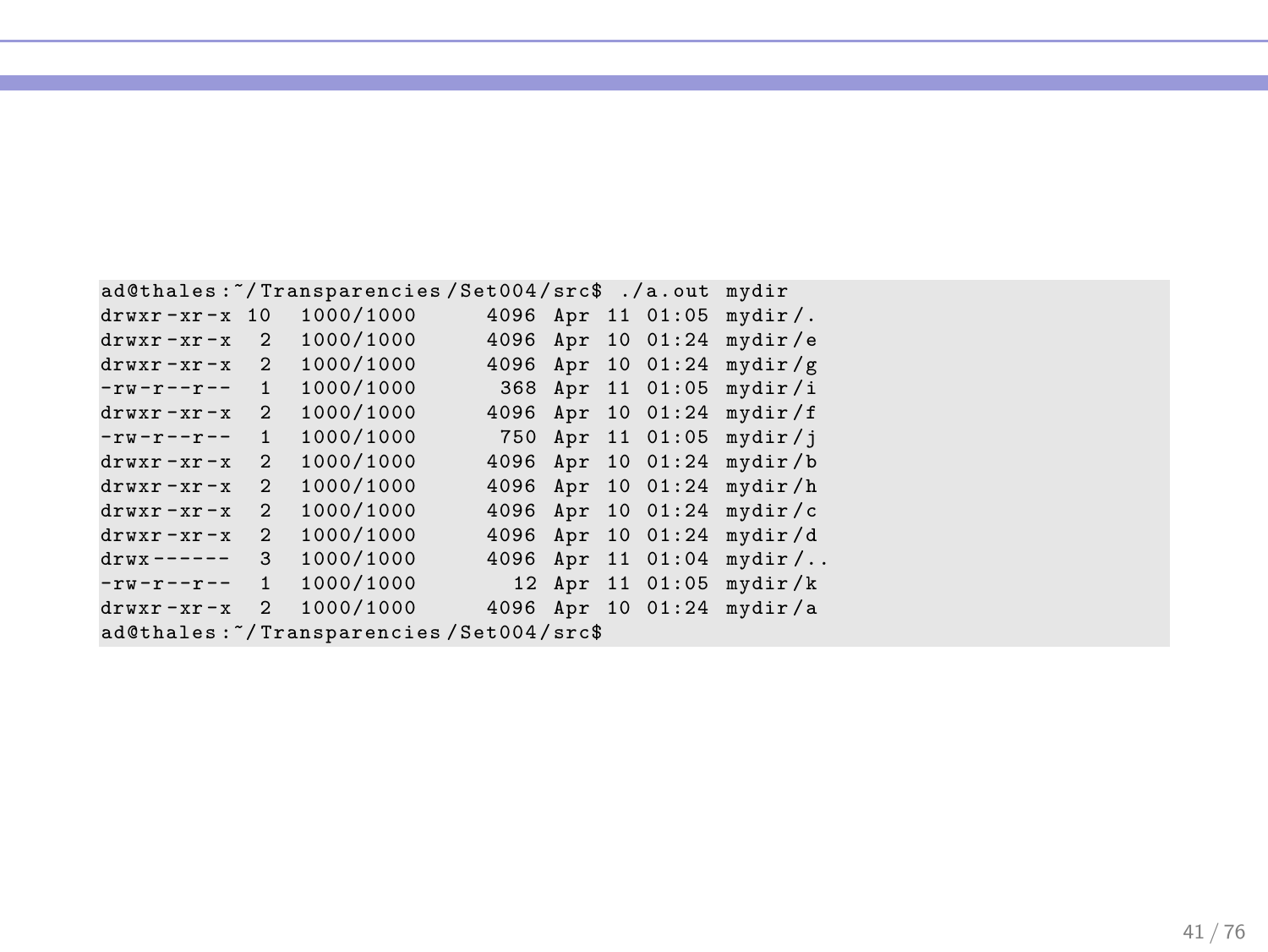|                                         |                | ad@thales:"/Transparencies/Set004/src\$ ./a.out |      |  |  |                   | mydir      |  |
|-----------------------------------------|----------------|-------------------------------------------------|------|--|--|-------------------|------------|--|
| $drwxr - xr - x 10$                     |                | 1000/1000                                       |      |  |  | 4096 Apr 11 01:05 | $mydir/$ . |  |
| $drwxr - xr - x$                        | $\mathfrak{D}$ | 1000/1000                                       | 4096 |  |  | Apr 10 01:24      | mydir/e    |  |
| $drwxr - xr - x$                        | $\mathfrak{D}$ | 1000/1000                                       | 4096 |  |  | Apr 10 01:24      | mydir/g    |  |
| $-rw-r--r--$                            | $\mathbf{1}$   | 1000/1000                                       | 368  |  |  | Apr 11 01:05      | mydir/i    |  |
| $drwxr - xr - x$                        | $\mathfrak{D}$ | 1000/1000                                       | 4096 |  |  | Apr 10 01:24      | mydir/f    |  |
| $-rw-r--r--$                            | $\mathbf{1}$   | 1000/1000                                       | 750  |  |  | Apr 11 01:05      | mydir/i    |  |
| $drwxr - xr - x$                        | $\mathfrak{D}$ | 1000/1000                                       | 4096 |  |  | Apr 10 01:24      | mydir/b    |  |
| $drwxr - xr - x$                        | $\mathfrak{D}$ | 1000/1000                                       | 4096 |  |  | Apr 10 01:24      | mydir/h    |  |
| $drwxr - xr - x$                        | $\mathfrak{D}$ | 1000/1000                                       | 4096 |  |  | Apr 10 01:24      | mydir/c    |  |
| $drwxr - xr - x$                        | $\mathfrak{D}$ | 1000/1000                                       | 4096 |  |  | Apr 10 01:24      | mydir/d    |  |
| $drwx$ ------                           | 3              | 1000/1000                                       | 4096 |  |  | Apr 11 01:04      | $mydir/$   |  |
| $-rw-r--r--$                            | $\mathbf{1}$   | 1000/1000                                       |      |  |  | 12 Apr 11 01:05   | mydir/k    |  |
| $drwxr - xr - x$                        | $\mathfrak{D}$ | 1000/1000                                       |      |  |  | 4096 Apr 10 01:24 | mydir/a    |  |
| ad@thales:"/Transparencies/Set004/src\$ |                |                                                 |      |  |  |                   |            |  |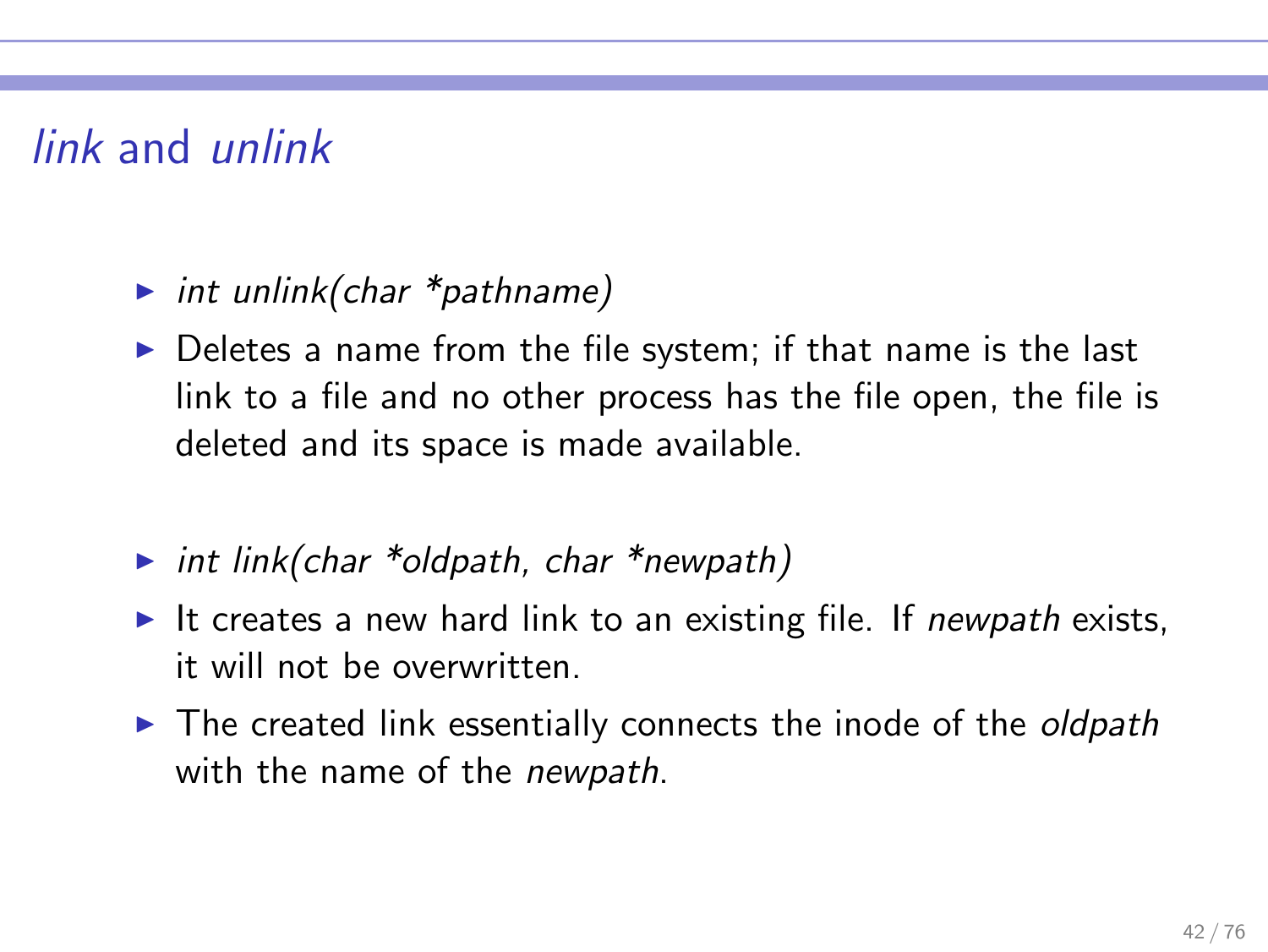# link and unlink

#### int unlink(char  $*$ pathname)

- $\triangleright$  Deletes a name from the file system; if that name is the last link to a file and no other process has the file open, the file is deleted and its space is made available.
- int link(char \*oldpath, char \*newpath)
- It creates a new hard link to an existing file. If newpath exists, it will not be overwritten.
- $\triangleright$  The created link essentially connects the inode of the *oldpath* with the name of the *newpath*.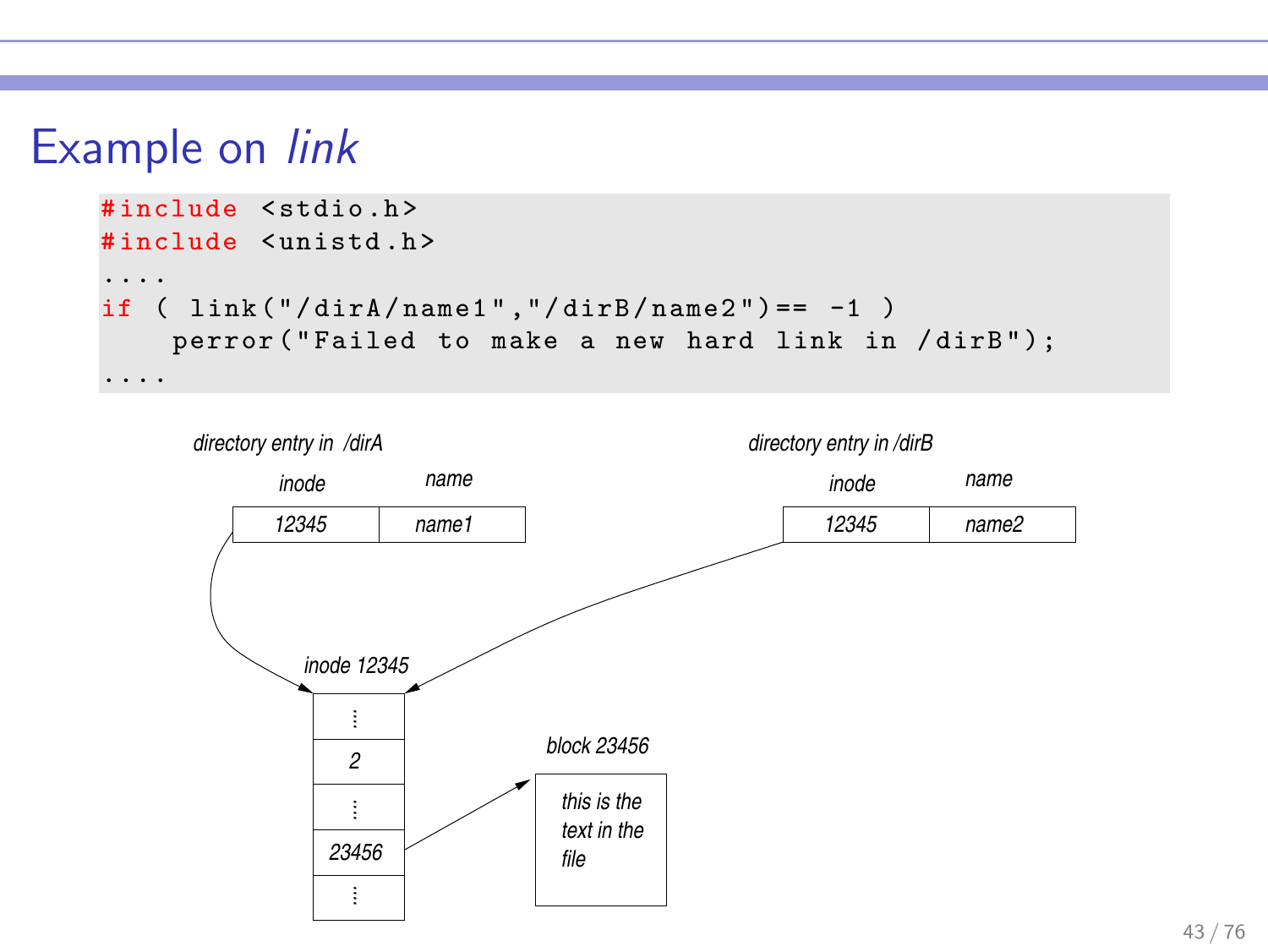### Example on link



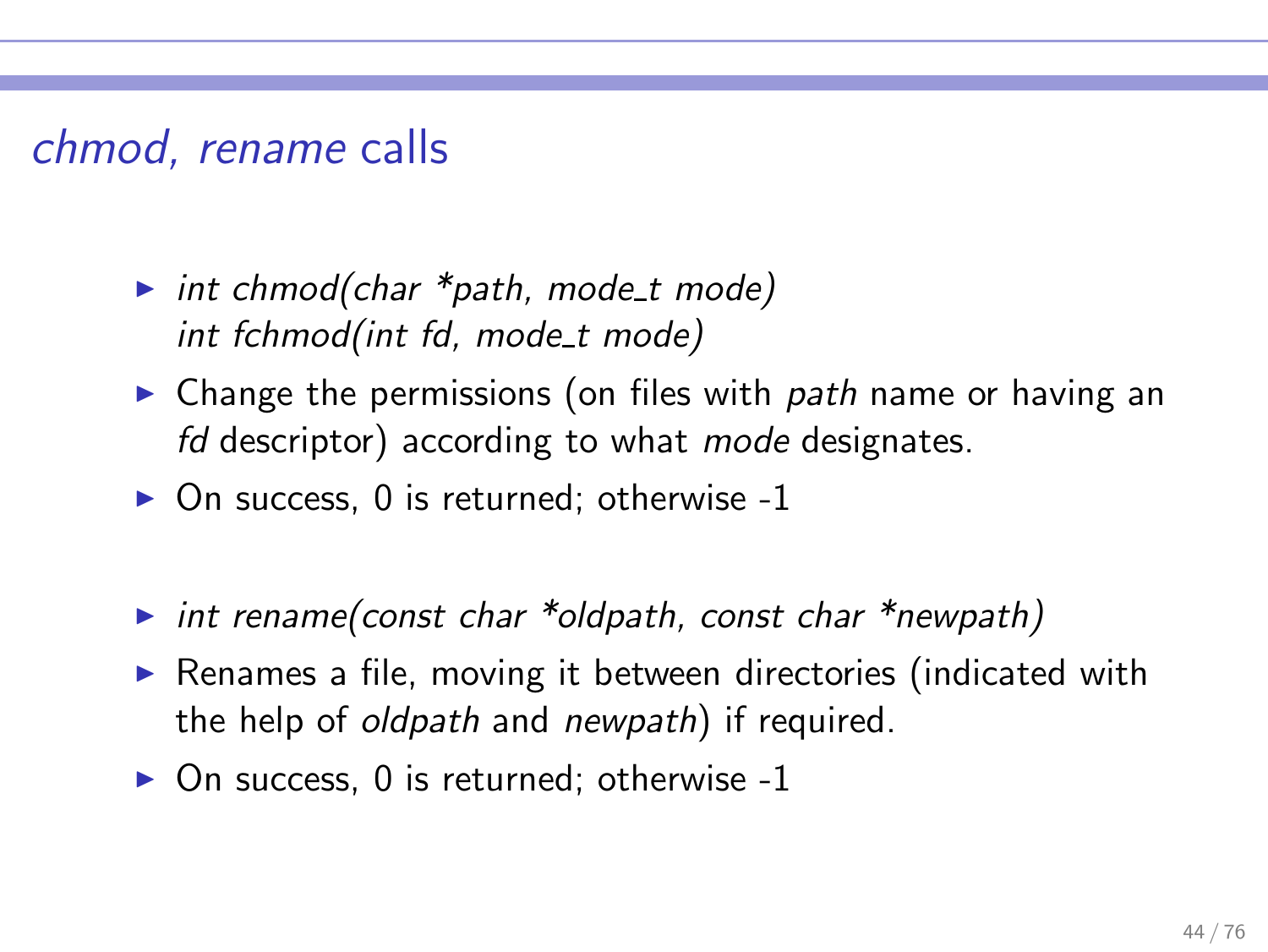### chmod, rename calls

- int chmod(char  $*$ path, mode t mode) int fchmod(int fd, mode t mode)
- $\triangleright$  Change the permissions (on files with path name or having an fd descriptor) according to what mode designates.
- $\triangleright$  On success, 0 is returned; otherwise -1
- int rename(const char \*oldpath, const char \*newpath)
- ▶ Renames a file, moving it between directories (indicated with the help of oldpath and newpath) if required.
- $\triangleright$  On success, 0 is returned; otherwise -1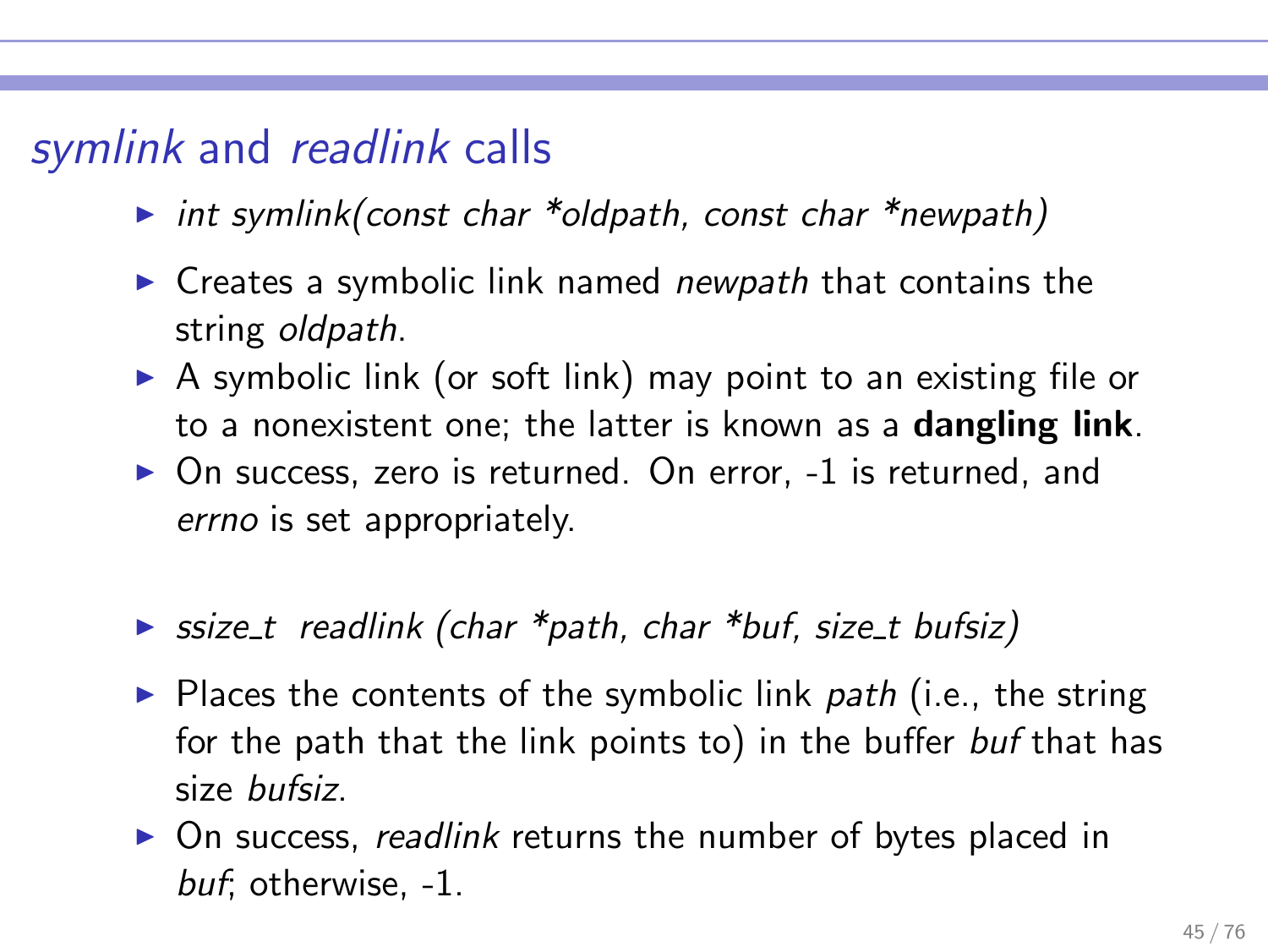## symlink and readlink calls

- int symlink(const char \*oldpath, const char \*newpath)
- $\triangleright$  Creates a symbolic link named *newpath* that contains the string *oldpath*.
- $\triangleright$  A symbolic link (or soft link) may point to an existing file or to a nonexistent one; the latter is known as a dangling link.
- ▶ On success, zero is returned. On error, -1 is returned, and errno is set appropriately.
- ► ssize\_t readlink (char \*path, char \*buf, size\_t bufsiz)
- $\triangleright$  Places the contents of the symbolic link path (i.e., the string for the path that the link points to) in the buffer buf that has size bufsiz.
- ▶ On success, readlink returns the number of bytes placed in buf; otherwise, -1.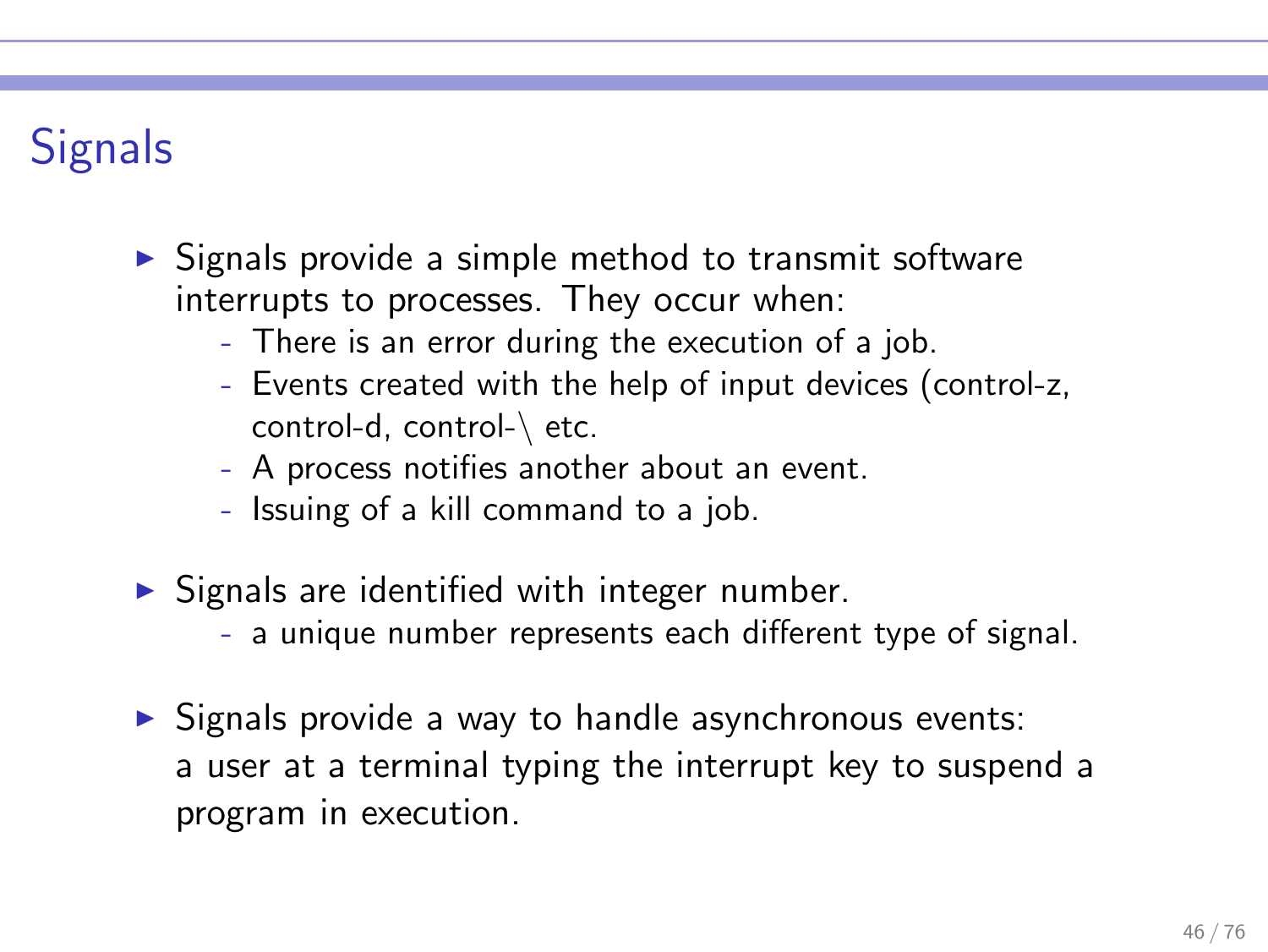# **Signals**

- ► Signals provide a simple method to transmit software interrupts to processes. They occur when:
	- There is an error during the execution of a job.
	- Events created with the help of input devices (control-z, control-d, control-\ etc.
	- A process notifies another about an event.
	- Issuing of a kill command to a job.
- $\triangleright$  Signals are identified with integer number.
	- a unique number represents each different type of signal.
- ▶ Signals provide a way to handle asynchronous events: a user at a terminal typing the interrupt key to suspend a program in execution.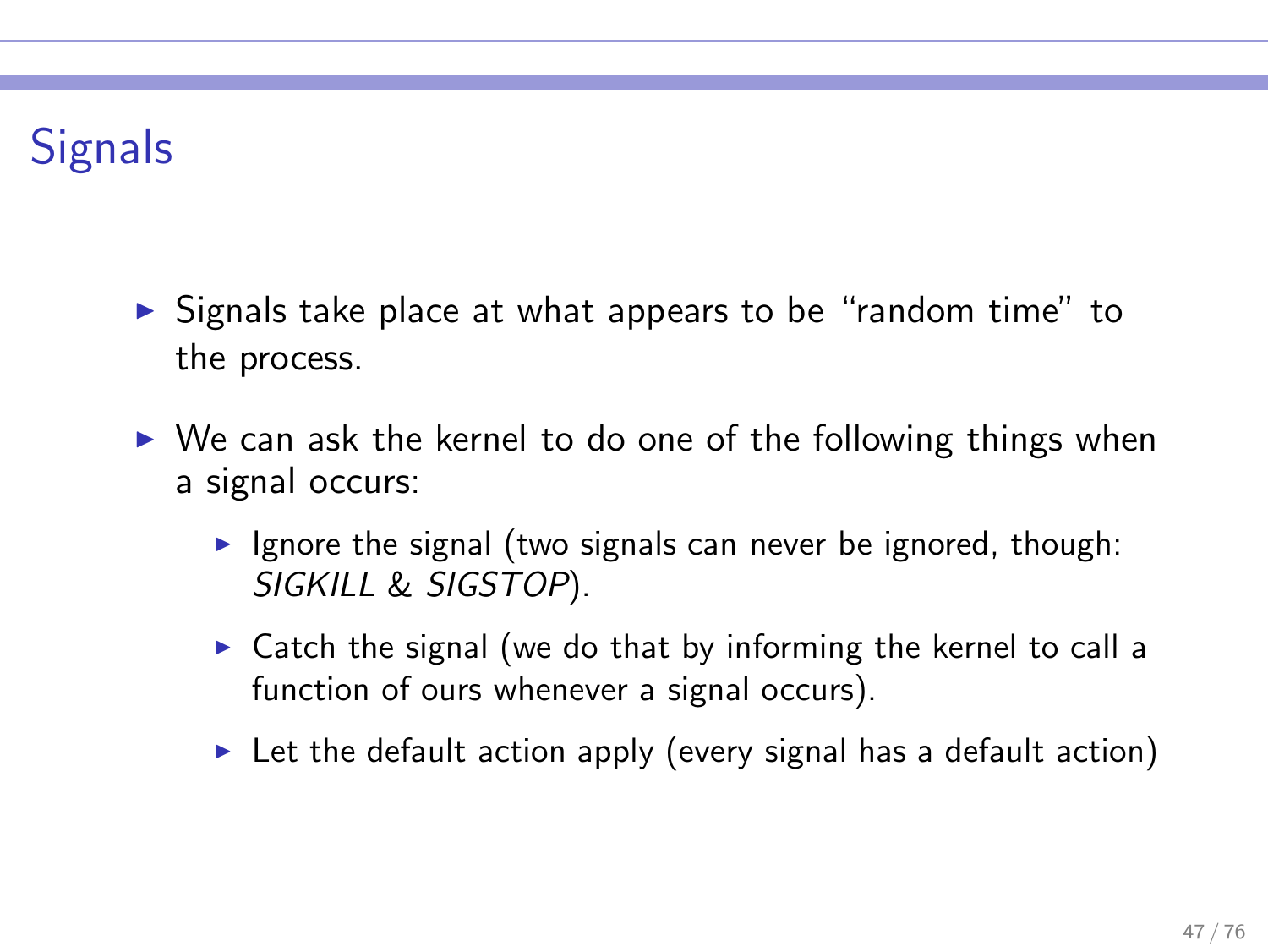# **Signals**

- ► Signals take place at what appears to be "random time" to the process.
- $\triangleright$  We can ask the kernel to do one of the following things when a signal occurs:
	- $\triangleright$  Ignore the signal (two signals can never be ignored, though: SIGKILL & SIGSTOP).
	- $\triangleright$  Catch the signal (we do that by informing the kernel to call a function of ours whenever a signal occurs).
	- $\triangleright$  Let the default action apply (every signal has a default action)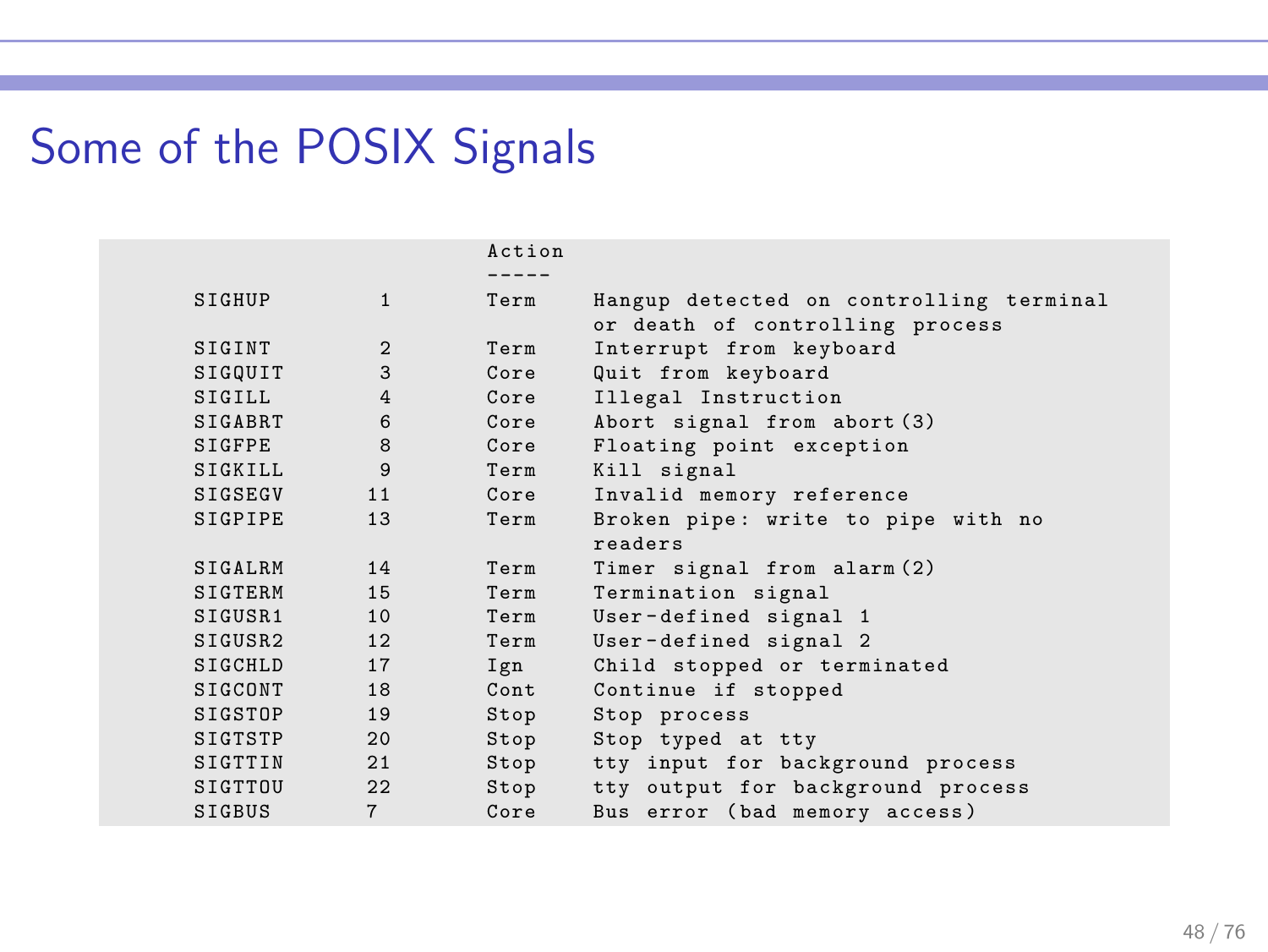# Some of the POSIX Signals

|                     |                | Action    |                                         |
|---------------------|----------------|-----------|-----------------------------------------|
|                     |                | $- - - -$ |                                         |
| SIGHUP              | $\mathbf{1}$   | Term      | Hangup detected on controlling terminal |
|                     |                |           | or death of controlling process         |
| SIGINT              | 2              | Term      | Interrupt from keyboard                 |
| SIGQUIT             | 3              | Core      | Quit from keyboard                      |
| SIGILL.             | $\overline{4}$ | Core      | Illegal Instruction                     |
| <b>SIGABRT</b>      | 6              | Core      | Abort signal from abort (3)             |
| <b>SIGFPE</b>       | 8              | Core      | Floating point exception                |
| SIGKILL.            | 9              | Term      | Kill signal                             |
| <b>SIGSEGV</b>      | 11             | Core      | Invalid memory reference                |
| <b>SIGPIPE</b>      | 13             | Term      | Broken pipe: write to pipe with no      |
|                     |                |           | readers                                 |
| <b>STGALRM</b>      | 14             | Term      | Timer signal from alarm (2)             |
| SIGTERM             | 1.5            | Term      | Termination signal                      |
| SIGUSR <sub>1</sub> | 10             | Term      | User-defined signal 1                   |
| SIGUSR2             | 12             | Term      | User-defined signal 2                   |
| SIGCHLD             | 17             | Ign       | Child stopped or terminated             |
| SIGCONT             | 18             | Cont      | Continue if stopped                     |
| SIGSTOP             | 19             | Stop      | Stop process                            |
| SIGTSTP             | 20             | Stop      | Stop typed at tty                       |
| SIGTTIN             | 2.1            | Stop      | tty input for background process        |
| SIGTTOU             | 22             | Stop      | tty output for background process       |
| <b>SIGBUS</b>       | $\overline{7}$ | Core      | Bus error (bad memory access)           |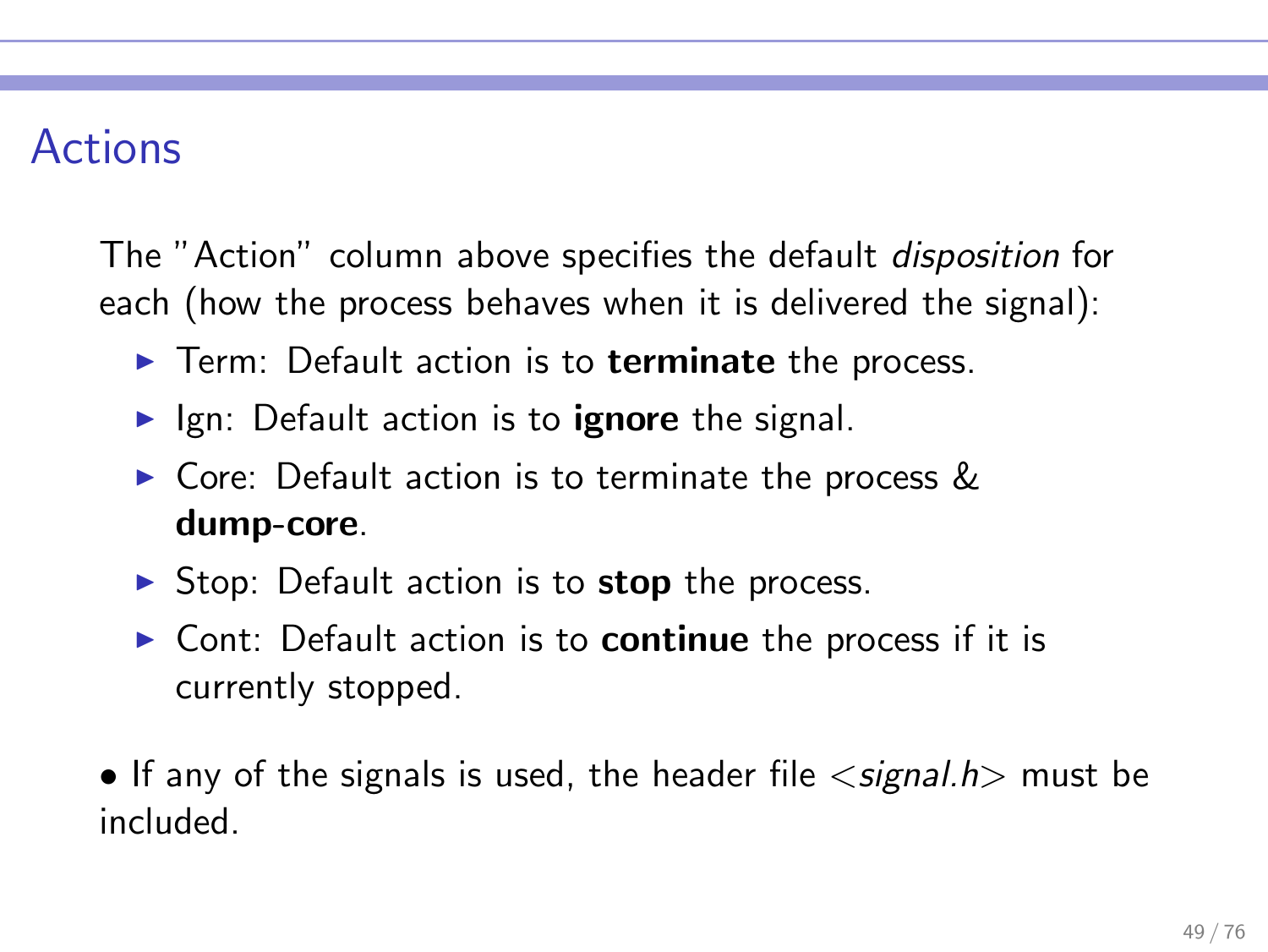### Actions

The "Action" column above specifies the default disposition for each (how the process behaves when it is delivered the signal):

- ▶ Term: Default action is to terminate the process.
- $\blacktriangleright$  Ign: Default action is to **ignore** the signal.
- $\triangleright$  Core: Default action is to terminate the process & dump-core.
- $\triangleright$  Stop: Default action is to stop the process.
- $\triangleright$  Cont: Default action is to **continue** the process if it is currently stopped.

• If any of the signals is used, the header file  $\langle$  signal.h  $\rangle$  must be included.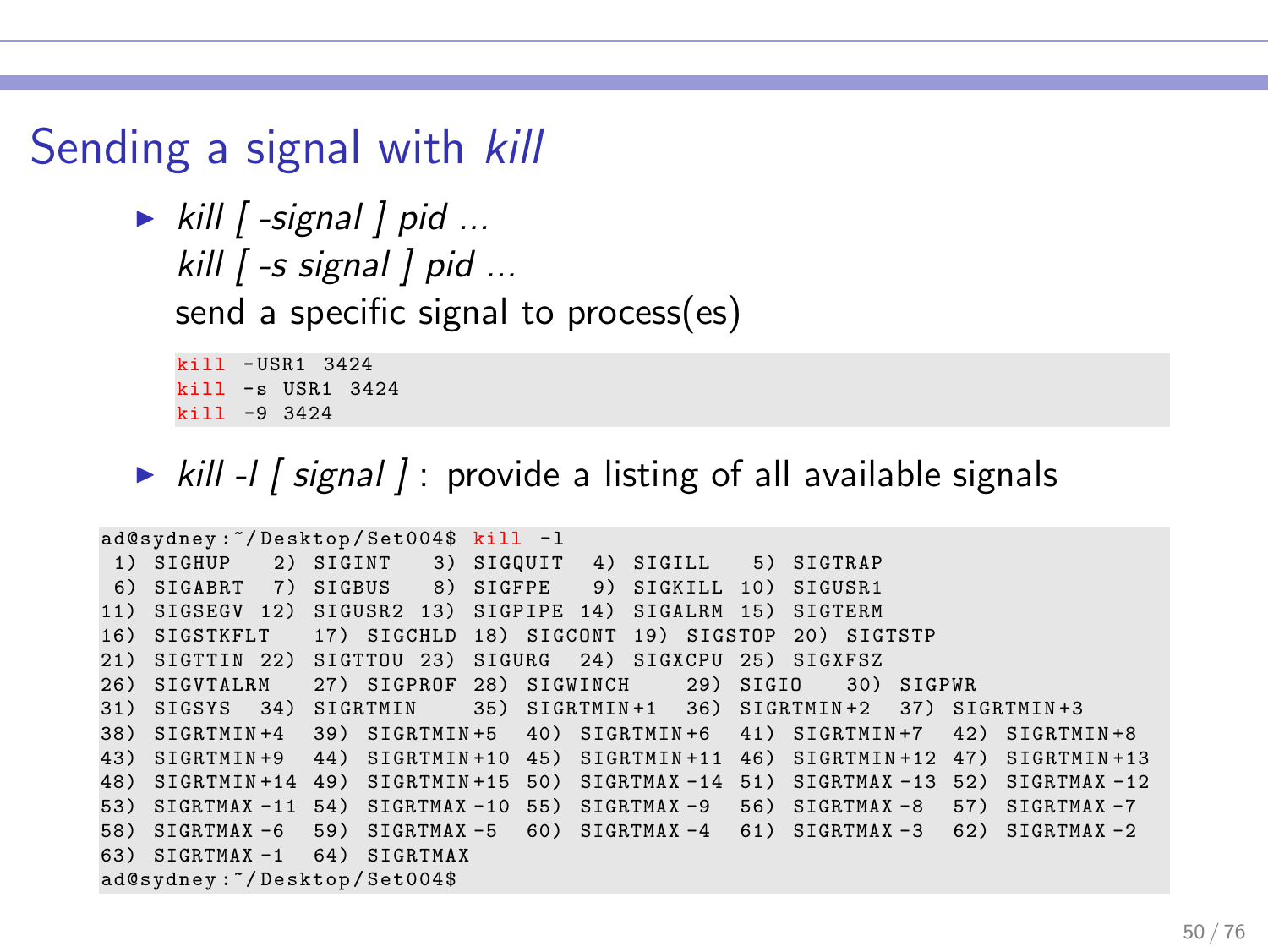# Sending a signal with kill

```
\triangleright kill [ -signal ] pid ...
   kill \int -s signal \int pid ...
   send a specific signal to process(es)
```
kill - USR1 3424 kill -s USR1 3424 kill -9 3424

ightharpoonup kill -l  $\int$  signal  $\int$ : provide a listing of all available signals

```
ad@sydney :~/ Desktop / Set004$ kill -l
 1) SIGHUP 2) SIGINT 3) SIGQUIT 4) SIGILL 5) SIGTRAP
 6) SIGABRT 7) SIGBUS 8) SIGFPE 9) SIGKILL 10) SIGUSR1
11) SIGSEGV 12) SIGUSR2 13) SIGPIPE 14) SIGALRM 15) SIGTERM
16) SIGSTKFLT 17) SIGCHLD 18) SIGCONT 19) SIGSTOP 20) SIGTSTP
21) SIGTTIN 22) SIGTTOU 23) SIGURG 24) SIGXCPU 25) SIGXFSZ
26) SIGVTALRM 27) SIGPROF 28) SIGWINCH 29) SIGIO 30) SIGPWR
31) SIGSYS 34) SIGRTMIN 35) SIGRTMIN+1 36) SIGRTMIN+2 37) SIGRTMIN+3<br>38) SIGRTMIN+4 39) SIGRTMIN+5 40) SIGRTMIN+6 41) SIGRTMIN+7 42) SIGRTMIN+8
38) SIGRTMIN +4 39) SIGRTMIN +5 40) SIGRTMIN +6 41) SIGRTMIN +7
43) SIGRTMIN +9 44) SIGRTMIN +10 45) SIGRTMIN +11 46) SIGRTMIN +12 47) SIGRTMIN +13
48) SIGRTMIN +14 49) SIGRTMIN +15 50) SIGRTMAX -14 51) SIGRTMAX -13 52) SIGRTMAX -12
53) SIGRTMAX -11 54) SIGRTMAX -10 55) SIGRTMAX -9 56) SIGRTMAX -8 57) SIGRTMAX -7
58) SIGRTMAX -6 59) SIGRTMAX -5 60) SIGRTMAX -4 61) SIGRTMAX -3 62) SIGRTMAX -2
63) SIGRTMAX -1 64) SIGRTMAX
ad@sydney :~/ Desktop / Set004$
```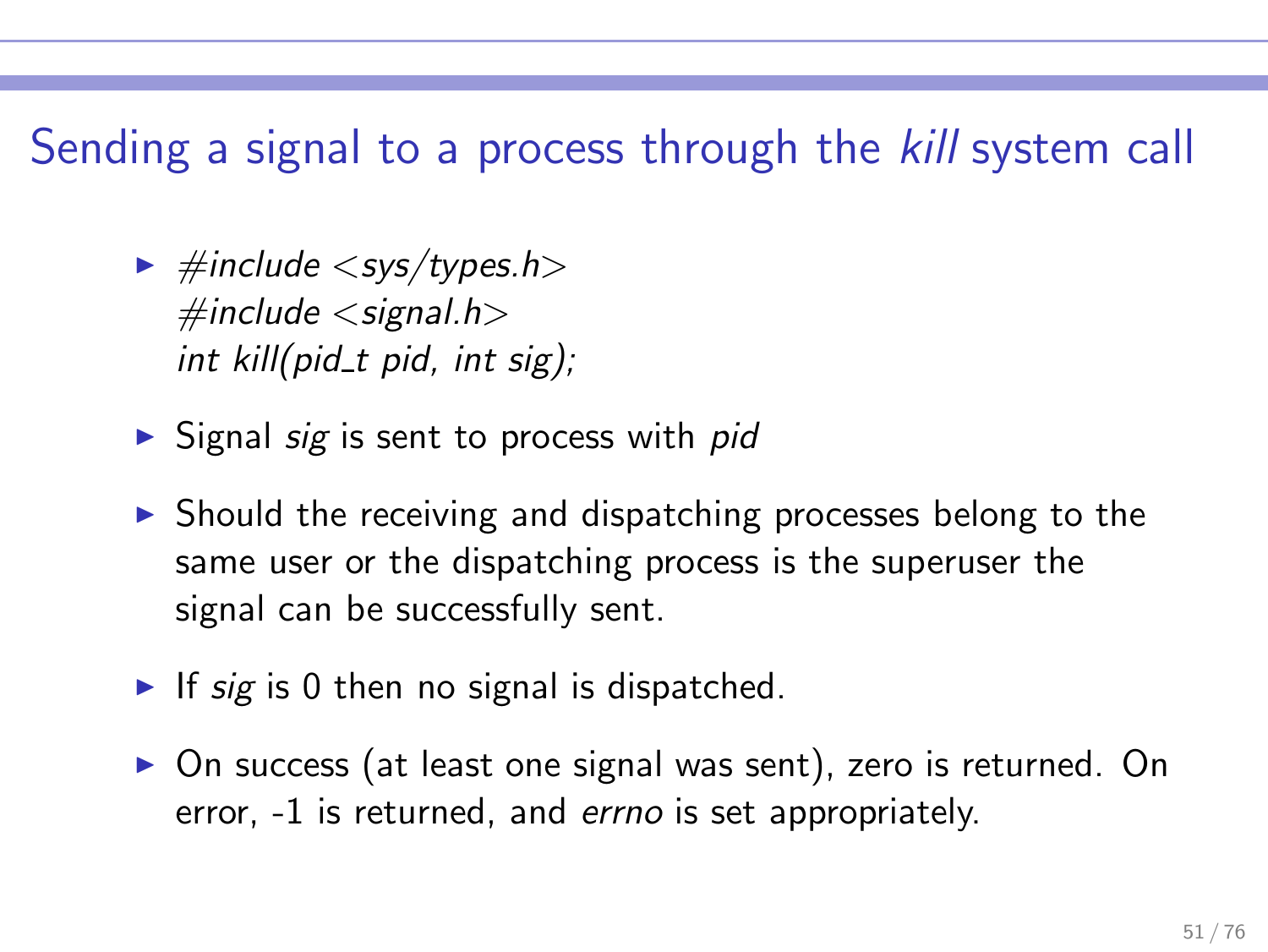### Sending a signal to a process through the kill system call

- $\blacktriangleright$  #include  $\langle$  sys/types.h $\rangle$  $\#$ include  $\lt$ signal.h $>$ int kill(pid\_t pid, int sig);
- $\triangleright$  Signal sig is sent to process with pid
- ▶ Should the receiving and dispatching processes belong to the same user or the dispatching process is the superuser the signal can be successfully sent.
- If sig is 0 then no signal is dispatched.
- ▶ On success (at least one signal was sent), zero is returned. On error, -1 is returned, and errno is set appropriately.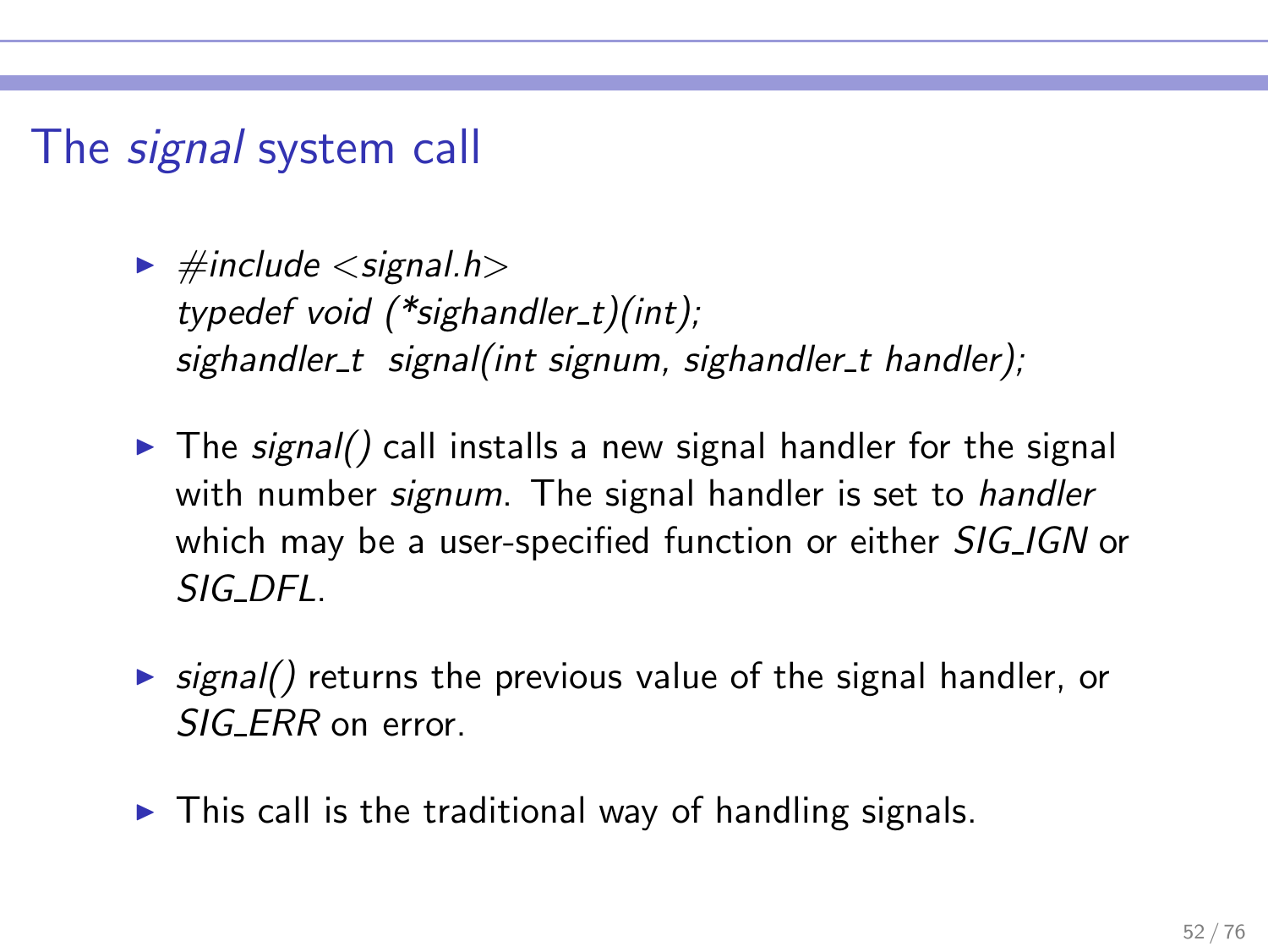### The *signal* system call

- $\blacktriangleright$  #include  $\lt$  signal.h $>$ typedef void (\*sighandler t)(int); sighandler t signal(int signum, sighandler t handler);
- $\triangleright$  The signal() call installs a new signal handler for the signal with number *signum*. The signal handler is set to *handler* which may be a user-specified function or either SIG\_IGN or SIG DFL.
- $\triangleright$  signal() returns the previous value of the signal handler, or SIG ERR on error.
- $\triangleright$  This call is the traditional way of handling signals.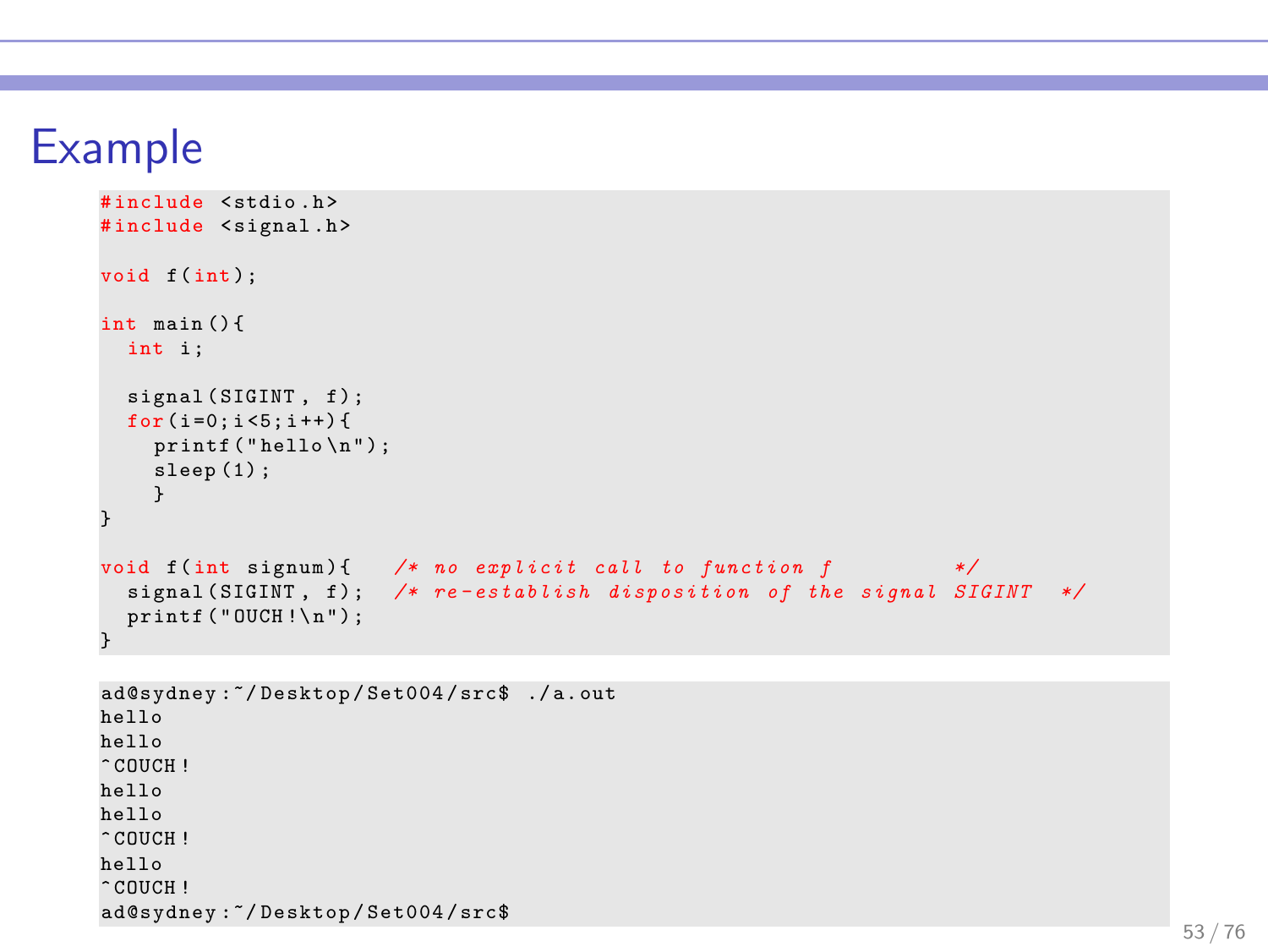### Example

```
# include < stdio .h >
#include <signal.h>
void f(int):
int main () {
 int i:
  signal (SIGINT, f);
  for (i=0:i<5:i++)print(f("hello \n');
    sleep (1) ;
    }
}
void f(int signum){ /* no explicit call to function f */
  signal (SIGINT, f); /* re-establish disposition of the signal SIGINT */
 print(f("OUCH! \n\cdot \n);
}
```

```
ad@sydney :~/ Desktop / Set004 / src$ ./ a. out
hello
hello
\hat{C} COUCH !
hello
hello
\hat{C} COUCH !
hello
^{\circ} COUCH ^{\circ}ad@sydney :~/ Desktop / Set004 / src$
```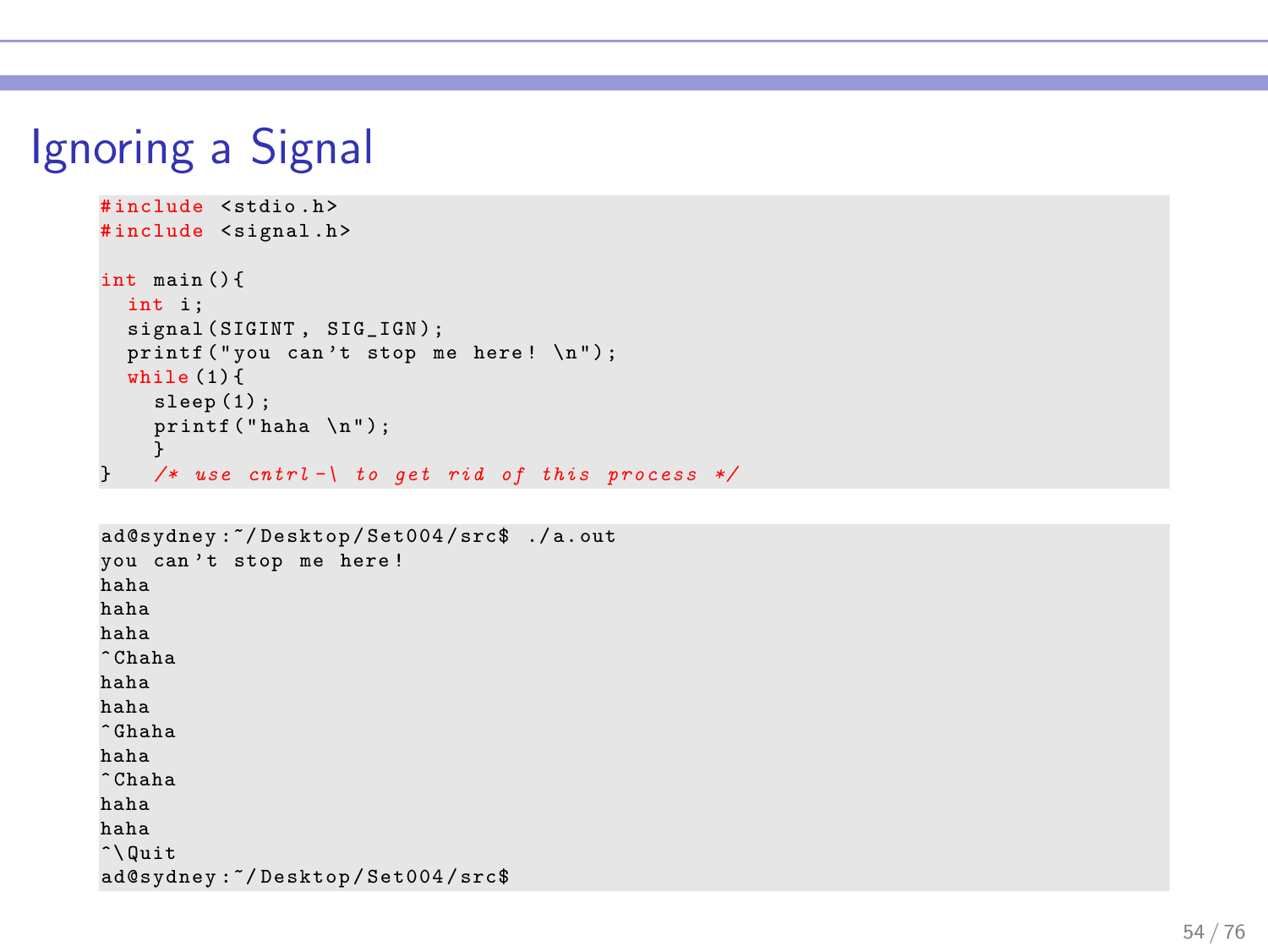# Ignoring a Signal

```
# include < stdio .h >
#include <signal.h>
int main () {
 int i:
  signal (SIGINT, SIG_IGN);
  printf ("you can't stop me here! \n \n \begin{bmatrix}\n 1 & 0 \\
 0 & 1\n \end{bmatrix}while (1) {
     sleep (1) ;
     print(f(" haha \n\ n");
}
} /* use cntrl -\ to get rid of this process */
```

```
ad@sydney :~/ Desktop / Set004 / src$ ./ a. out
you can't stop me here!
haha
haha
haha
^ Chaha
haha
haha
^ Ghaha
haha
^ Chaha
haha
haha
\hat{\ }ad@sydney :~/ Desktop / Set004 / src$
```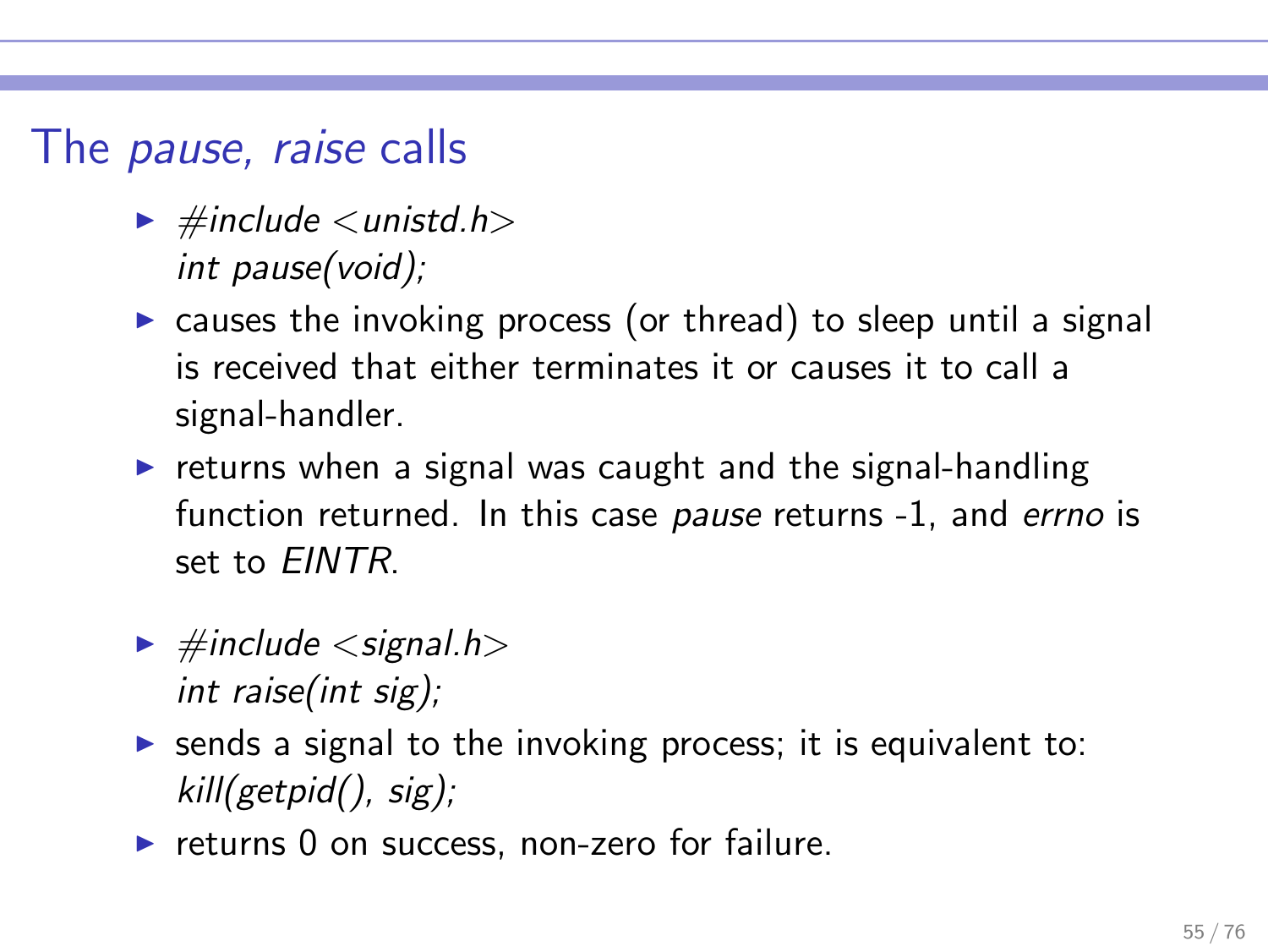#### The pause, raise calls

- $\blacktriangleright$  #include  $\lt$ unistd.h $>$ int pause(void);
- $\triangleright$  causes the invoking process (or thread) to sleep until a signal is received that either terminates it or causes it to call a signal-handler.
- $\triangleright$  returns when a signal was caught and the signal-handling function returned. In this case pause returns -1, and errno is set to EINTR.
- $\blacktriangleright$  #include  $\lt$  signal.h $>$ int raise(int sig);
- $\triangleright$  sends a signal to the invoking process; it is equivalent to: kill(getpid(), sig);
- ▶ returns 0 on success, non-zero for failure.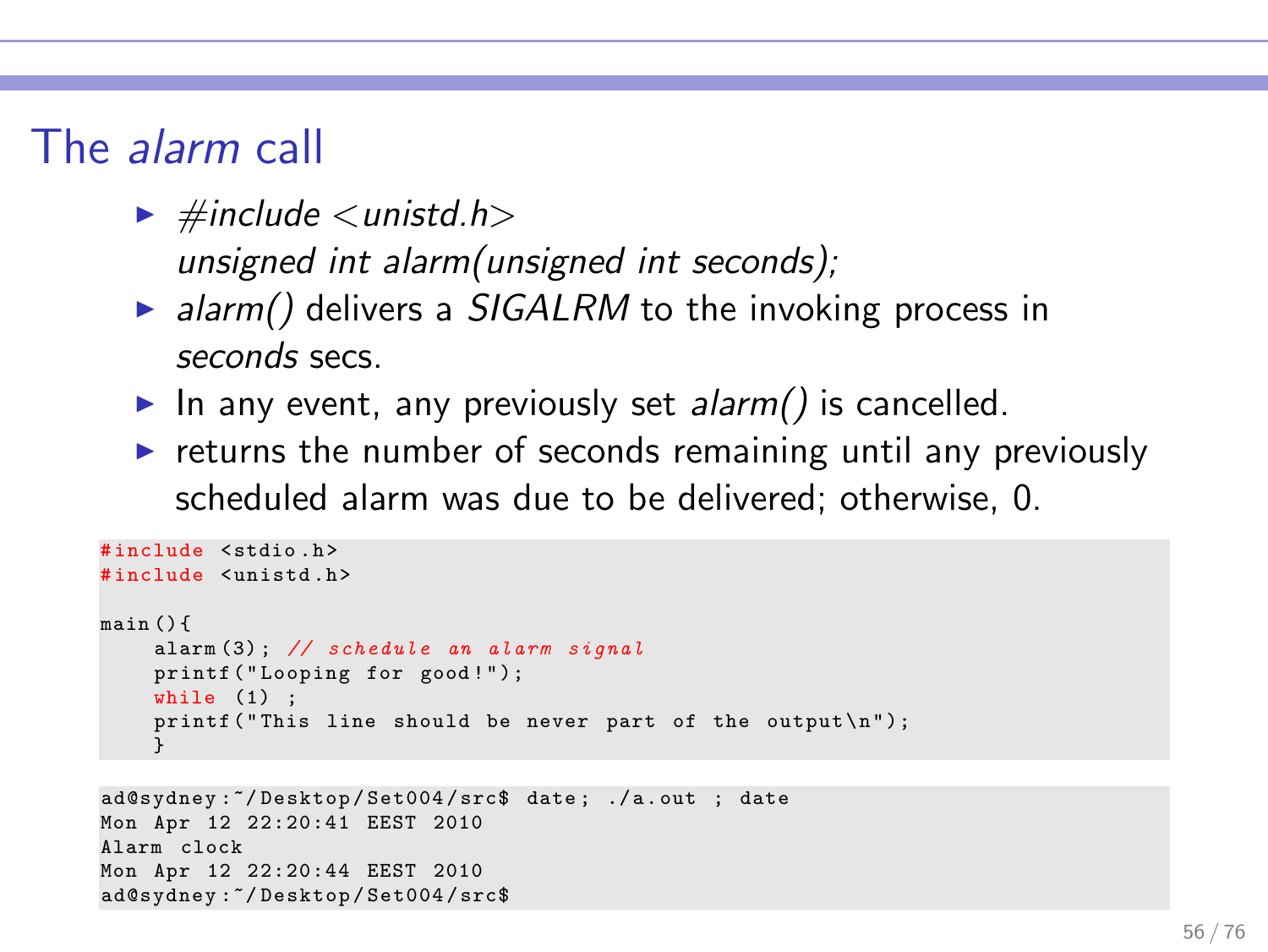### The alarm call

- $\blacktriangleright$  #include  $\lt$ unistd.h> unsigned int alarm(unsigned int seconds);
- $\triangleright$  alarm() delivers a SIGALRM to the invoking process in seconds secs.
- In any event, any previously set alarm() is cancelled.
- $\triangleright$  returns the number of seconds remaining until any previously scheduled alarm was due to be delivered; otherwise, 0.

```
# include < stdio .h >
# include < unistd .h >
main () {
    alarm (3) ; // schedule an alarm signal
    printf ("Looping for good!");
    while (1) :
    printf ("This line should be never part of the output \{n\});
     }
```

```
ad@sydney :~/ Desktop / Set004 / src$ date ; ./ a . out ; date
Mon Apr 12 22:20:41 EEST 2010
Alarm clock
Mon Apr 12 22:20:44 EEST 2010
ad@sydney :~/ Desktop / Set004 / src$
```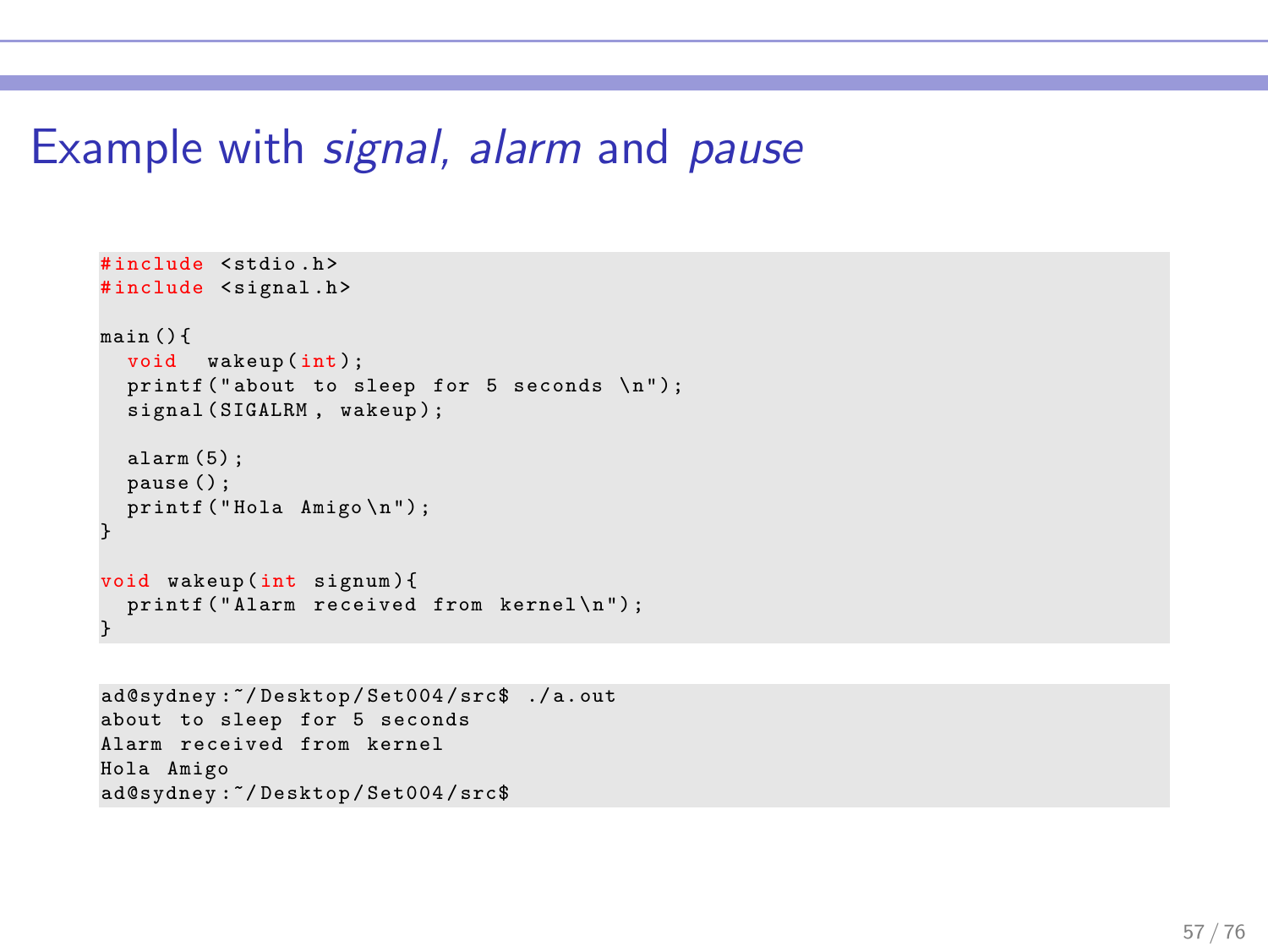#### Example with signal, alarm and pause

```
# include < stdio .h >
#include <signal.h>
main () {
  void wakeup (int):
  printf ("about to sleep for 5 seconds \langle n'' \rangle;
  signal (SIGALRM, wakeup);
  alarm (5) ;
  pause () ;
  printf ("Hola Amigo \n");
}
void wakeup (int signum) {
  printf ("Alarm received from kernel\n");
}
```
ad@sydney :~/ Desktop / Set004 / src\$ ./ a. out about to sleep for 5 seconds Alarm received from kernel Hola Amigo ad@sydney :~/ Desktop / Set004 / src\$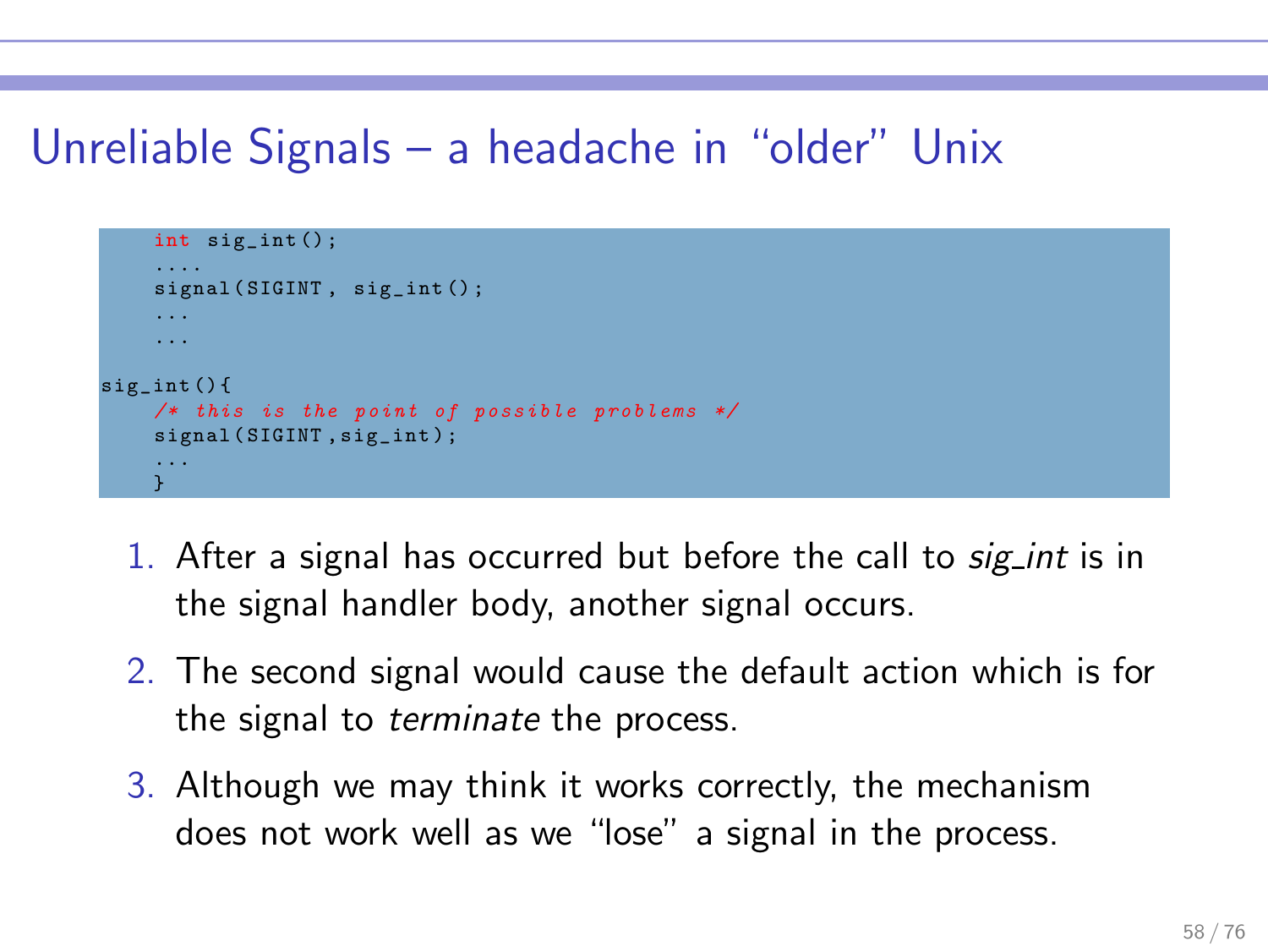## Unreliable Signals – a headache in "older" Unix

```
int sig_int () ;
     ....
    signal (SIGINT, sig_int();
     ...
sig_int () {
    /* this is the point of possible problems */
    signal (SIGINT, sig_int);
     ...
    }
```
- 1. After a signal has occurred but before the call to sig int is in the signal handler body, another signal occurs.
- 2. The second signal would cause the default action which is for the signal to terminate the process.
- 3. Although we may think it works correctly, the mechanism does not work well as we "lose" a signal in the process.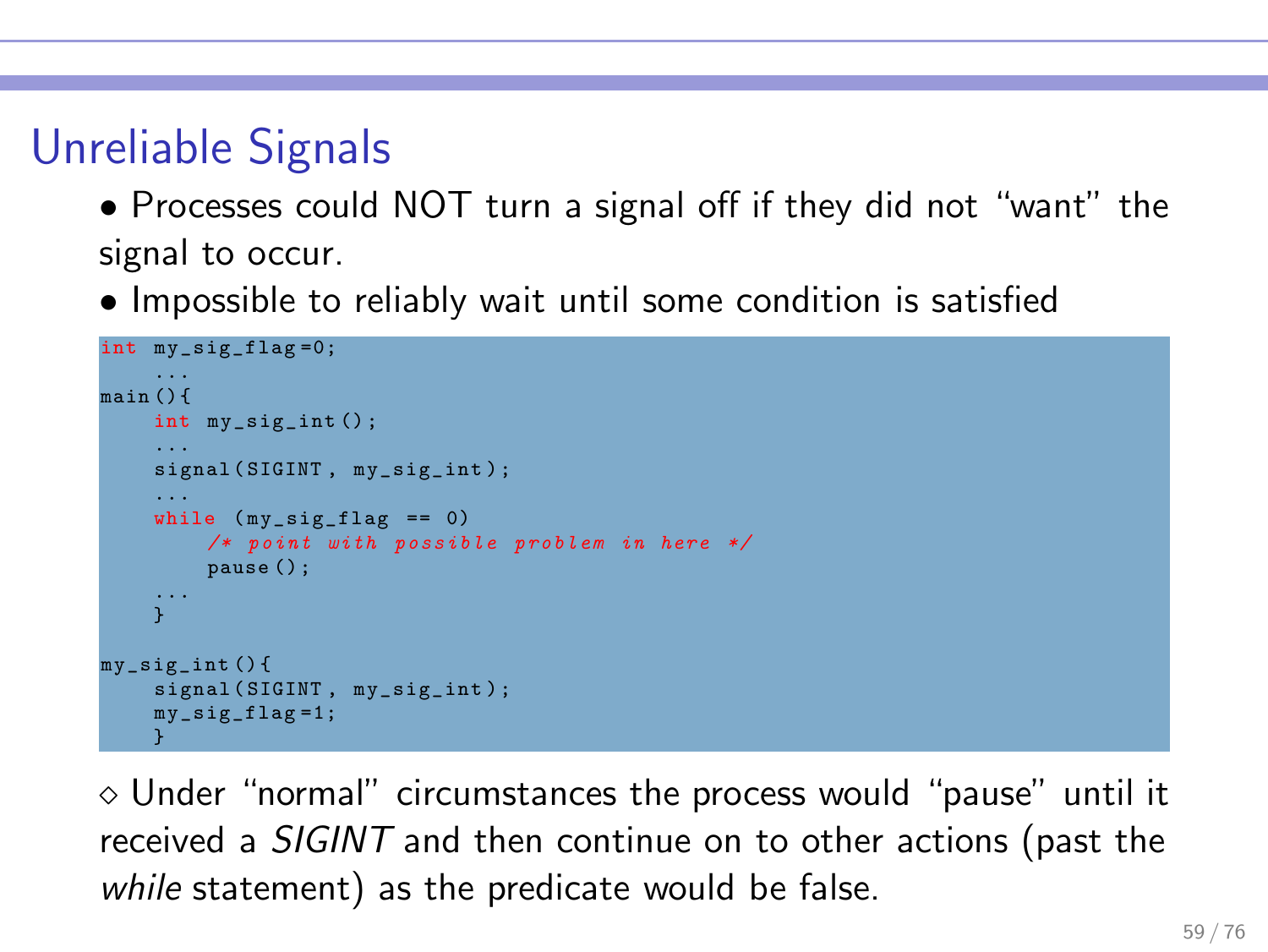# Unreliable Signals

• Processes could NOT turn a signal off if they did not "want" the signal to occur.

• Impossible to reliably wait until some condition is satisfied

```
int my_sig_flag =0;
...
main () {
    int my_sig_int () ;
     ...
    signal (SIGINT, my_sig_int);
     ...
    while (mv sig flag == 0)
         /* point with possible problem in here */
         pause () ;
     ...
     }
my sig int () {
    signal (SIGINT, my sig_int) ;
    my_sig_flag =1;
     }
```
 $\diamond$  Under "normal" circumstances the process would "pause" until it received a SIGINT and then continue on to other actions (past the while statement) as the predicate would be false.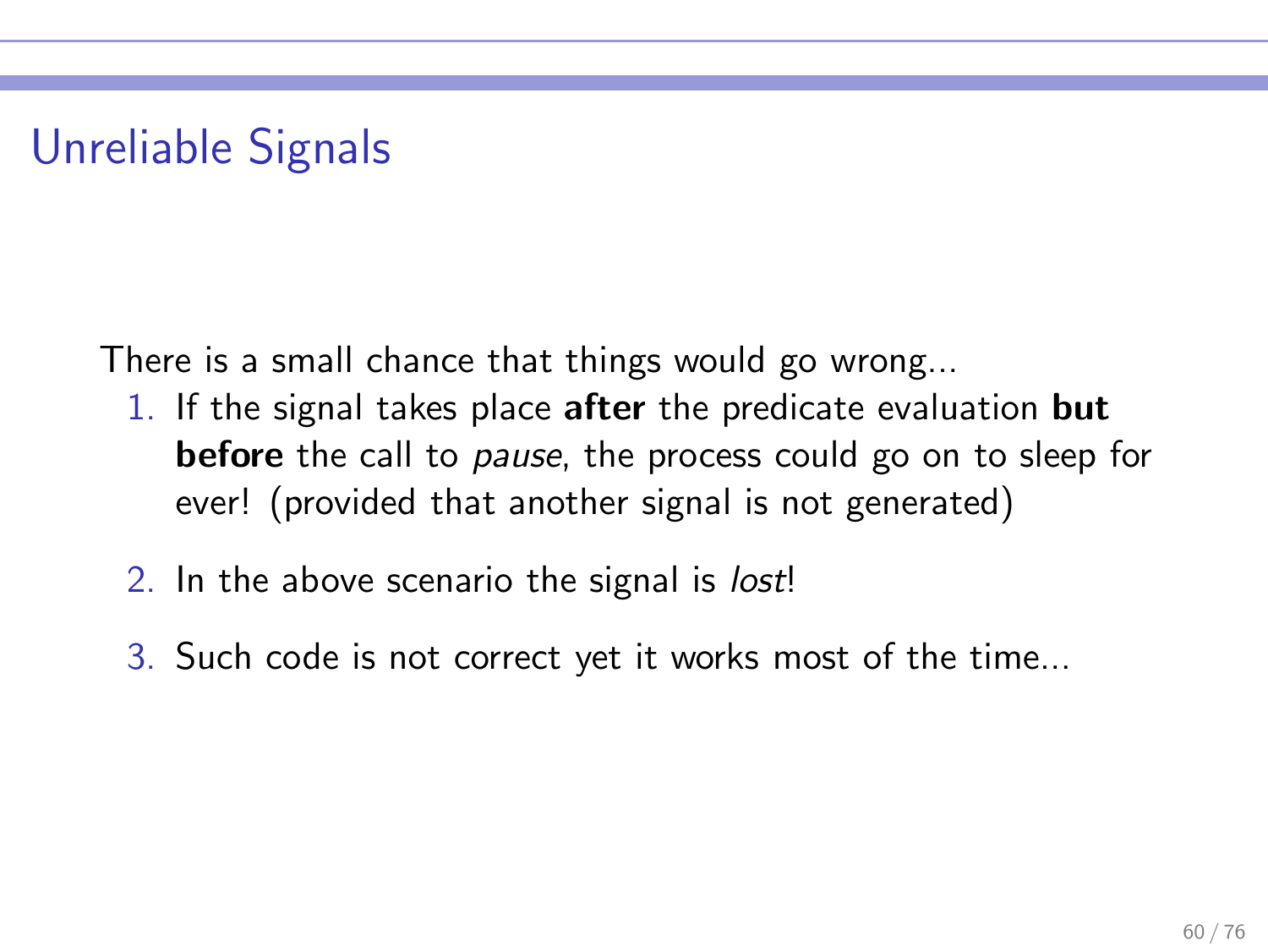# Unreliable Signals

There is a small chance that things would go wrong...

- 1. If the signal takes place after the predicate evaluation but before the call to *pause*, the process could go on to sleep for ever! (provided that another signal is not generated)
- 2. In the above scenario the signal is *lost!*
- 3. Such code is not correct yet it works most of the time...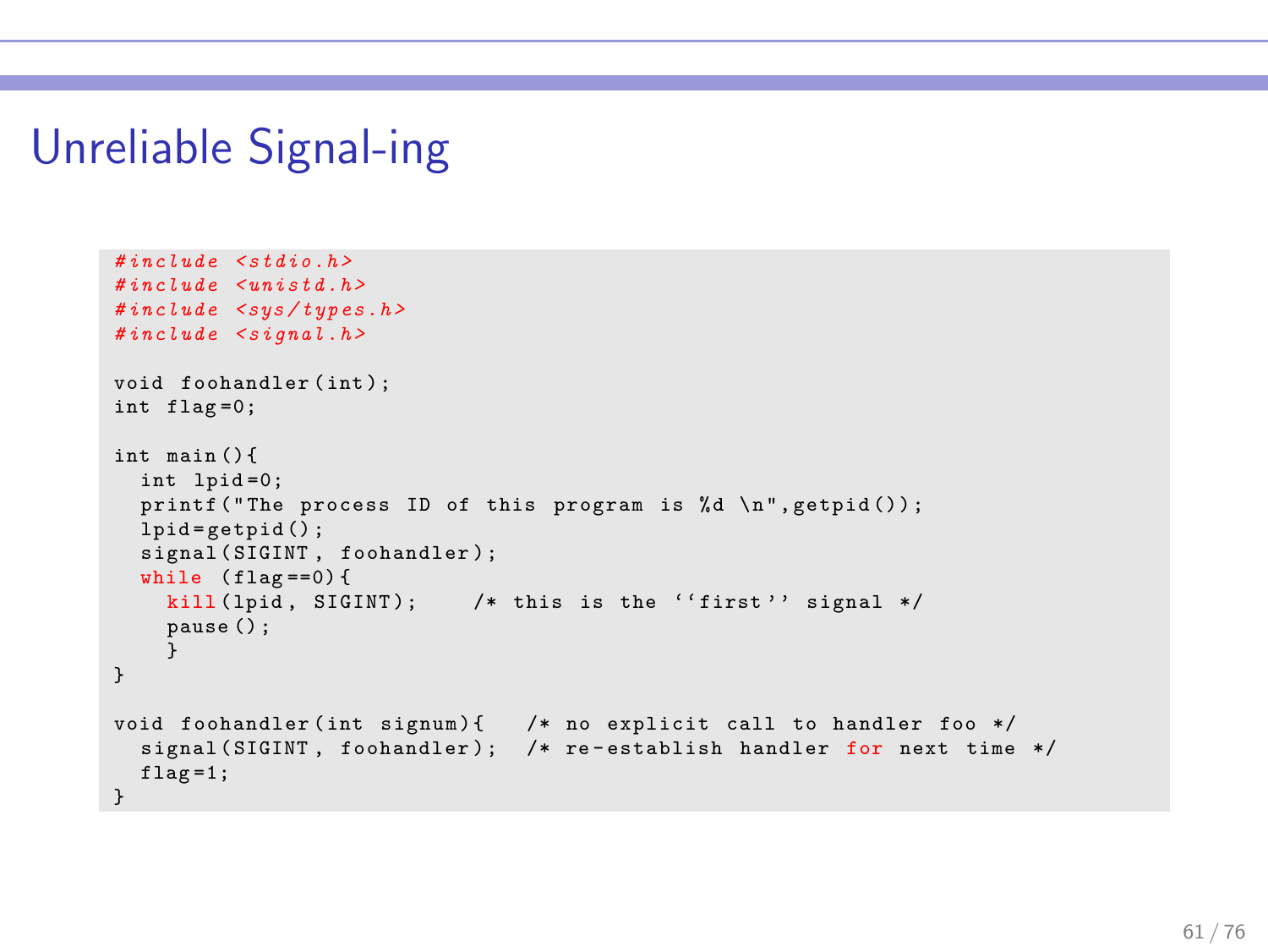#### Unreliable Signal-ing

```
\#include \leqstdio h >
# include < unistd .h >
# include < sys / types .h >
#inculate \leq signal . hvoid foohandler ( int ) ;
int flag =0;
int main () {
  int lpid =0;
  printf ("The process ID of this program is % d \nvert n", getpid ());
  lpid = getpid();
  signal (SIGINT, foohandler);
  while (flag == 0) {
    kill (lpid, SIGINT): /* this is the ''first'' signal */pause () ;
     }
}
void foohandler (int signum) { /* no explicit call to handler foo */
  signal (SIGINT, foohandler); /* re-establish handler for next time */
  flag = 1;
}
```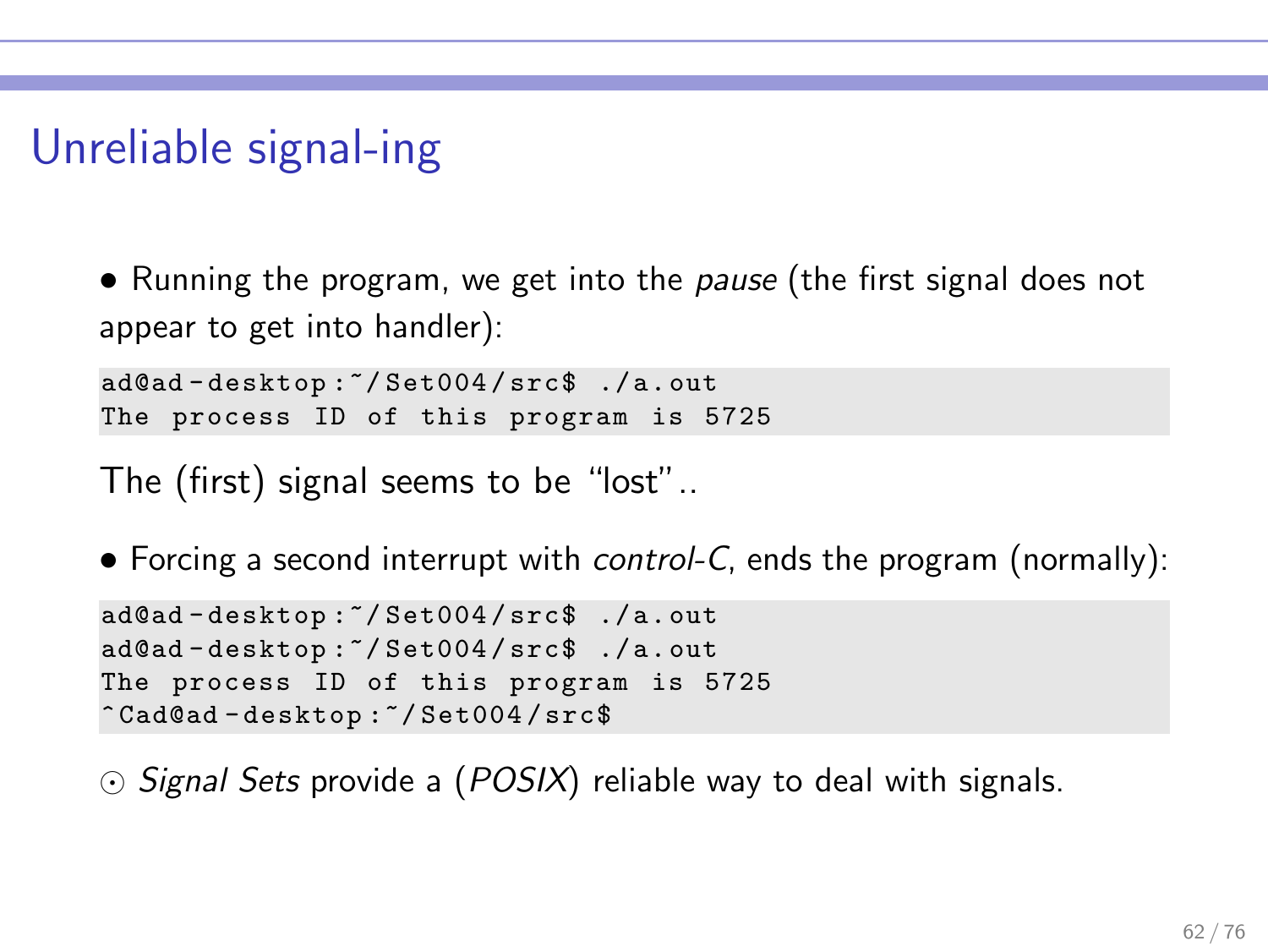## Unreliable signal-ing

• Running the program, we get into the *pause* (the first signal does not appear to get into handler):

ad@ad - desktop :~/ Set004 / src\$ ./ a. out The process ID of this program is 5725

The (first) signal seems to be "lost"..

• Forcing a second interrupt with control-C, ends the program (normally):

```
ad@ad - desktop :~/ Set004 / src$ ./ a. out
ad@ad - desktop :~/ Set004 / src$ ./ a. out
The process ID of this program is 5725
^ Cad@ad - desktop :~/ Set004 / src$
```
⊙ Signal Sets provide a (POSIX) reliable way to deal with signals.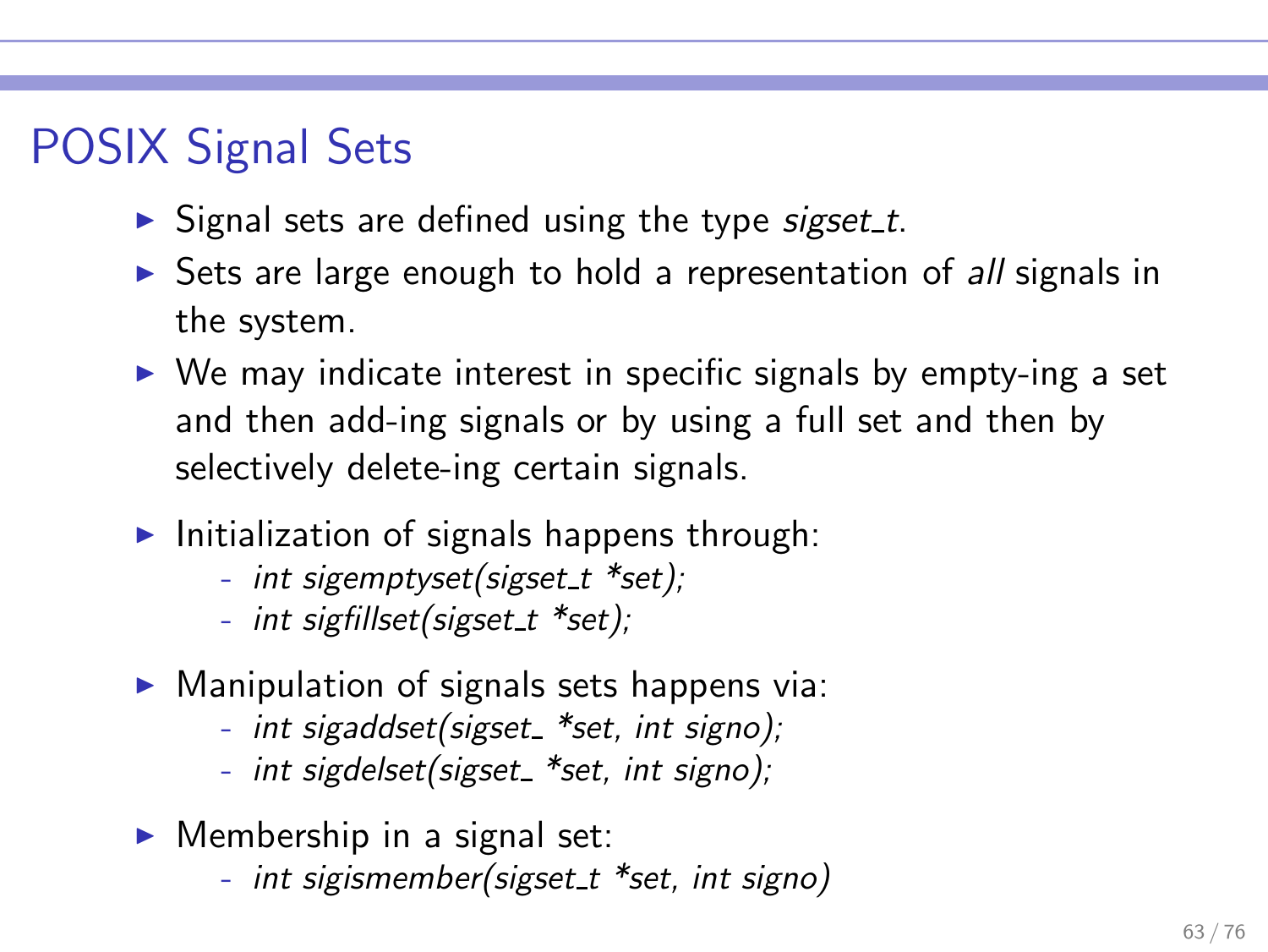# POSIX Signal Sets

- $\triangleright$  Signal sets are defined using the type sigset t.
- ► Sets are large enough to hold a representation of all signals in the system.
- $\triangleright$  We may indicate interest in specific signals by empty-ing a set and then add-ing signals or by using a full set and then by selectively delete-ing certain signals.
- $\blacktriangleright$  Initialization of signals happens through:
	- int sigemptyset(sigset\_t \*set);
	- int sigfillset(sigset\_t \*set);
- $\triangleright$  Manipulation of signals sets happens via:
	- int sigaddset(sigset \*set, int signo);
	- int sigdelset(sigset\_ \*set, int signo);
- $\blacktriangleright$  Membership in a signal set:
	- int sigismember(sigset\_t \*set, int signo)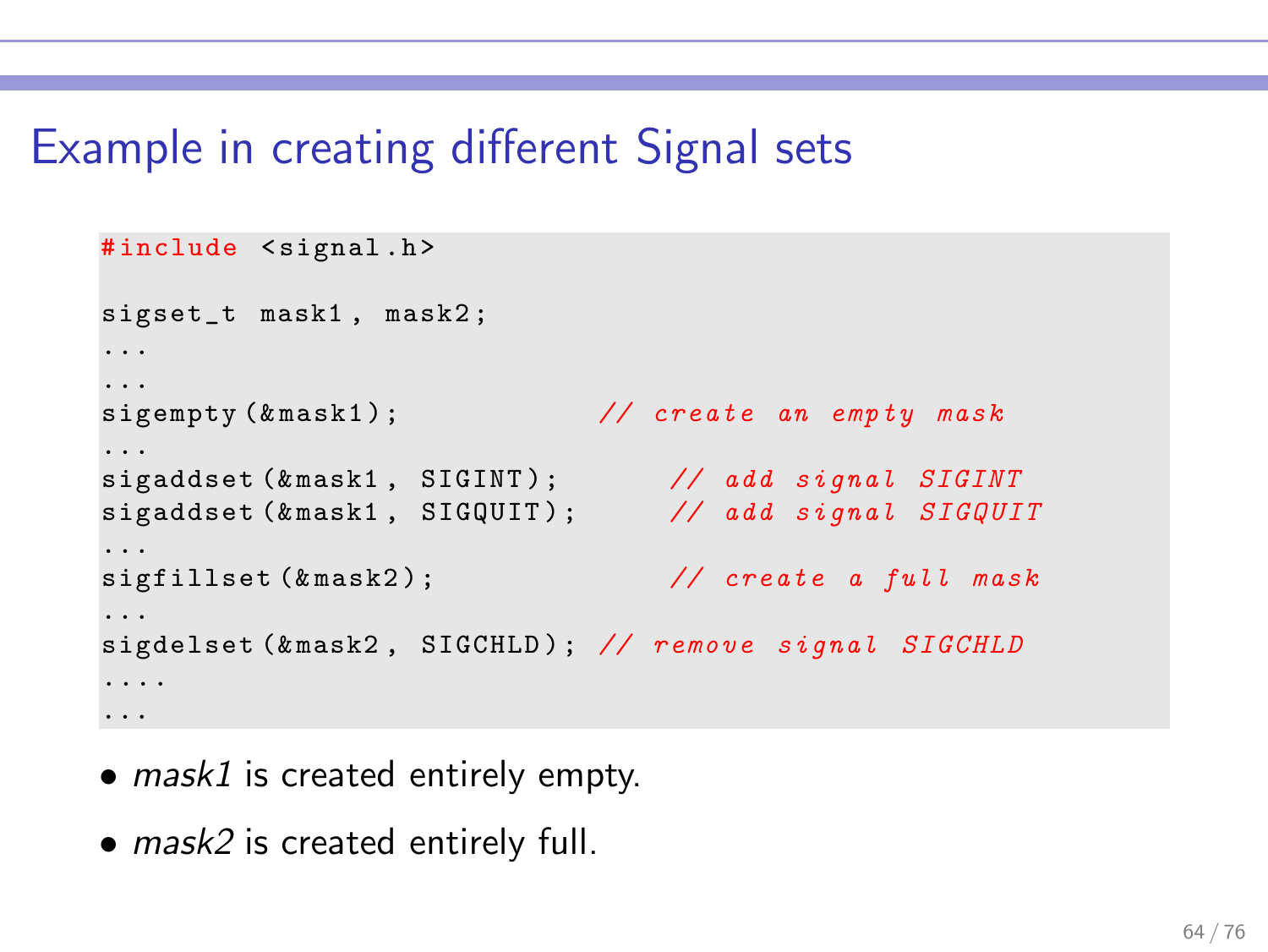### Example in creating different Signal sets

```
#include <signal.h>
sigset_t mask1 , mask2 ;
...
...
sigempty (& mask1); \frac{1}{2} create an empty mask
...
sigaddset (& mask1, SIGINT); // add signal SIGINT
sigaddset (& mask1, SIGQUIT); // add signal SIGQUIT
...
sigfillset (& mask2); \frac{1}{2} create a full mask
...
sigdelset (&mask2, SIGCHLD); // remove signal SIGCHLD
....
...
```
- mask1 is created entirely empty.
- mask2 is created entirely full.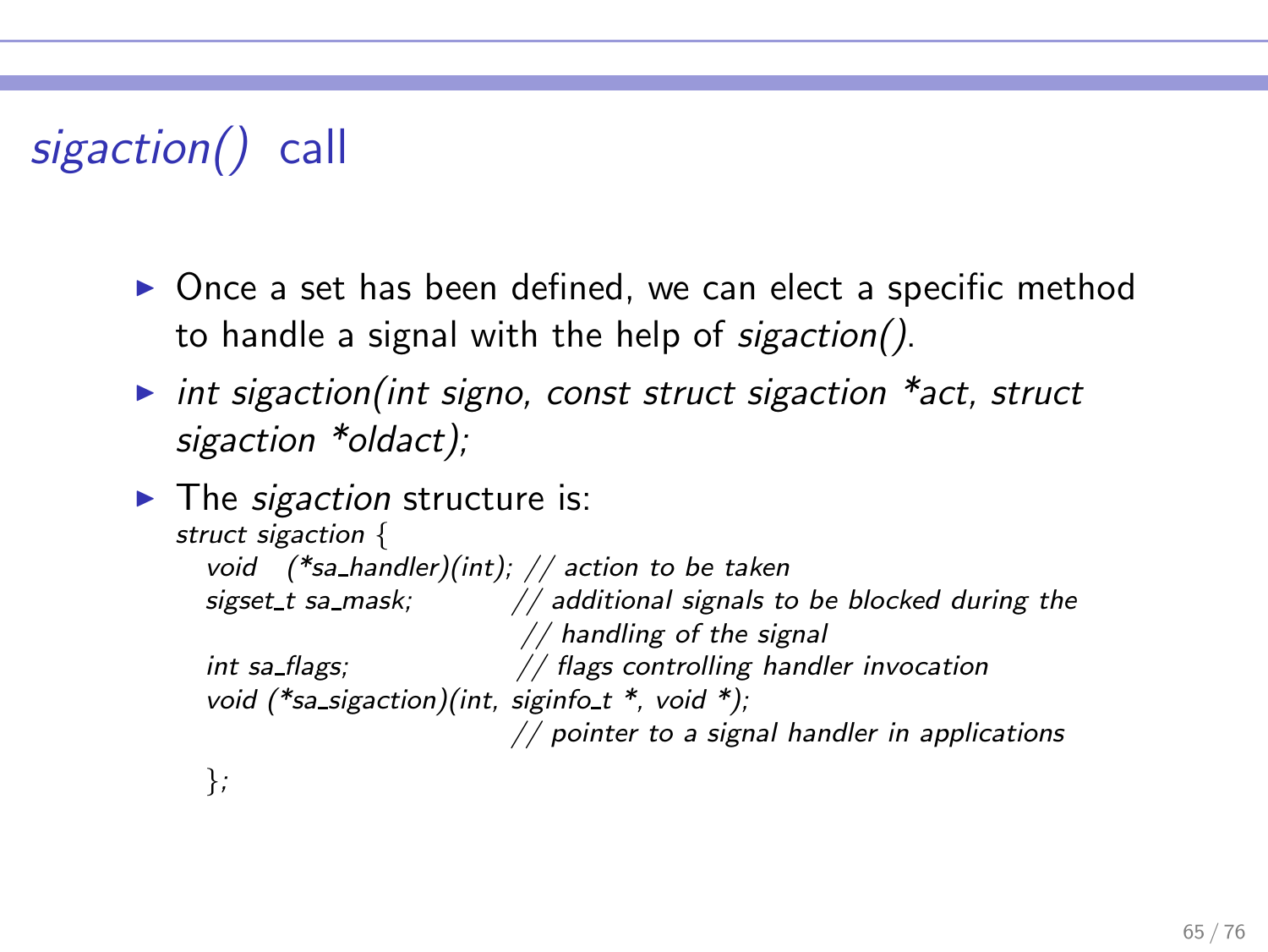# sigaction() call

- ▶ Once a set has been defined, we can elect a specific method to handle a signal with the help of sigaction().
- int sigaction(int signo, const struct sigaction  $*$ act, struct sigaction \*oldact);

```
\blacktriangleright The sigaction structure is:
   struct sigaction {
     void (*sa_handler)(int); // action to be taken
     sigset t sa mask; \frac{1}{4} additional signals to be blocked during the
                               // handling of the signal
     int sa flags; // flags controlling handler invocation
     void (*sa sigaction)(int, siginfo t^*, void *);
                              // pointer to a signal handler in applications
     };
```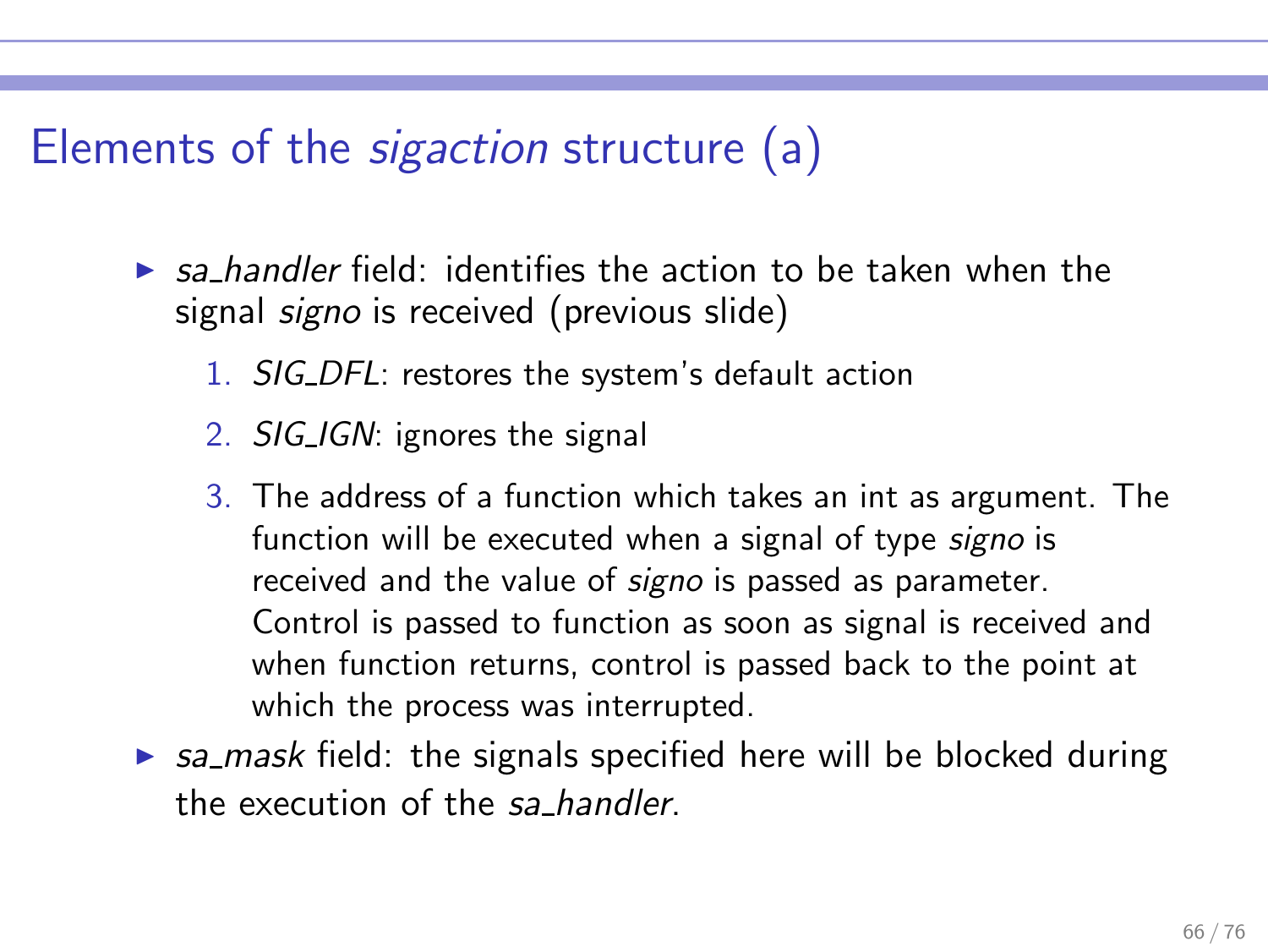Elements of the sigaction structure (a)

- $\triangleright$  sa handler field: identifies the action to be taken when the signal *signo* is received (previous slide)
	- 1. SIG DFL: restores the system's default action
	- 2. SIG\_IGN: ignores the signal
	- 3. The address of a function which takes an int as argument. The function will be executed when a signal of type *signo* is received and the value of signo is passed as parameter. Control is passed to function as soon as signal is received and when function returns, control is passed back to the point at which the process was interrupted.
- $\triangleright$  sa mask field: the signals specified here will be blocked during the execution of the sa handler.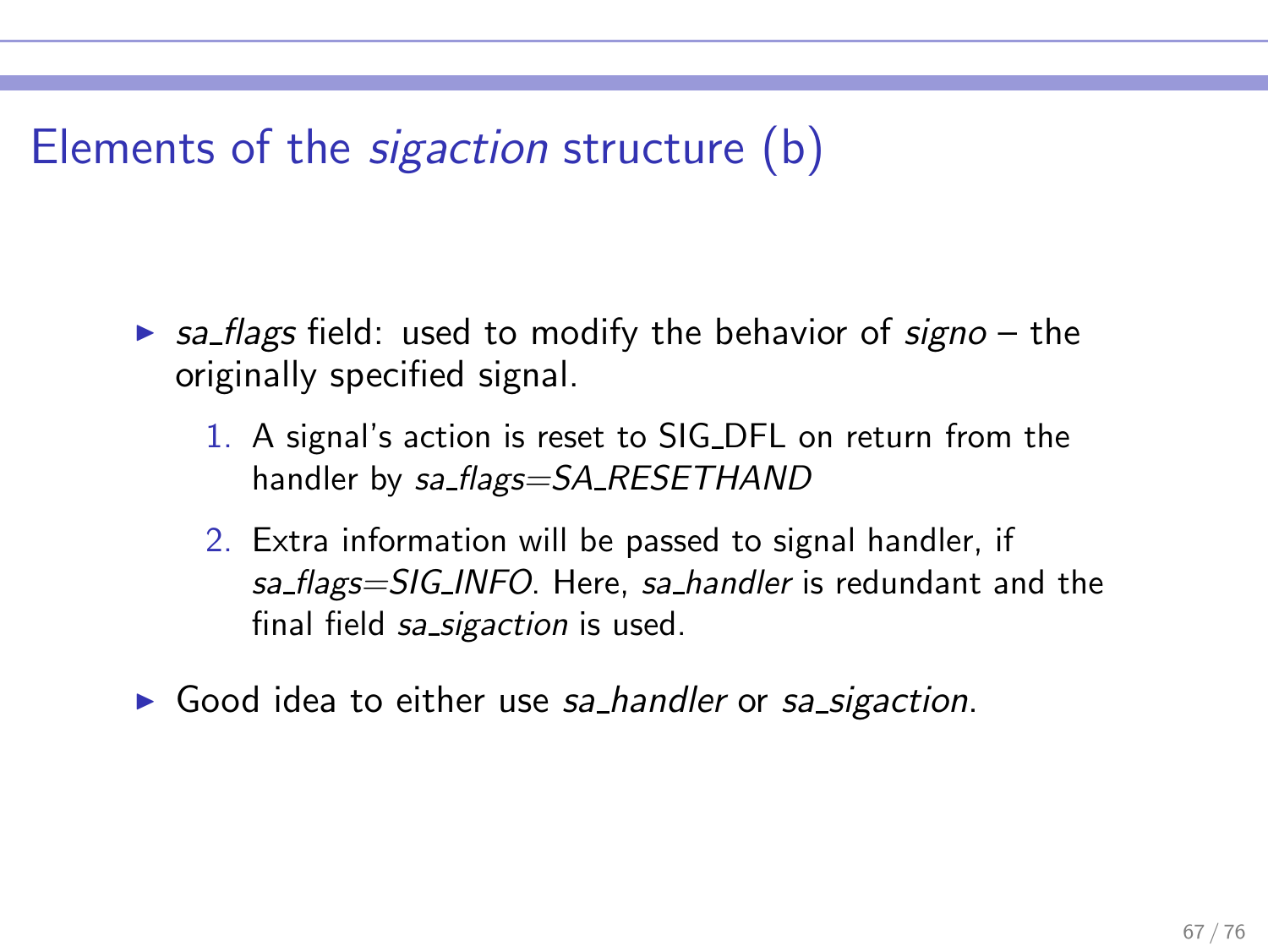# Elements of the sigaction structure (b)

- $\triangleright$  sa flags field: used to modify the behavior of signo the originally specified signal.
	- 1. A signal's action is reset to SIG DFL on return from the handler by sa flags=SA\_RESETHAND
	- 2. Extra information will be passed to signal handler, if sa flags=SIG INFO. Here, sa handler is redundant and the final field sa sigaction is used.
- ► Good idea to either use sa handler or sa sigaction.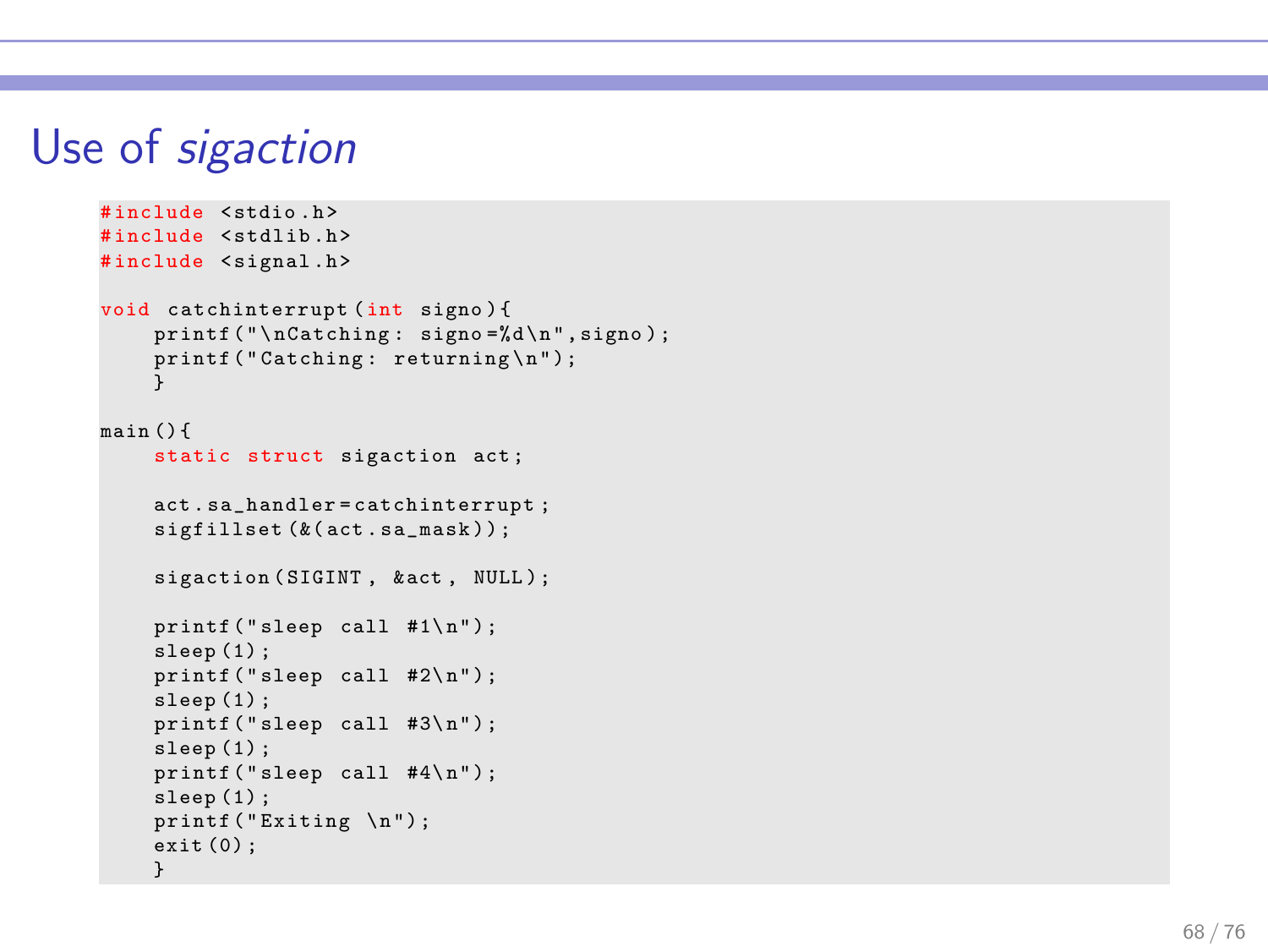#### Use of sigaction

```
#include <stdio h>
#include <stdlib.h>
#include <signal.h>
void catchinterrupt (int signo ) {
    printf (" \nCatching : signo = %d \n' . signo :printf ("Catching: returning\n");
    }
main () {
    static struct sigaction act ;
    act . sa_handler = catchinterrupt ;
    sigfillset (&( act . sa_mask ) ) ;
    sigaction (SIGINT, & act, NULL);
    printf("sleep call #1\n'n"):
    sleep (1) ;
    print(f("sleep call #2\n'n");sleep (1) ;
    printf("sleep call #3\n");
    sleep(1):
    printf("sleep call #4\n");
    sleep(1);
    printf ("Exiting \n");
    exit (0) ; }
```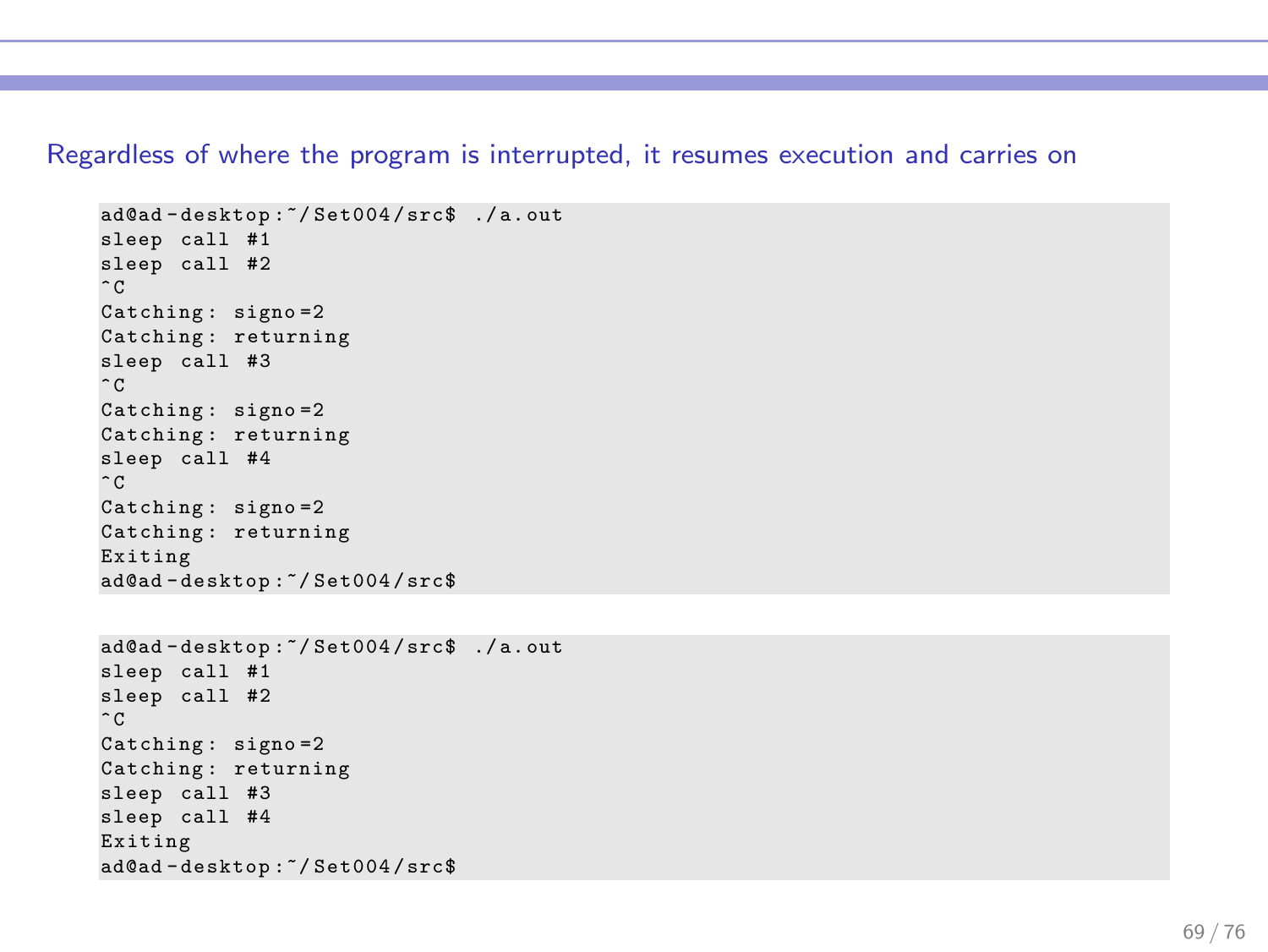Regardless of where the program is interrupted, it resumes execution and carries on

```
ad@ad - desktop :~/ Set004 / src$ ./ a. out
sleep call #1
sleep call #2
\hat{C}Catching : signo =2
Catching: returning
sleep call #3
\hat{C}Catching : signo =2
Catching : returning
sleep call #4
\hat{C}Catching : signo =2
Catching : returning
Exiting
ad@ad - desktop :~/ Set004 / src$
ad@ad - desktop :~/ Set004 / src$ ./ a. out
sleep call #1
sleep call #2
\hat{C}Catching: signo=2
Catching : returning
sleep call #3
sleep call #4
Exiting
ad@ad - desktop :~/ Set004 / src$
```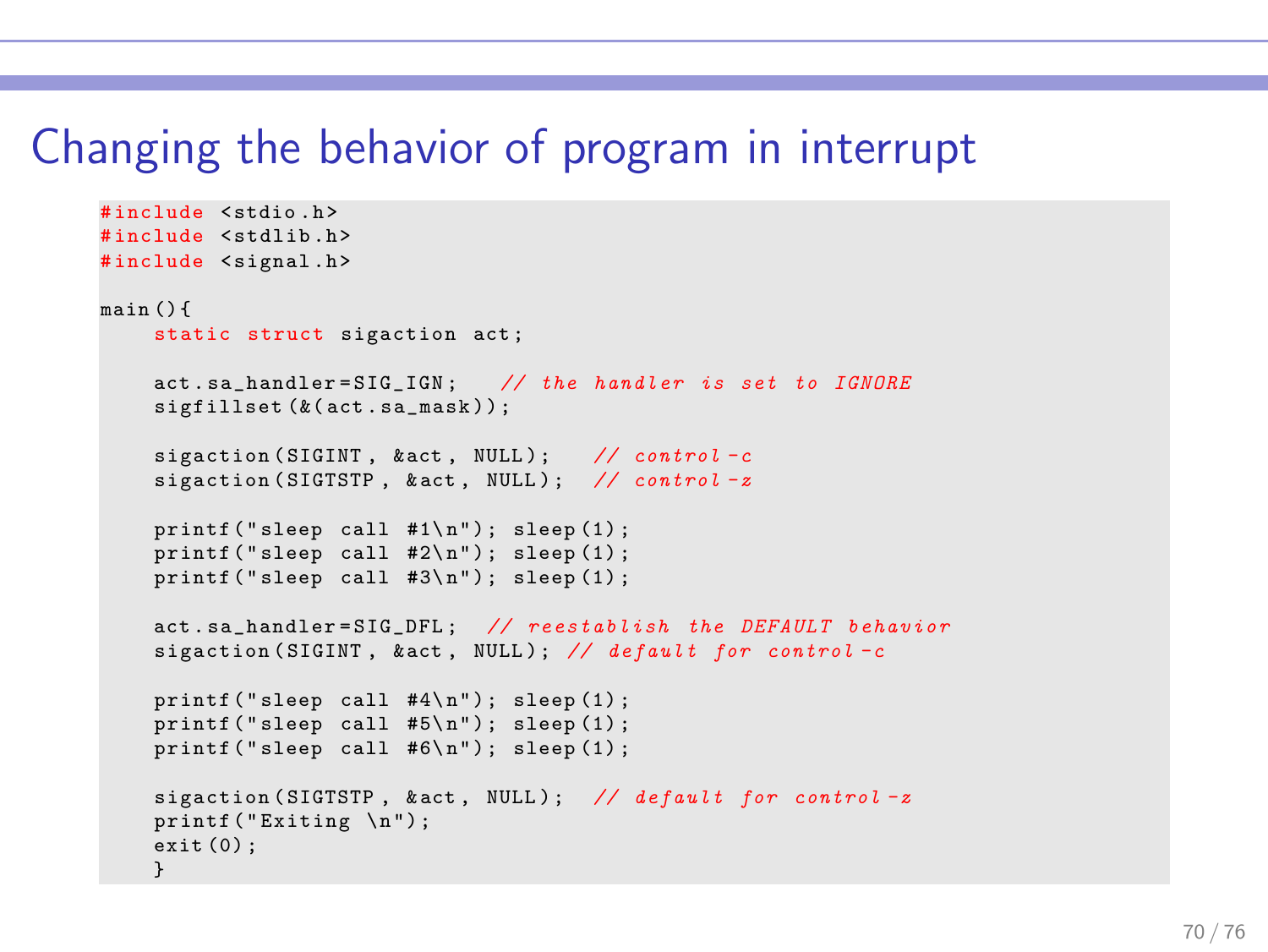#### Changing the behavior of program in interrupt

```
# include < stdio .h >
#include <stdlib.h>
#include <signal.h>
main () {
    static struct sigaction act ;
    act sa handler=STG TGN: // the handler is set to TGNOREsigfillset (k(\text{act} \cdot \text{sa} \_\text{mask} ) ;
    sigaction (SIGINT, kact, NULL): // control-c
    sigaction (SIGTSTP, & act, NULL); // control-z
    printf ("sleep call #1\n\rangle"); sleep (1);
    printf ("sleep call #2\n"); sleep (1);
    print('sleep call #3\n'n'); sleep(1);
    act.sa handler=SIG_DFL; // reestablish the DEFAULT behavior
    sigaction (SIGINT, & \text{act}, NULL); // default for control-c
    printf ("sleep call #4\n"); sleep (1);
    printf ("sleep call #5\n"); sleep (1);
    print('sleep call #6\n'n'); sleep(1);
    sigaction (SIGTSTP, & act, NULL); // default for control-z
    printf ("Exiting \n");
    exit (0) ;
    }
```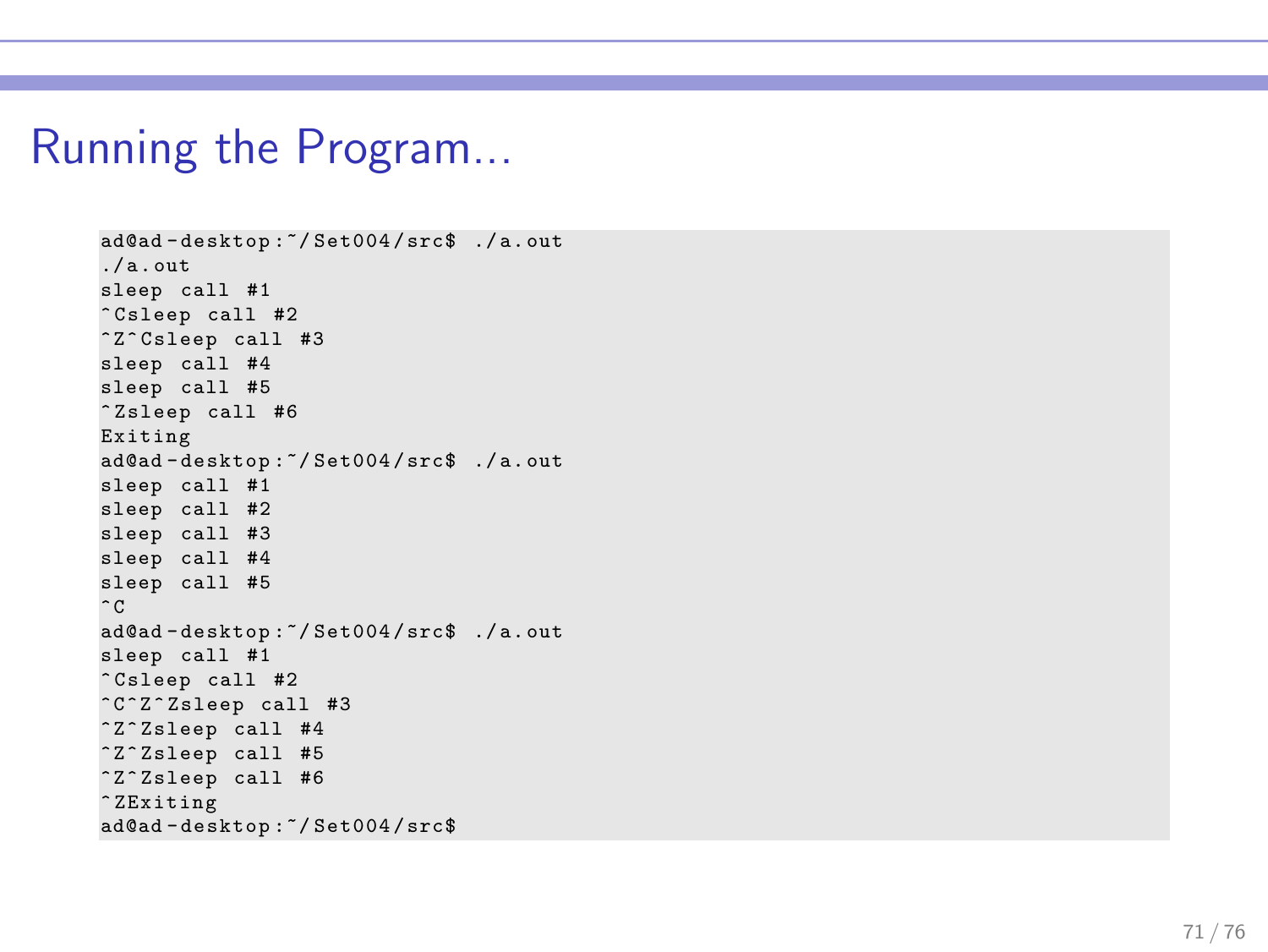#### Running the Program...

```
ad@ad - desktop :~/ Set004 / src$ ./ a. out
./a.out
sleep call #1
^ Csleep call #2
^ Z^ Csleep call #3
sleep call #4
sleep call #5
^ Zsleep call #6
Exiting
ad@ad - desktop :~/ Set004 / src$ ./ a. out
sleep call #1
sleep call #2
sleep call #3
sleep call #4
sleep call #5
\hat{C}ad@ad - desktop :~/ Set004 / src$ ./ a. out
sleep call #1
^ Csleep call #2
^ C^ Z ^ Zsleep call #3
^ Z^ Zsleep call #4
^ Z^ Zsleep call #5
^ Z^ Zsleep call #6
^ ZExiting
ad@ad - desktop :~/ Set004 / src$
```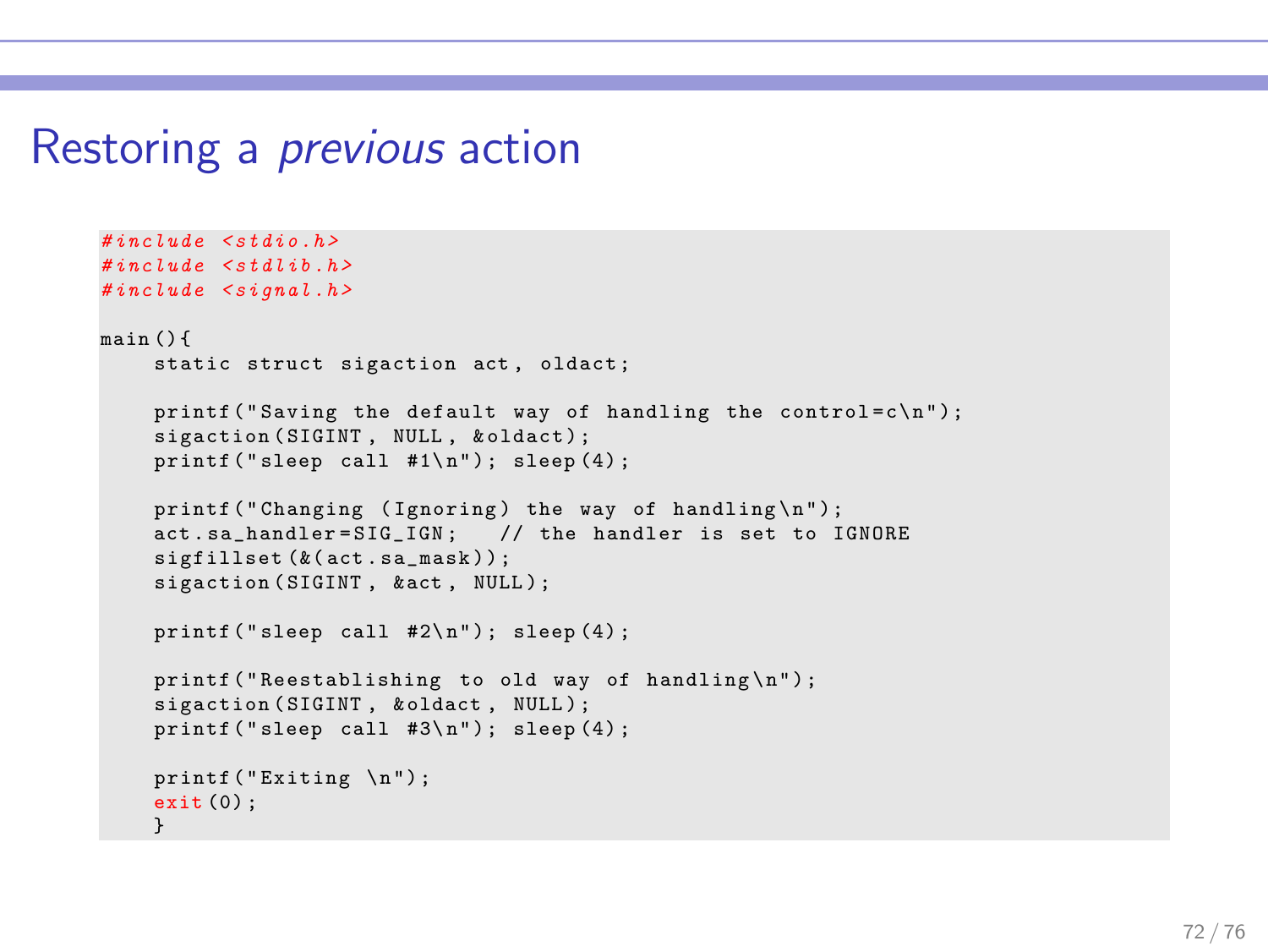#### Restoring a previous action

```
\#include \leqstdio h>
\#include \leqstdlib h>
#inculate \leq signal . hmain () {
    static struct sigaction act, oldact;
    printf ("Saving the default way of handling the control=c \n\cdot n");
    sigaction (SIGINT, NULL, & oldact) ;
    print('sleep call #1\n'n'); sleep(4);
    printf ("Changing (Ignoring) the way of handling\n\ln");
    act.sa handler=SIG IGN: // the handler is set to IGNORE
    sififillset (k(act, sa mask)) :
    sigaction (SIGINT, & act, NULL);
    printf ("sleep call #2\n"); sleep (4);
    printf ("Reestablishing to old way of handling\n");
    sigaction (SIGINT, & oldact, NULL);
    printf ("sleep call #3\n"); sleep (4);
    printf ("Exiting \n");
    ext(0):
    }
```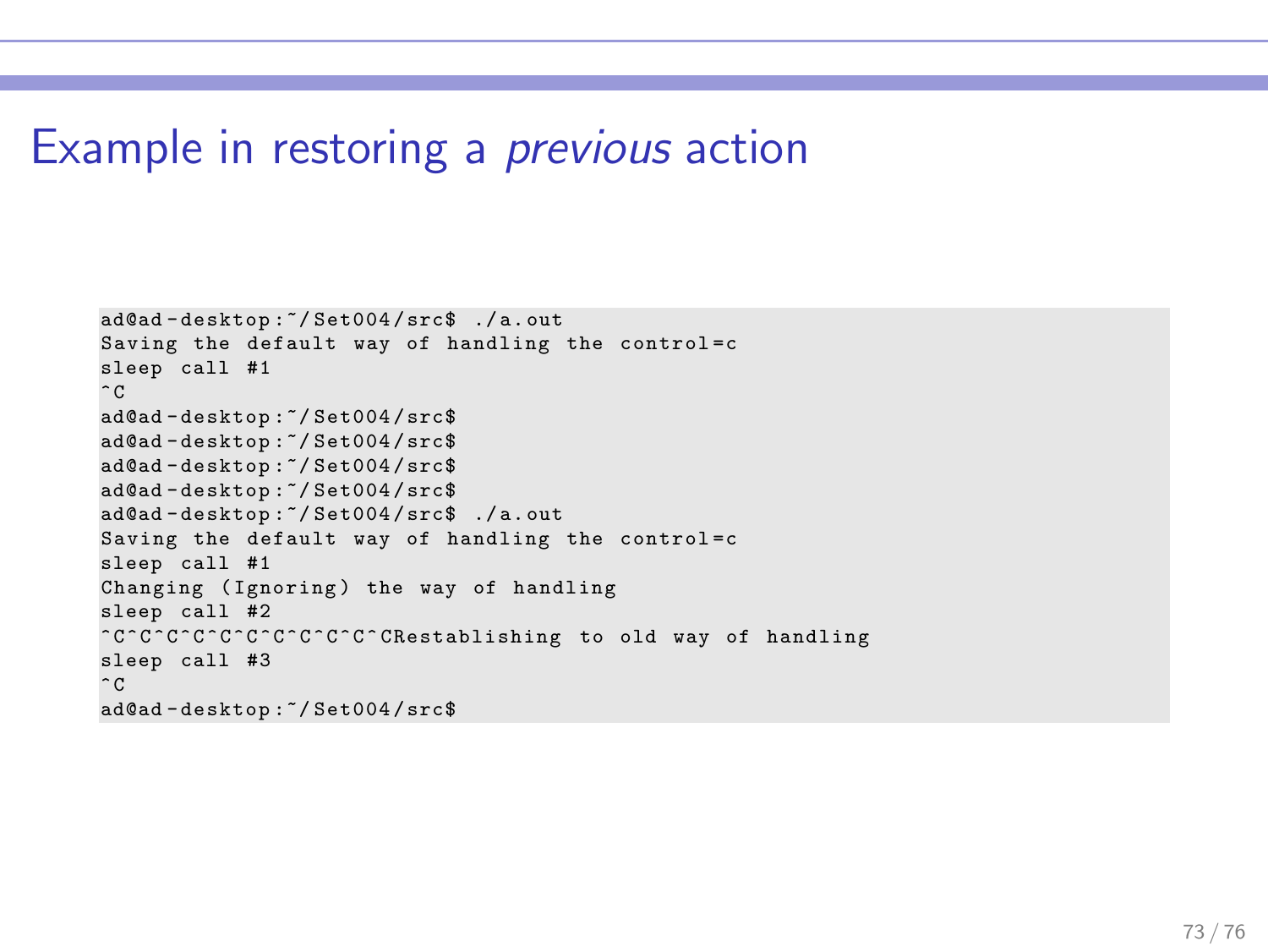## Example in restoring a previous action

```
ad@ad - desktop :~/ Set004 / src$ ./ a. out
Saving the default way of handling the control=c
sleep call #1
\hat{C}ad@ad - desktop :~/ Set004 / src$
ad@ad - desktop :~/ Set004 / src$
ad@ad - desktop :~/ Set004 / src$
ad@ad - desktop :~/ Set004 / src$
ad@ad - desktop :~/ Set004 / src$ ./ a. out
Saving the default way of handling the control=c
sleep call #1
Changing (Ignoring) the way of handling
sleep call #2
^ C^ C ^ C^ C ^ C^ C ^ C^ C ^ C^ C ^ CRestablishing to old way of handling
sleep call #3
\hat{C}ad@ad - desktop :~/ Set004 / src$
```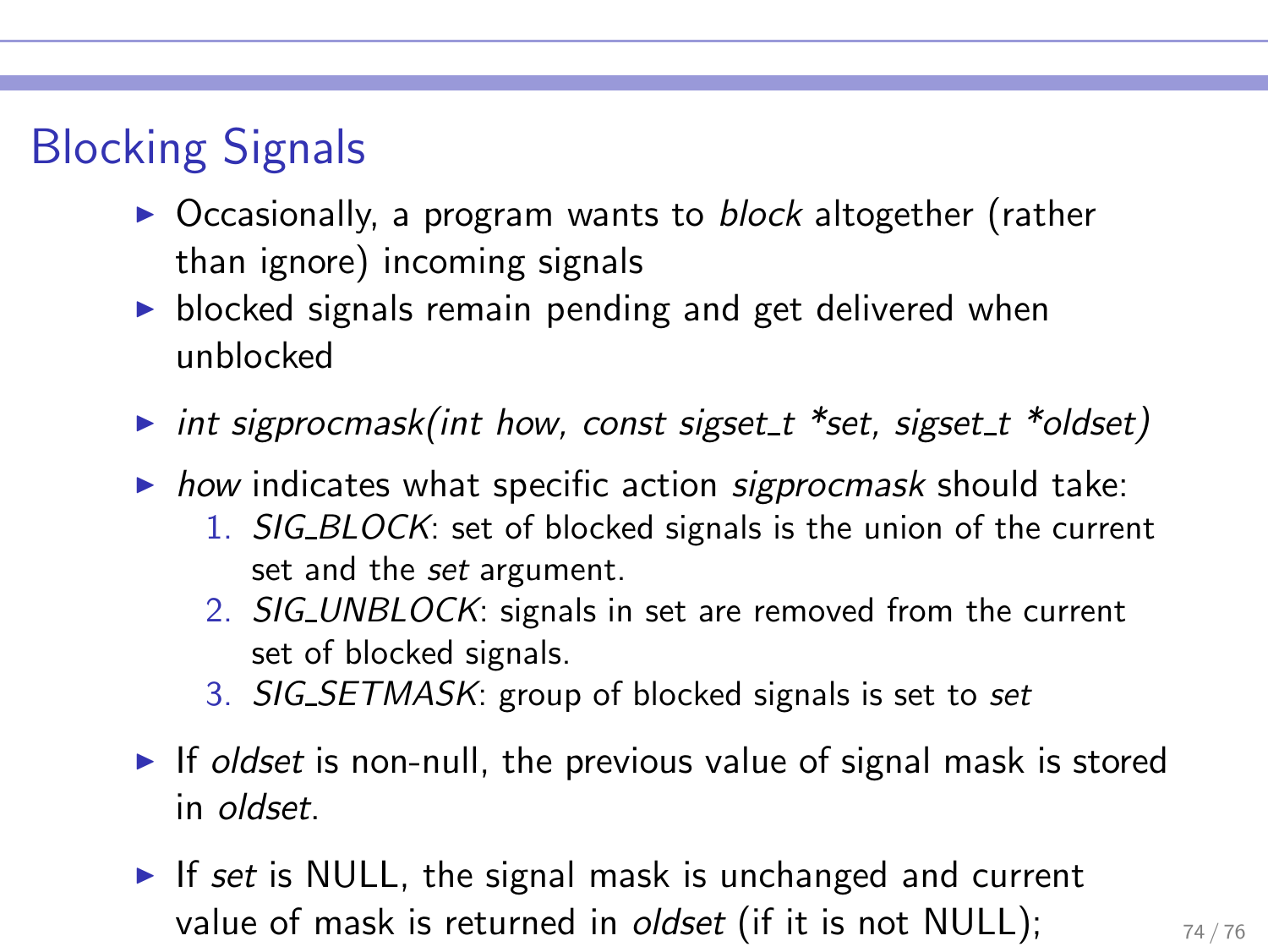## Blocking Signals

- ▶ Occasionally, a program wants to block altogether (rather than ignore) incoming signals
- ▶ blocked signals remain pending and get delivered when unblocked
- int sigprocmask(int how, const sigset  $t$  \*set, sigset  $t$  \*oldset)
- $\triangleright$  how indicates what specific action sigprocmask should take:
	- 1. SIG BLOCK: set of blocked signals is the union of the current set and the set argument.
	- 2. SIG\_UNBLOCK: signals in set are removed from the current set of blocked signals.
	- 3. SIG SETMASK: group of blocked signals is set to set
- $\triangleright$  If oldset is non-null, the previous value of signal mask is stored in oldset.
- $\triangleright$  If set is NULL, the signal mask is unchanged and current value of mask is returned in *oldset* (if it is not NULL);  $\frac{74}{76}$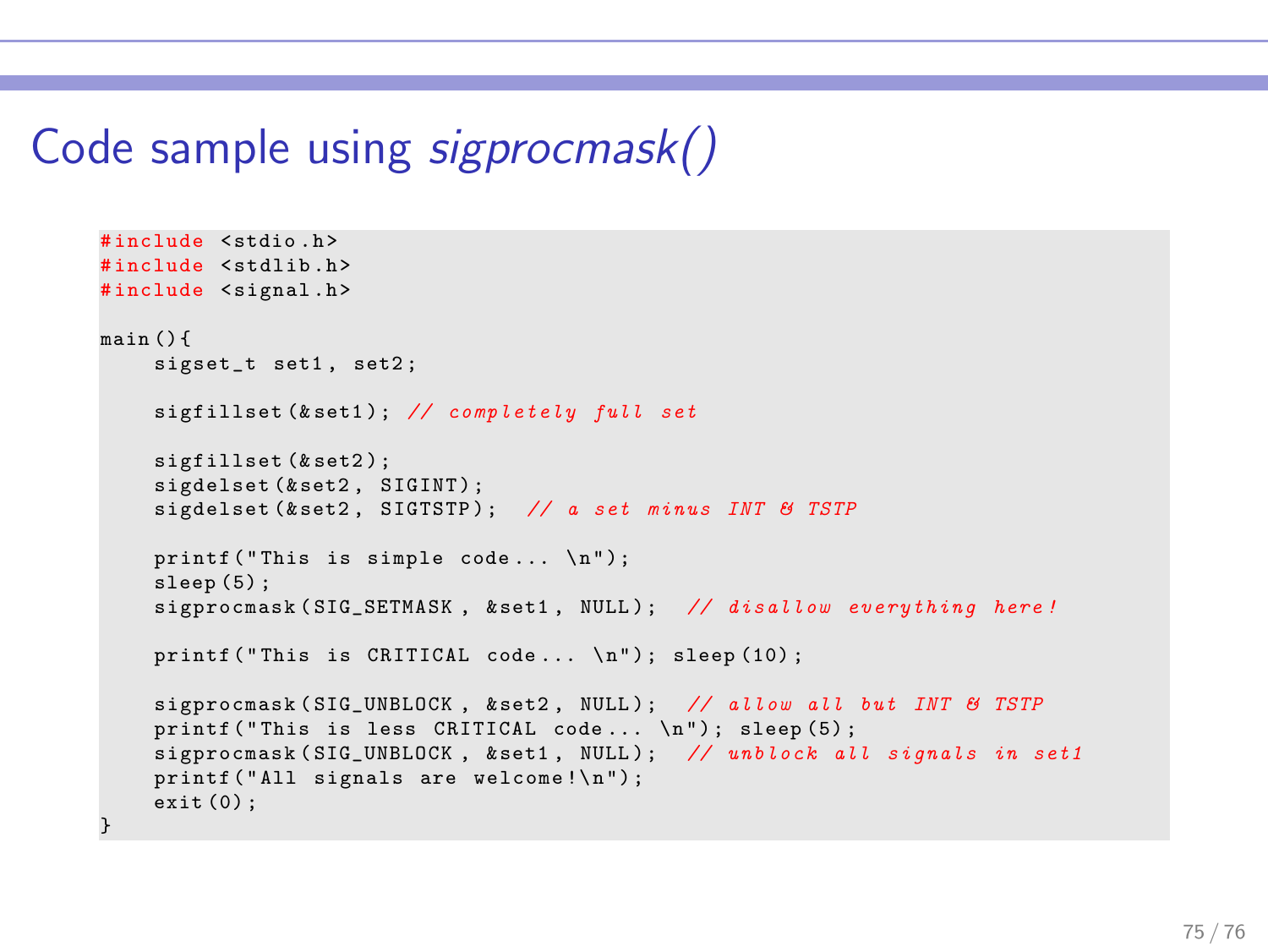## Code sample using sigprocmask()

```
#include <stdio h>
#include <stdlib.h>
#include <signal.h>
main () {
    sigset t set1, set2:
    sigfillset (& set1); // completely full set
    sigfillset (& set2) ;
    sigdelset (&set2, SIGINT);
    sigdelset (& set2, SIGTSTP): // a set minus INT & TSTP
    print f("This is simple code... \n\n"):
    sleep (5) :
    sigprocmask (SIG_SETMASK, & set1, NULL); // disallow everything here!
    printf ("This is CRITICAL code... \n"); sleep (10);
    sigprocmask (SIG_UNBLOCK, & set2, NULL) ; // allow all but INT & TSTP
    printf ( " This is less CRITICAL code ... \n " ) ; sleep (5) ;
    sigprocmask (SIG_UNBLOCK, & set1, NULL); // unblock all signals in set1
    printf ("All signals are welcome!\n"):
    ext(0):
}
```